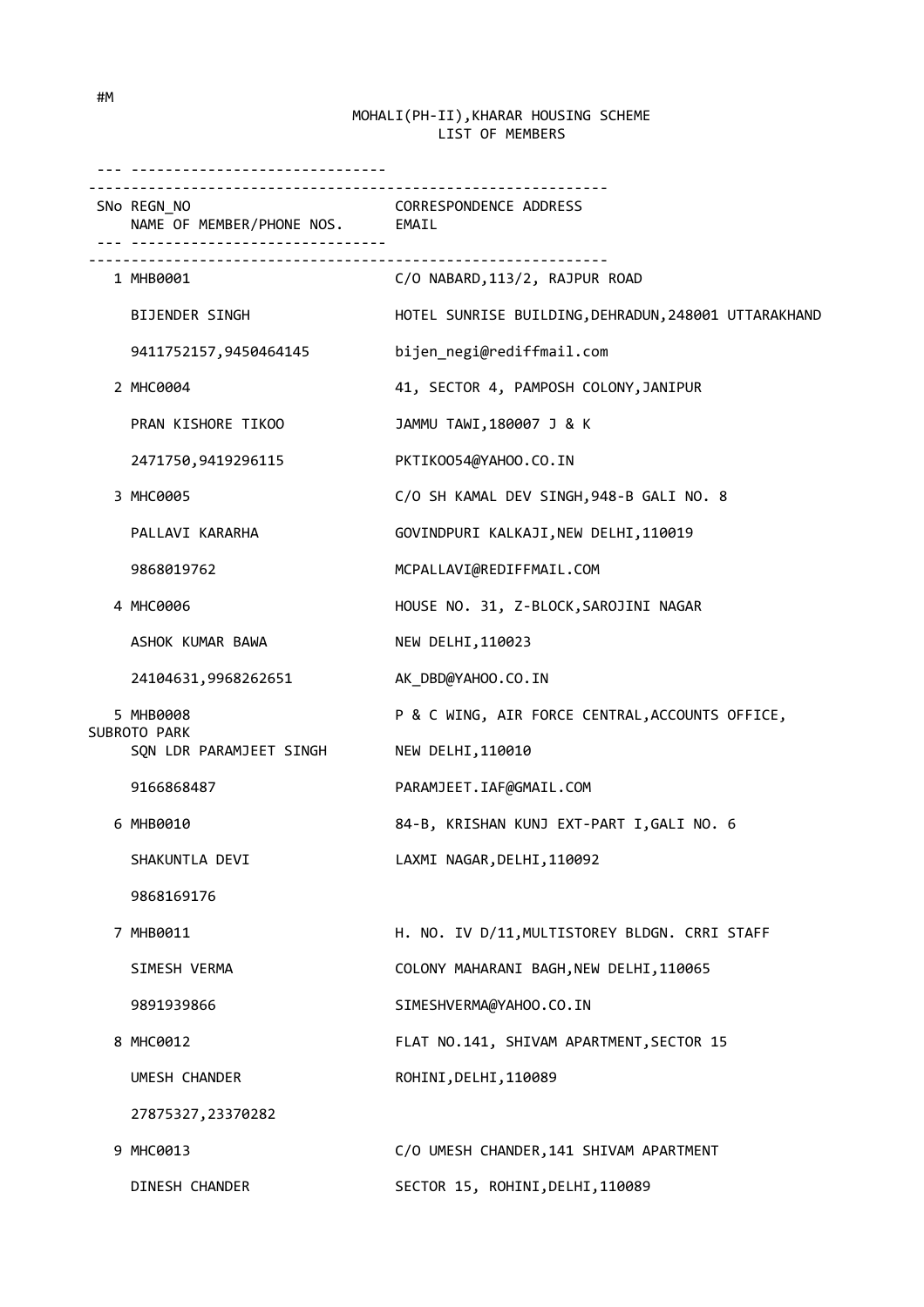| .                                              |                                                                   |
|------------------------------------------------|-------------------------------------------------------------------|
| SNo REGN_NO<br>NAME OF MEMBER/PHONE NOS. EMAIL | <b>CORRESPONDENCE ADDRESS</b>                                     |
| ---------------------------<br>1 MHB0001       | <u>________________________</u><br>C/O NABARD, 113/2, RAJPUR ROAD |
| <b>BIJENDER SINGH</b>                          | HOTEL SUNRISE BUILDING, DEHRADUN, 248001 UTTARAKHAND              |
| 9411752157,9450464145                          | bijen_negi@rediffmail.com                                         |
| 2 MHC0004                                      | 41, SECTOR 4, PAMPOSH COLONY, JANIPUR                             |
| PRAN KISHORE TIKOO                             | JAMMU TAWI, 180007 J & K                                          |
| 2471750,9419296115                             | PKTIK0054@YAH00.CO.IN                                             |
| 3 MHC0005                                      | C/O SH KAMAL DEV SINGH, 948-B GALI NO. 8                          |
| PALLAVI KARARHA                                | GOVINDPURI KALKAJI, NEW DELHI, 110019                             |
| 9868019762                                     | MCPALLAVI@REDIFFMAIL.COM                                          |
| 4 MHC0006                                      | HOUSE NO. 31, Z-BLOCK, SAROJINI NAGAR                             |
| ASHOK KUMAR BAWA                               | NEW DELHI, 110023                                                 |
| 24104631,9968262651                            | AK_DBD@YAHOO.CO.IN                                                |
| 5 MHB0008<br>SUBROTO PARK                      | P & C WING, AIR FORCE CENTRAL, ACCOUNTS OFFICE,                   |
| SQN LDR PARAMJEET SINGH                        | NEW DELHI, 110010                                                 |
| 9166868487                                     | PARAMJEET.IAF@GMAIL.COM                                           |
| 6 MHB0010                                      | 84-B, KRISHAN KUNJ EXT-PART I, GALI NO. 6                         |
| SHAKUNTLA DEVI                                 | LAXMI NAGAR, DELHI, 110092                                        |
| 9868169176                                     |                                                                   |
| 7 MHB0011                                      | H. NO. IV D/11, MULTISTOREY BLDGN. CRRI STAFF                     |
| SIMESH VERMA                                   | COLONY MAHARANI BAGH, NEW DELHI, 110065                           |
| 9891939866                                     | SIMESHVERMA@YAHOO.CO.IN                                           |
| 8 MHC0012                                      | FLAT NO.141, SHIVAM APARTMENT, SECTOR 15                          |
| UMESH CHANDER                                  | ROHINI, DELHI, 110089                                             |
| 27875327, 23370282                             |                                                                   |
| 9 MHC0013                                      | C/O UMESH CHANDER, 141 SHIVAM APARTMENT                           |
| DINESH CHANDER                                 | SECTOR 15, ROHINI, DELHI, 110089                                  |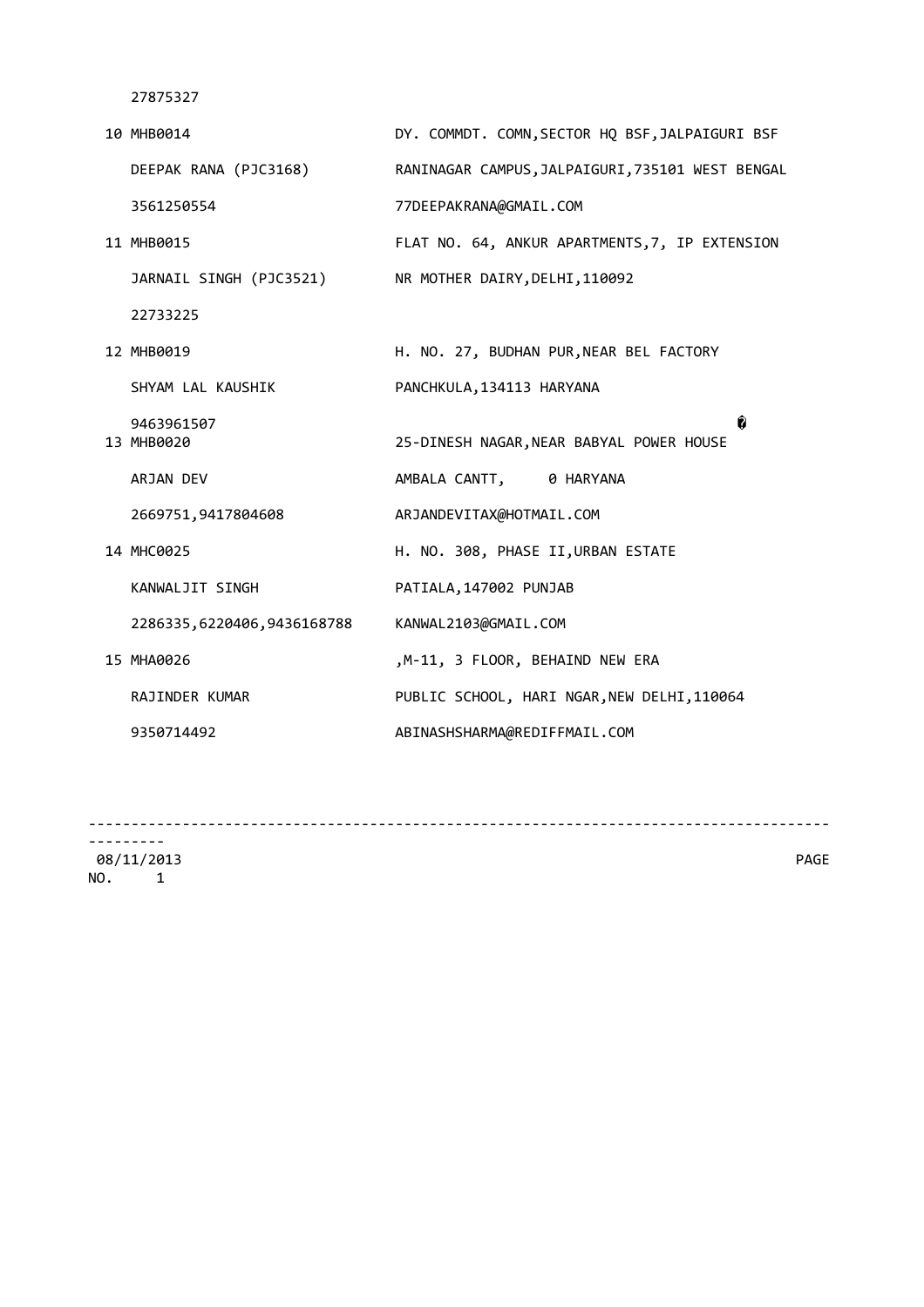| 10 MHB0014                 | DY. COMMDT. COMN, SECTOR HQ BSF, JALPAIGURI BSF  |
|----------------------------|--------------------------------------------------|
| DEEPAK RANA (PJC3168)      | RANINAGAR CAMPUS, JALPAIGURI, 735101 WEST BENGAL |
| 3561250554                 | 77DEEPAKRANA@GMAIL.COM                           |
| 11 MHB0015                 | FLAT NO. 64, ANKUR APARTMENTS, 7, IP EXTENSION   |
| JARNAIL SINGH (PJC3521)    | NR MOTHER DAIRY, DELHI, 110092                   |
| 22733225                   |                                                  |
| 12 MHB0019                 | H. NO. 27, BUDHAN PUR, NEAR BEL FACTORY          |
| SHYAM LAL KAUSHIK          | PANCHKULA, 134113 HARYANA                        |
| 9463961507<br>13 MHB0020   | â<br>25-DINESH NAGAR, NEAR BABYAL POWER HOUSE    |
| ARJAN DEV                  | AMBALA CANTT, 0 HARYANA                          |
| 2669751,9417804608         | ARJANDEVITAX@HOTMAIL.COM                         |
| 14 MHC0025                 | H. NO. 308, PHASE II, URBAN ESTATE               |
| KANWALJIT SINGH            | PATIALA, 147002 PUNJAB                           |
| 2286335,6220406,9436168788 | KANWAL2103@GMAIL.COM                             |
| 15 MHA0026                 | ,M-11, 3 FLOOR, BEHAIND NEW ERA                  |
| <b>RAJINDER KUMAR</b>      | PUBLIC SCHOOL, HARI NGAR, NEW DELHI, 110064      |
| 9350714492                 | ABINASHSHARMA@REDIFFMAIL.COM                     |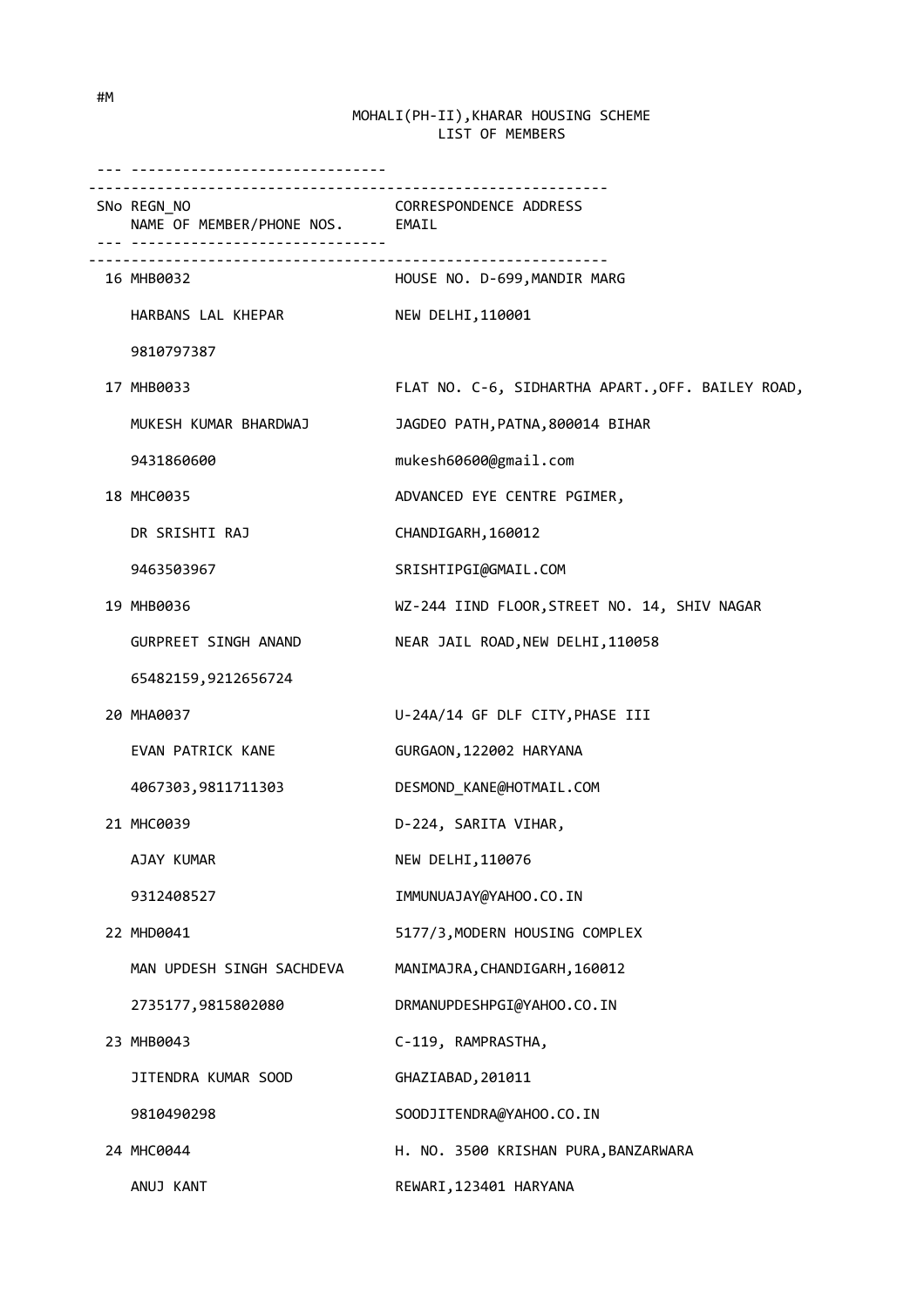| SNo REGN_NO<br>NAME OF MEMBER/PHONE NOS. EMAIL | CORRESPONDENCE ADDRESS                            |
|------------------------------------------------|---------------------------------------------------|
| -----------------------------<br>16 MHB0032    | HOUSE NO. D-699, MANDIR MARG                      |
| HARBANS LAL KHEPAR                             | NEW DELHI, 110001                                 |
| 9810797387                                     |                                                   |
| 17 MHB0033                                     | FLAT NO. C-6, SIDHARTHA APART., OFF. BAILEY ROAD, |
| MUKESH KUMAR BHARDWAJ                          | JAGDEO PATH, PATNA, 800014 BIHAR                  |
| 9431860600                                     | mukesh60600@gmail.com                             |
| 18 MHC0035                                     | ADVANCED EYE CENTRE PGIMER,                       |
| DR SRISHTI RAJ                                 | CHANDIGARH, 160012                                |
| 9463503967                                     | SRISHTIPGI@GMAIL.COM                              |
| 19 MHB0036                                     | WZ-244 IIND FLOOR, STREET NO. 14, SHIV NAGAR      |
| GURPREET SINGH ANAND                           | NEAR JAIL ROAD, NEW DELHI, 110058                 |
| 65482159,9212656724                            |                                                   |
| 20 MHA0037                                     | U-24A/14 GF DLF CITY, PHASE III                   |
| EVAN PATRICK KANE                              | GURGAON, 122002 HARYANA                           |
| 4067303,9811711303                             | DESMOND_KANE@HOTMAIL.COM                          |
| 21 MHC0039                                     | D-224, SARITA VIHAR,                              |
| AJAY KUMAR                                     | NEW DELHI, 110076                                 |
| 9312408527                                     | IMMUNUAJAY@YAHOO.CO.IN                            |
| 22 MHD0041                                     | 5177/3, MODERN HOUSING COMPLEX                    |
| MAN UPDESH SINGH SACHDEVA                      | MANIMAJRA, CHANDIGARH, 160012                     |
| 2735177,9815802080                             | DRMANUPDESHPGI@YAHOO.CO.IN                        |
| 23 MHB0043                                     | C-119, RAMPRASTHA,                                |
| JITENDRA KUMAR SOOD                            | GHAZIABAD, 201011                                 |
| 9810490298                                     | SOODJITENDRA@YAHOO.CO.IN                          |
| 24 MHC0044                                     | H. NO. 3500 KRISHAN PURA, BANZARWARA              |
| ANUJ KANT                                      | REWARI, 123401 HARYANA                            |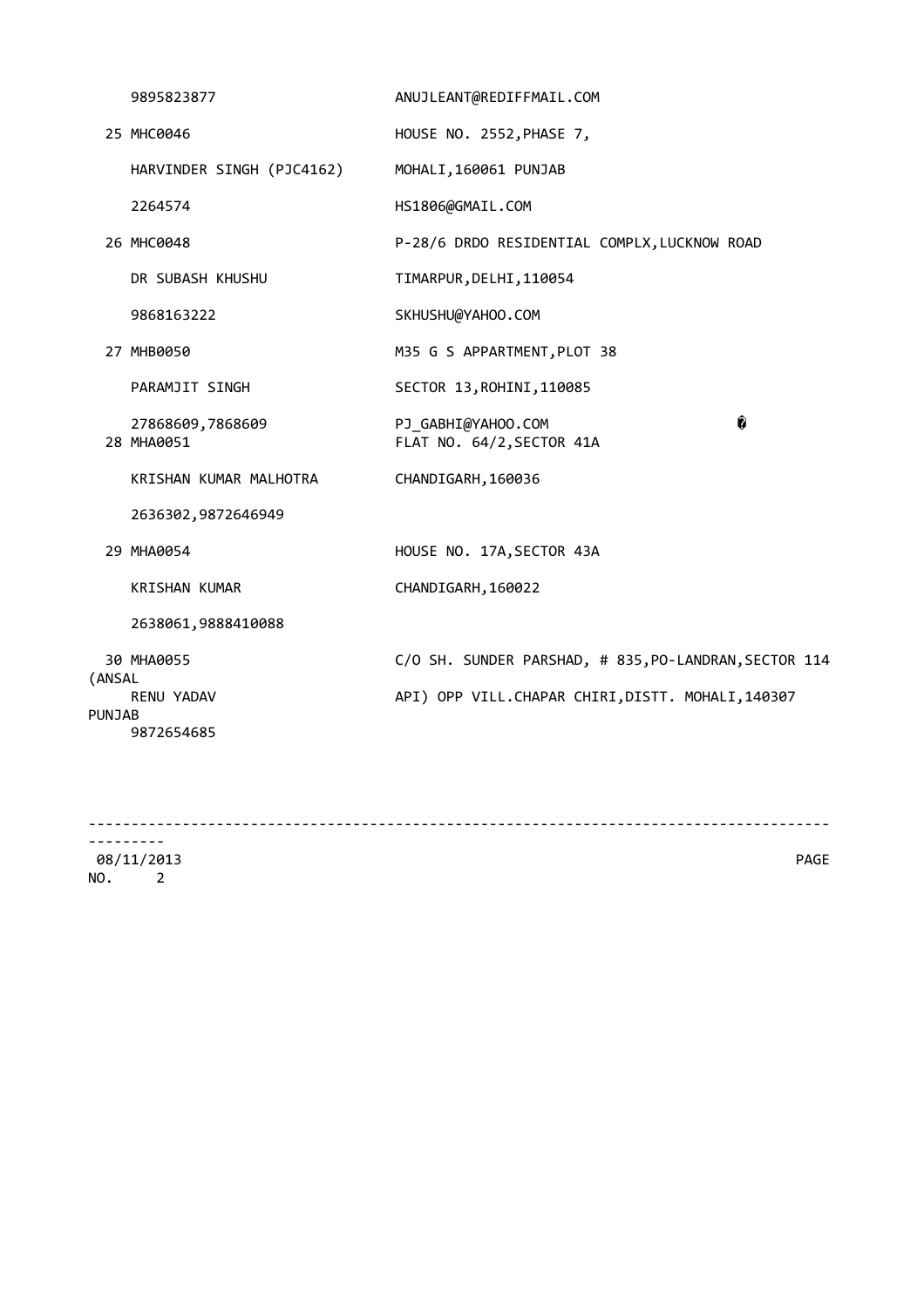|        | 9895823877                     | ANUJLEANT@REDIFFMAIL.COM                              |   |
|--------|--------------------------------|-------------------------------------------------------|---|
|        | 25 MHC0046                     | HOUSE NO. 2552, PHASE 7,                              |   |
|        | HARVINDER SINGH (PJC4162)      | MOHALI, 160061 PUNJAB                                 |   |
|        | 2264574                        | HS1806@GMAIL.COM                                      |   |
|        | 26 MHC0048                     | P-28/6 DRDO RESIDENTIAL COMPLX, LUCKNOW ROAD          |   |
|        | DR SUBASH KHUSHU               | TIMARPUR, DELHI, 110054                               |   |
|        | 9868163222                     | SKHUSHU@YAHOO.COM                                     |   |
|        | 27 MHB0050                     | M35 G S APPARTMENT, PLOT 38                           |   |
|        | PARAMJIT SINGH                 | SECTOR 13, ROHINI, 110085                             |   |
|        | 27868609,7868609<br>28 MHA0051 | PJ_GABHI@YAHOO.COM<br>FLAT NO. 64/2, SECTOR 41A       | Ô |
|        | KRISHAN KUMAR MALHOTRA         | CHANDIGARH, 160036                                    |   |
|        | 2636302,9872646949             |                                                       |   |
|        | 29 MHA0054                     | HOUSE NO. 17A, SECTOR 43A                             |   |
|        | <b>KRISHAN KUMAR</b>           | CHANDIGARH, 160022                                    |   |
|        | 2638061,9888410088             |                                                       |   |
| (ANSAL | 30 MHA0055                     | C/O SH. SUNDER PARSHAD, # 835, PO-LANDRAN, SECTOR 114 |   |
| PUNJAB | RENU YADAV<br>9872654685       | API) OPP VILL.CHAPAR CHIRI, DISTT. MOHALI, 140307     |   |
|        |                                |                                                       |   |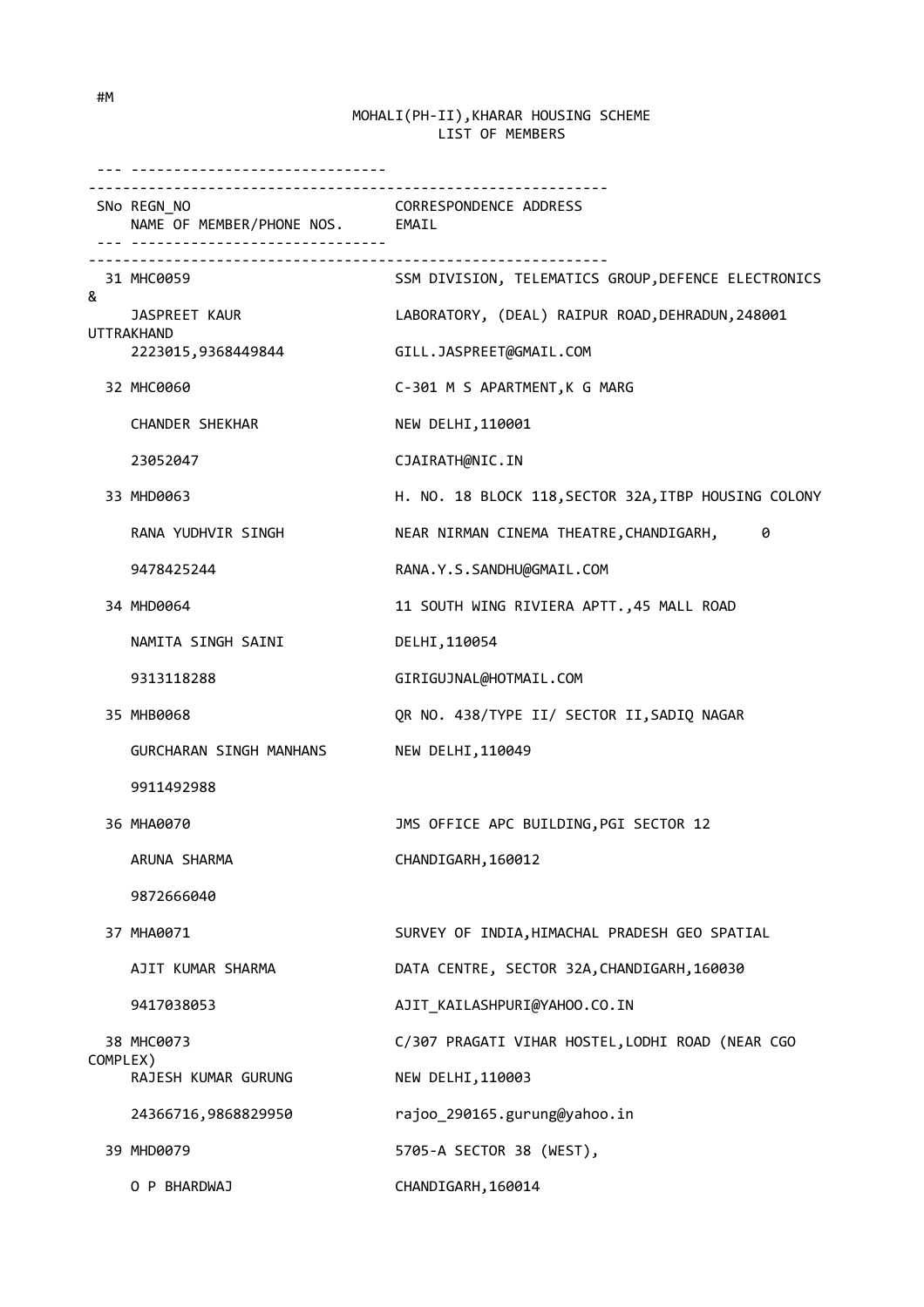|          | .                                                                                              |                                                      |
|----------|------------------------------------------------------------------------------------------------|------------------------------------------------------|
|          | SNo REGN_NO<br>NAME OF MEMBER/PHONE NOS. EMAIL<br><u>---  --------------------------------</u> | <b>CORRESPONDENCE ADDRESS</b>                        |
| 8        | 31 MHC0059                                                                                     | SSM DIVISION, TELEMATICS GROUP, DEFENCE ELECTRONICS  |
|          | JASPREET KAUR                                                                                  | LABORATORY, (DEAL) RAIPUR ROAD, DEHRADUN, 248001     |
|          | UTTRAKHAND<br>2223015,9368449844                                                               | GILL.JASPREET@GMAIL.COM                              |
|          | 32 MHC0060                                                                                     | C-301 M S APARTMENT, K G MARG                        |
|          | CHANDER SHEKHAR                                                                                | NEW DELHI, 110001                                    |
|          | 23052047                                                                                       | CJAIRATH@NIC.IN                                      |
|          | 33 MHD0063                                                                                     | H. NO. 18 BLOCK 118, SECTOR 32A, ITBP HOUSING COLONY |
|          | RANA YUDHVIR SINGH                                                                             | NEAR NIRMAN CINEMA THEATRE, CHANDIGARH,<br>0         |
|          | 9478425244                                                                                     | RANA.Y.S.SANDHU@GMAIL.COM                            |
|          | 34 MHD0064                                                                                     | 11 SOUTH WING RIVIERA APTT., 45 MALL ROAD            |
|          | NAMITA SINGH SAINI                                                                             | DELHI, 110054                                        |
|          | 9313118288                                                                                     | GIRIGUJNAL@HOTMAIL.COM                               |
|          | 35 MHB0068                                                                                     | QR NO. 438/TYPE II/ SECTOR II, SADIQ NAGAR           |
|          | GURCHARAN SINGH MANHANS                                                                        | NEW DELHI, 110049                                    |
|          | 9911492988                                                                                     |                                                      |
|          | 36 MHA0070                                                                                     | JMS OFFICE APC BUILDING, PGI SECTOR 12               |
|          | ARUNA SHARMA                                                                                   | CHANDIGARH, 160012                                   |
|          | 9872666040                                                                                     |                                                      |
|          | 37 MHA0071                                                                                     | SURVEY OF INDIA, HIMACHAL PRADESH GEO SPATIAL        |
|          | AJIT KUMAR SHARMA                                                                              | DATA CENTRE, SECTOR 32A, CHANDIGARH, 160030          |
|          | 9417038053                                                                                     | AJIT_KAILASHPURI@YAHOO.CO.IN                         |
|          | 38 MHC0073                                                                                     | C/307 PRAGATI VIHAR HOSTEL, LODHI ROAD (NEAR CGO     |
| COMPLEX) | RAJESH KUMAR GURUNG                                                                            | NEW DELHI, 110003                                    |
|          | 24366716,9868829950                                                                            | rajoo_290165.gurung@yahoo.in                         |
|          | 39 MHD0079                                                                                     | 5705-A SECTOR 38 (WEST),                             |
|          | O P BHARDWAJ                                                                                   | CHANDIGARH, 160014                                   |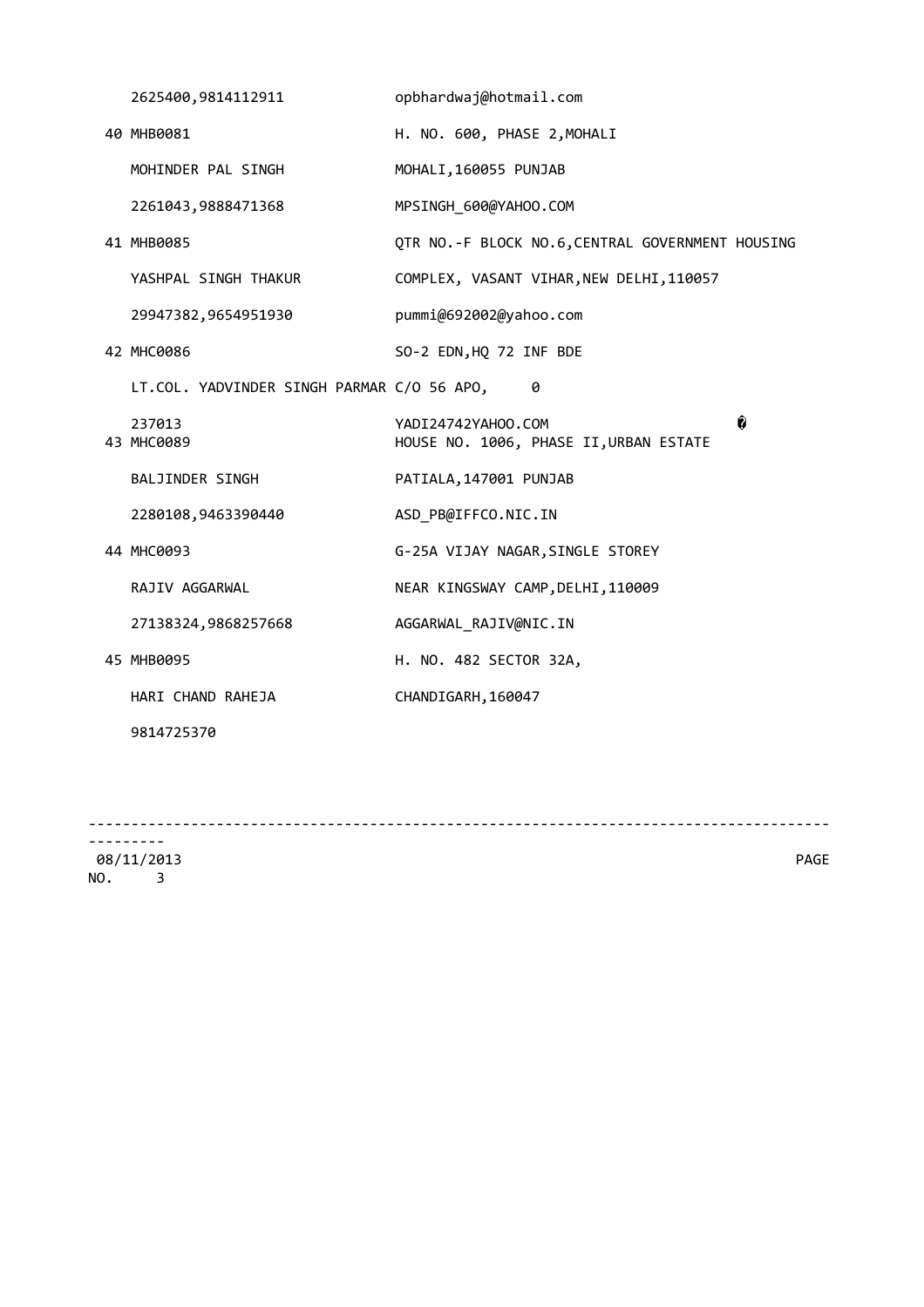| 2625400,9814112911                         | opbhardwaj@hotmail.com                                            |
|--------------------------------------------|-------------------------------------------------------------------|
| 40 MHB0081                                 | H. NO. 600, PHASE 2, MOHALI                                       |
| MOHINDER PAL SINGH                         | MOHALI, 160055 PUNJAB                                             |
| 2261043,9888471368                         | MPSINGH_600@YAHOO.COM                                             |
| 41 MHB0085                                 | QTR NO.-F BLOCK NO.6, CENTRAL GOVERNMENT HOUSING                  |
| YASHPAL SINGH THAKUR                       | COMPLEX, VASANT VIHAR, NEW DELHI, 110057                          |
| 29947382,9654951930                        | pummi@692002@yahoo.com                                            |
| 42 MHC0086                                 | SO-2 EDN, HQ 72 INF BDE                                           |
| LT.COL. YADVINDER SINGH PARMAR C/O 56 APO, | 0                                                                 |
| 237013<br>43 MHC0089                       | Ô<br>YADI24742YAHOO.COM<br>HOUSE NO. 1006, PHASE II, URBAN ESTATE |
| <b>BALJINDER SINGH</b>                     | PATIALA, 147001 PUNJAB                                            |
| 2280108,9463390440                         | ASD_PB@IFFCO.NIC.IN                                               |
| 44 MHC0093                                 | G-25A VIJAY NAGAR, SINGLE STOREY                                  |
| RAJIV AGGARWAL                             | NEAR KINGSWAY CAMP, DELHI, 110009                                 |
| 27138324,9868257668                        | AGGARWAL RAJIV@NIC.IN                                             |
| 45 MHB0095                                 | H. NO. 482 SECTOR 32A,                                            |
| HARI CHAND RAHEJA                          | CHANDIGARH, 160047                                                |
| 9814725370                                 |                                                                   |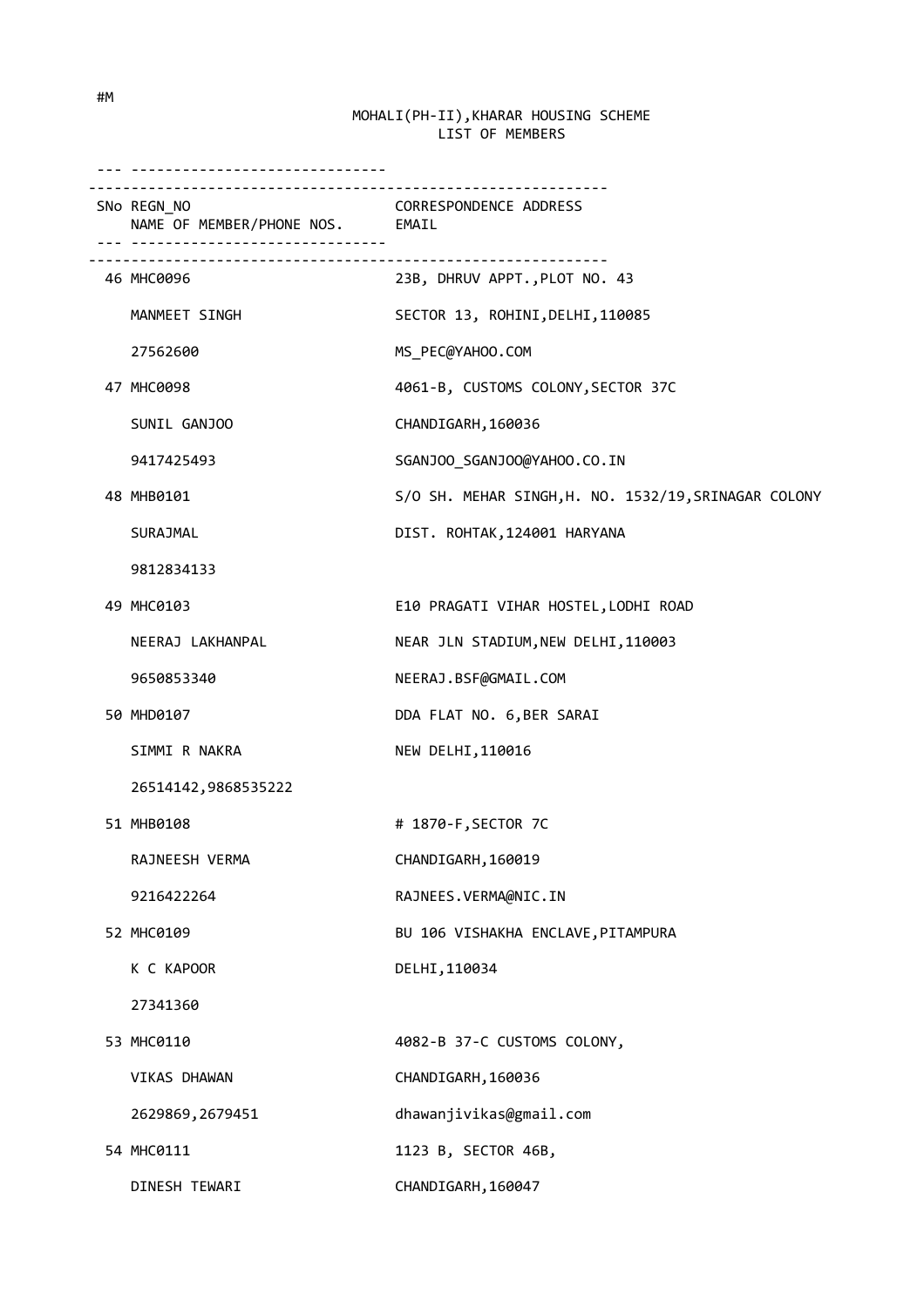| <u>. </u>                                      |                                                      |
|------------------------------------------------|------------------------------------------------------|
| SNo REGN_NO<br>NAME OF MEMBER/PHONE NOS. EMAIL | <b>CORRESPONDENCE ADDRESS</b>                        |
| 46 MHC0096                                     | 23B, DHRUV APPT., PLOT NO. 43                        |
| MANMEET SINGH                                  | SECTOR 13, ROHINI, DELHI, 110085                     |
| 27562600                                       | MS_PEC@YAHOO.COM                                     |
| 47 MHC0098                                     | 4061-B, CUSTOMS COLONY, SECTOR 37C                   |
| SUNIL GANJOO                                   | CHANDIGARH, 160036                                   |
| 9417425493                                     | SGANJOO_SGANJOO@YAHOO.CO.IN                          |
| 48 MHB0101                                     | S/O SH. MEHAR SINGH, H. NO. 1532/19, SRINAGAR COLONY |
| SURAJMAL                                       | DIST. ROHTAK, 124001 HARYANA                         |
| 9812834133                                     |                                                      |
| 49 MHC0103                                     | E10 PRAGATI VIHAR HOSTEL, LODHI ROAD                 |
| NEERAJ LAKHANPAL                               | NEAR JLN STADIUM, NEW DELHI, 110003                  |
| 9650853340                                     | NEERAJ.BSF@GMAIL.COM                                 |
| 50 MHD0107                                     | DDA FLAT NO. 6, BER SARAI                            |
| SIMMI R NAKRA                                  | NEW DELHI, 110016                                    |
| 26514142,9868535222                            |                                                      |
| 51 MHB0108                                     | # 1870-F, SECTOR 7C                                  |
| RAJNEESH VERMA                                 | CHANDIGARH, 160019                                   |
| 9216422264                                     | RAJNEES.VERMA@NIC.IN                                 |
| 52 MHC0109                                     | BU 106 VISHAKHA ENCLAVE, PITAMPURA                   |
| K C KAPOOR                                     | DELHI, 110034                                        |
| 27341360                                       |                                                      |
| 53 MHC0110                                     | 4082-B 37-C CUSTOMS COLONY,                          |
| <b>VIKAS DHAWAN</b>                            | CHANDIGARH, 160036                                   |
| 2629869, 2679451                               | dhawanjivikas@gmail.com                              |
| 54 MHC0111                                     | 1123 B, SECTOR 46B,                                  |
| DINESH TEWARI                                  | CHANDIGARH, 160047                                   |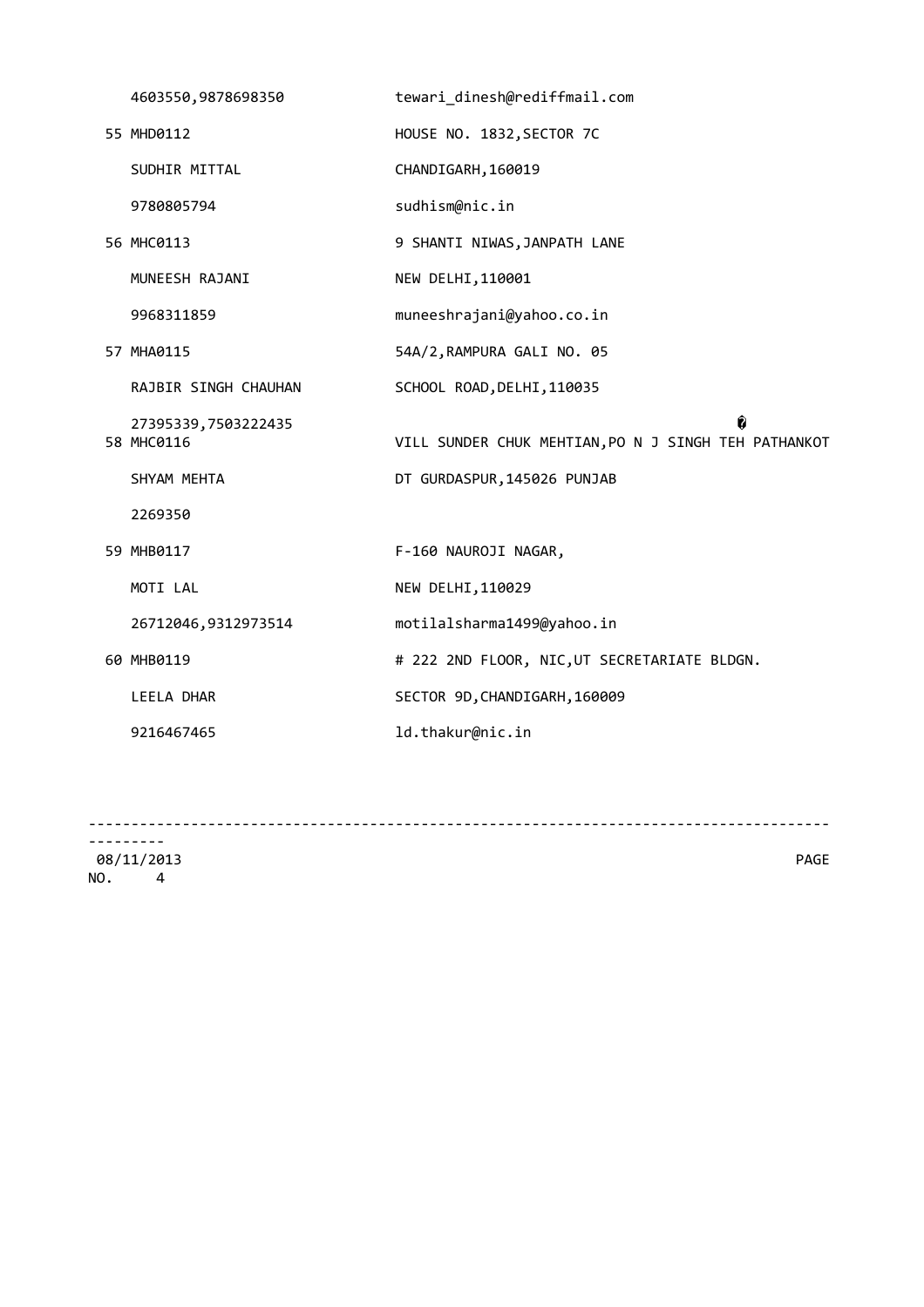|  | 4603550,9878698350                | tewari_dinesh@rediffmail.com                              |
|--|-----------------------------------|-----------------------------------------------------------|
|  | 55 MHD0112                        | HOUSE NO. 1832, SECTOR 7C                                 |
|  | SUDHIR MITTAL                     | CHANDIGARH, 160019                                        |
|  | 9780805794                        | sudhism@nic.in                                            |
|  | 56 MHC0113                        | 9 SHANTI NIWAS, JANPATH LANE                              |
|  | MUNEESH RAJANI                    | NEW DELHI, 110001                                         |
|  | 9968311859                        | muneeshrajani@yahoo.co.in                                 |
|  | 57 MHA0115                        | 54A/2, RAMPURA GALI NO. 05                                |
|  | RAJBIR SINGH CHAUHAN              | SCHOOL ROAD, DELHI, 110035                                |
|  | 27395339,7503222435<br>58 MHC0116 | ĥ<br>VILL SUNDER CHUK MEHTIAN, PO N J SINGH TEH PATHANKOT |
|  | SHYAM MEHTA                       | DT GURDASPUR, 145026 PUNJAB                               |
|  | 2269350                           |                                                           |
|  | 59 MHB0117                        | F-160 NAUROJI NAGAR,                                      |
|  | MOTI LAL                          | NEW DELHI, 110029                                         |
|  | 26712046,9312973514               | motilalsharma1499@yahoo.in                                |
|  | 60 MHB0119                        | # 222 2ND FLOOR, NIC, UT SECRETARIATE BLDGN.              |
|  | LEELA DHAR                        | SECTOR 9D, CHANDIGARH, 160009                             |
|  | 9216467465                        | ld.thakur@nic.in                                          |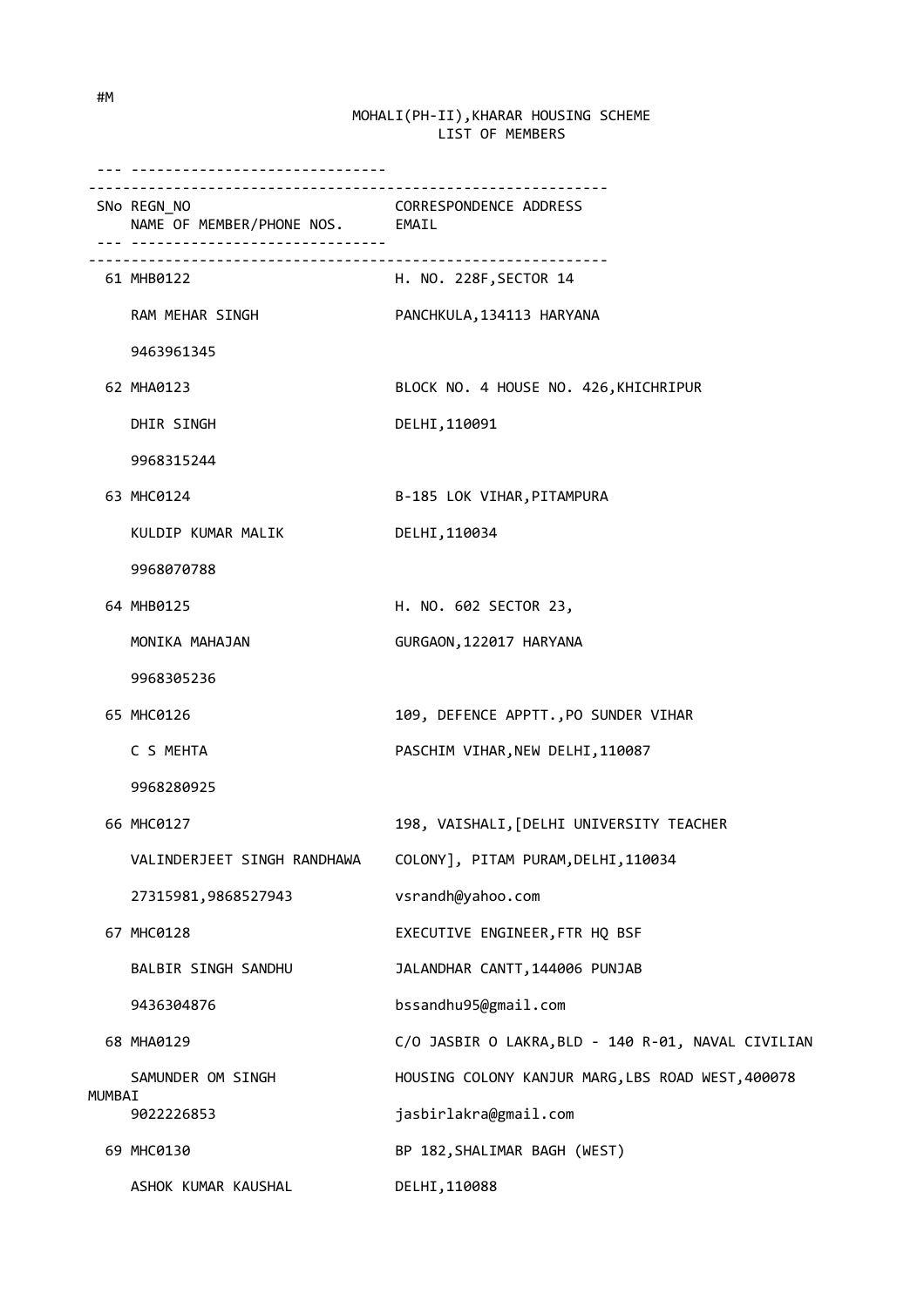|        | ___________________________________                                              |                                                    |
|--------|----------------------------------------------------------------------------------|----------------------------------------------------|
|        | ------------------------------<br>SNo REGN_NO<br>NAME OF MEMBER/PHONE NOS. EMAIL | CORRESPONDENCE ADDRESS                             |
|        | 61 MHB0122                                                                       | H. NO. 228F, SECTOR 14                             |
|        | RAM MEHAR SINGH                                                                  | PANCHKULA, 134113 HARYANA                          |
|        | 9463961345                                                                       |                                                    |
|        | 62 MHA0123                                                                       | BLOCK NO. 4 HOUSE NO. 426, KHICHRIPUR              |
|        | DHIR SINGH                                                                       | DELHI, 110091                                      |
|        | 9968315244                                                                       |                                                    |
|        | 63 MHC0124                                                                       | B-185 LOK VIHAR, PITAMPURA                         |
|        | KULDIP KUMAR MALIK                                                               | DELHI, 110034                                      |
|        | 9968070788                                                                       |                                                    |
|        | 64 MHB0125                                                                       | H. NO. 602 SECTOR 23,                              |
|        | MONIKA MAHAJAN                                                                   | GURGAON, 122017 HARYANA                            |
|        | 9968305236                                                                       |                                                    |
|        | 65 MHC0126                                                                       | 109, DEFENCE APPTT., PO SUNDER VIHAR               |
|        | C S MEHTA                                                                        | PASCHIM VIHAR, NEW DELHI, 110087                   |
|        | 9968280925                                                                       |                                                    |
|        | 66 MHC0127                                                                       | 198, VAISHALI, [DELHI UNIVERSITY TEACHER           |
|        |                                                                                  |                                                    |
|        | 27315981,9868527943                                                              | vsrandh@yahoo.com                                  |
|        | 67 MHC0128                                                                       | EXECUTIVE ENGINEER, FTR HQ BSF                     |
|        | BALBIR SINGH SANDHU                                                              | JALANDHAR CANTT, 144006 PUNJAB                     |
|        | 9436304876                                                                       | bssandhu95@gmail.com                               |
|        | 68 MHA0129                                                                       | C/O JASBIR O LAKRA, BLD - 140 R-01, NAVAL CIVILIAN |
|        | SAMUNDER OM SINGH                                                                | HOUSING COLONY KANJUR MARG, LBS ROAD WEST, 400078  |
| MUMBAI | 9022226853                                                                       | jasbirlakra@gmail.com                              |
|        | 69 MHC0130                                                                       | BP 182, SHALIMAR BAGH (WEST)                       |
|        | ASHOK KUMAR KAUSHAL                                                              | DELHI, 110088                                      |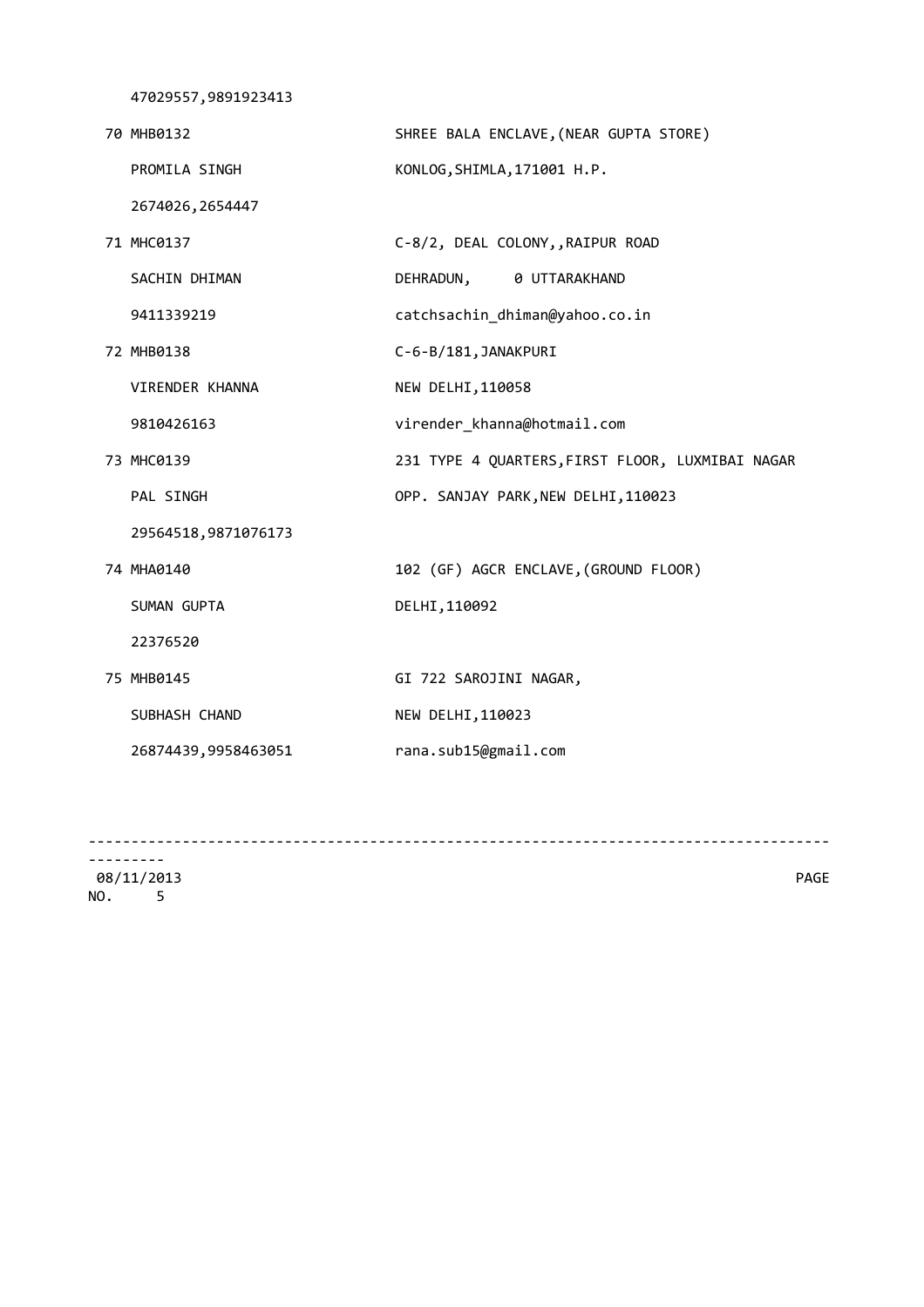47029557,9891923413

| 70 MHB0132          | SHREE BALA ENCLAVE, (NEAR GUPTA STORE)           |
|---------------------|--------------------------------------------------|
| PROMILA SINGH       | KONLOG, SHIMLA, 171001 H.P.                      |
| 2674026, 2654447    |                                                  |
| 71 MHC0137          | C-8/2, DEAL COLONY, RAIPUR ROAD                  |
| SACHIN DHIMAN       | DEHRADUN, 0 UTTARAKHAND                          |
| 9411339219          | catchsachin_dhiman@yahoo.co.in                   |
| 72 MHB0138          | C-6-B/181, JANAKPURI                             |
| VIRENDER KHANNA     | NEW DELHI, 110058                                |
| 9810426163          | virender_khanna@hotmail.com                      |
| 73 MHC0139          | 231 TYPE 4 QUARTERS, FIRST FLOOR, LUXMIBAI NAGAR |
| PAL SINGH           | OPP. SANJAY PARK, NEW DELHI, 110023              |
| 29564518,9871076173 |                                                  |
| 74 MHA0140          | 102 (GF) AGCR ENCLAVE, (GROUND FLOOR)            |
| SUMAN GUPTA         | DELHI, 110092                                    |
| 22376520            |                                                  |
| 75 MHB0145          | GI 722 SAROJINI NAGAR,                           |
| SUBHASH CHAND       | NEW DELHI, 110023                                |
| 26874439,9958463051 | rana.sub15@gmail.com                             |
|                     |                                                  |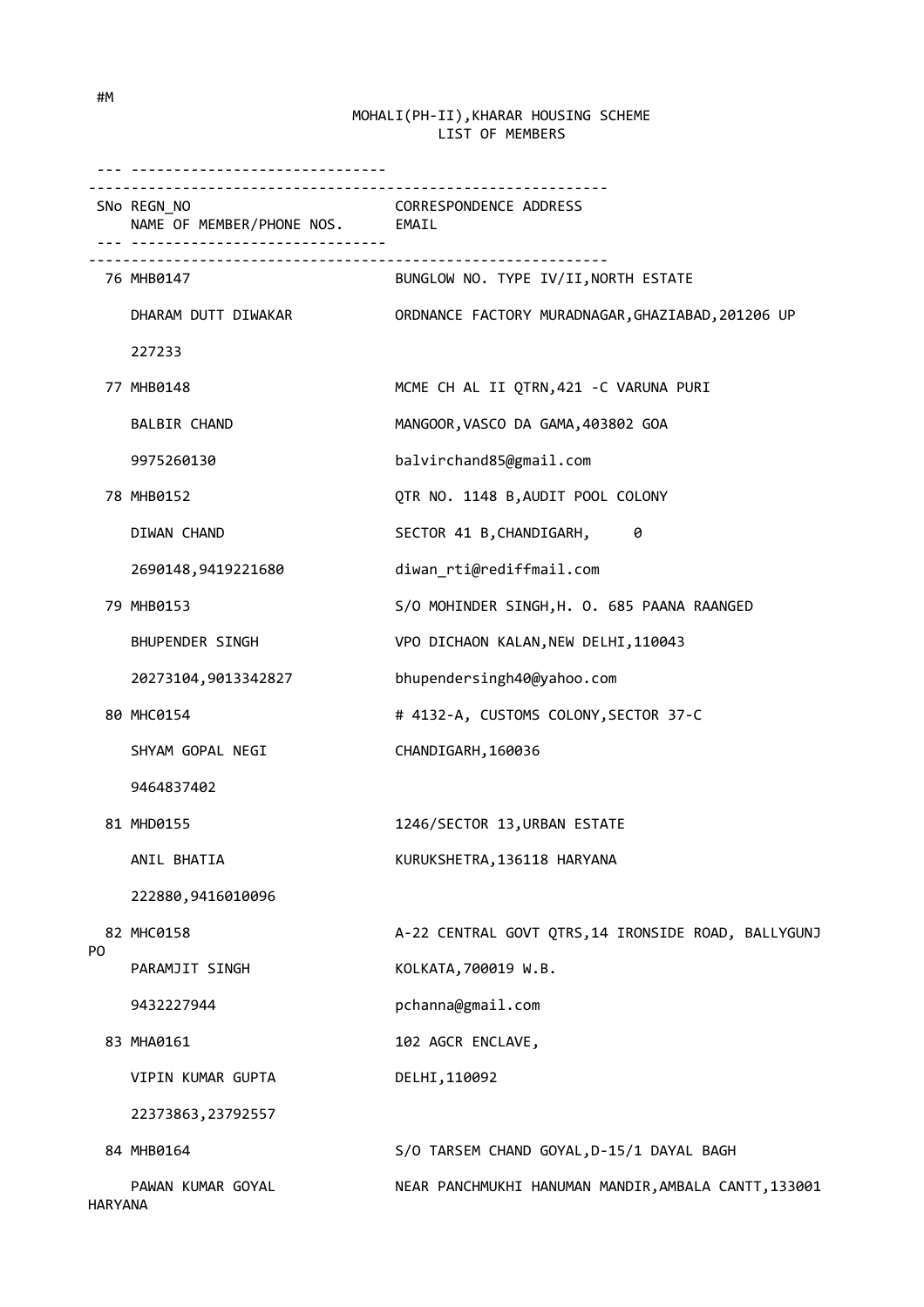|                | -----------------------------                  |                                                      |
|----------------|------------------------------------------------|------------------------------------------------------|
|                | SNo REGN_NO<br>NAME OF MEMBER/PHONE NOS. EMAIL | CORRESPONDENCE ADDRESS                               |
|                | 76 MHB0147                                     | BUNGLOW NO. TYPE IV/II, NORTH ESTATE                 |
|                | DHARAM DUTT DIWAKAR                            | ORDNANCE FACTORY MURADNAGAR, GHAZIABAD, 201206 UP    |
|                | 227233                                         |                                                      |
|                | 77 MHB0148                                     | MCME CH AL II QTRN, 421 - C VARUNA PURI              |
|                | <b>BALBIR CHAND</b>                            | MANGOOR, VASCO DA GAMA, 403802 GOA                   |
|                | 9975260130                                     | balvirchand85@gmail.com                              |
|                | 78 MHB0152                                     | QTR NO. 1148 B, AUDIT POOL COLONY                    |
|                | DIWAN CHAND                                    | SECTOR 41 B,CHANDIGARH,<br>0                         |
|                | 2690148,9419221680                             | diwan_rti@rediffmail.com                             |
|                | 79 MHB0153                                     | S/O MOHINDER SINGH, H. O. 685 PAANA RAANGED          |
|                | BHUPENDER SINGH                                | VPO DICHAON KALAN, NEW DELHI, 110043                 |
|                | 20273104,9013342827                            | bhupendersingh40@yahoo.com                           |
|                | 80 MHC0154                                     | # 4132-A, CUSTOMS COLONY, SECTOR 37-C                |
|                | SHYAM GOPAL NEGI                               | CHANDIGARH, 160036                                   |
|                | 9464837402                                     |                                                      |
|                | 81 MHD0155                                     | 1246/SECTOR 13, URBAN ESTATE                         |
|                | ANIL BHATIA                                    | KURUKSHETRA, 136118 HARYANA                          |
|                | 222880,9416010096                              |                                                      |
| P0             | 82 MHC0158                                     | A-22 CENTRAL GOVT QTRS, 14 IRONSIDE ROAD, BALLYGUNJ  |
|                | PARAMJIT SINGH                                 | KOLKATA, 700019 W.B.                                 |
|                | 9432227944                                     | pchanna@gmail.com                                    |
|                | 83 MHA0161                                     | 102 AGCR ENCLAVE,                                    |
|                | VIPIN KUMAR GUPTA                              | DELHI, 110092                                        |
|                | 22373863, 23792557                             |                                                      |
|                | 84 MHB0164                                     | S/O TARSEM CHAND GOYAL, D-15/1 DAYAL BAGH            |
| <b>HARYANA</b> | PAWAN KUMAR GOYAL                              | NEAR PANCHMUKHI HANUMAN MANDIR, AMBALA CANTT, 133001 |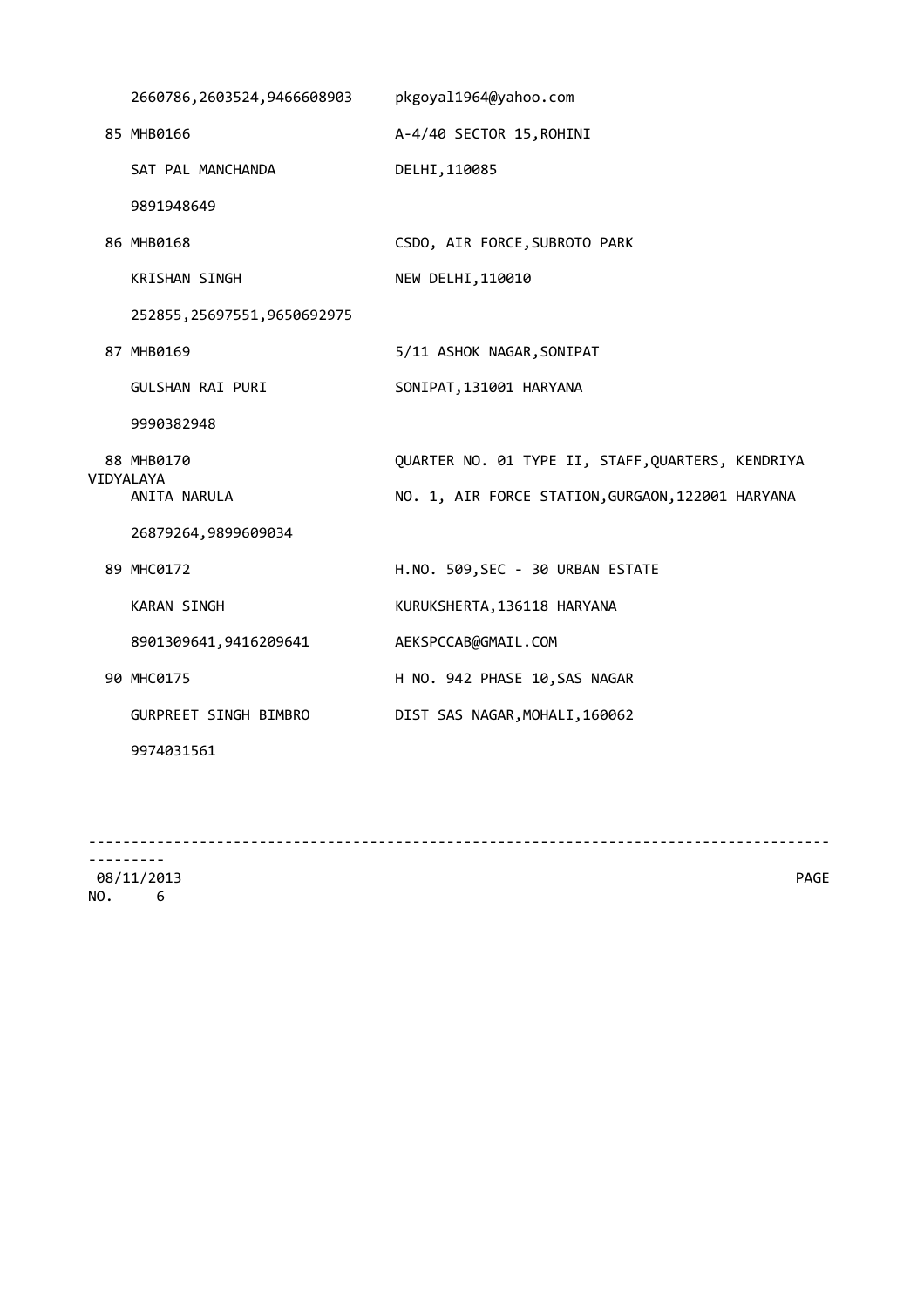| 2660786, 2603524, 9466608903 | pkgoyal1964@yahoo.com                             |
|------------------------------|---------------------------------------------------|
| 85 MHB0166                   | A-4/40 SECTOR 15, ROHINI                          |
| SAT PAL MANCHANDA            | DELHI, 110085                                     |
| 9891948649                   |                                                   |
| 86 MHB0168                   | CSDO, AIR FORCE, SUBROTO PARK                     |
| <b>KRISHAN SINGH</b>         | NEW DELHI, 110010                                 |
| 252855, 25697551, 9650692975 |                                                   |
| 87 MHB0169                   | 5/11 ASHOK NAGAR, SONIPAT                         |
| GULSHAN RAI PURI             | SONIPAT, 131001 HARYANA                           |
| 9990382948                   |                                                   |
| 88 MHB0170<br>VIDYALAYA      | QUARTER NO. 01 TYPE II, STAFF, QUARTERS, KENDRIYA |
| ANITA NARULA                 | NO. 1, AIR FORCE STATION, GURGAON, 122001 HARYANA |
| 26879264,9899609034          |                                                   |
| 89 MHC0172                   | H.NO. 509, SEC - 30 URBAN ESTATE                  |
| <b>KARAN SINGH</b>           | KURUKSHERTA, 136118 HARYANA                       |
| 8901309641, 9416209641       | AEKSPCCAB@GMAIL.COM                               |
| 90 MHC0175                   | H NO. 942 PHASE 10, SAS NAGAR                     |
| GURPREET SINGH BIMBRO        | DIST SAS NAGAR, MOHALI, 160062                    |
| 9974031561                   |                                                   |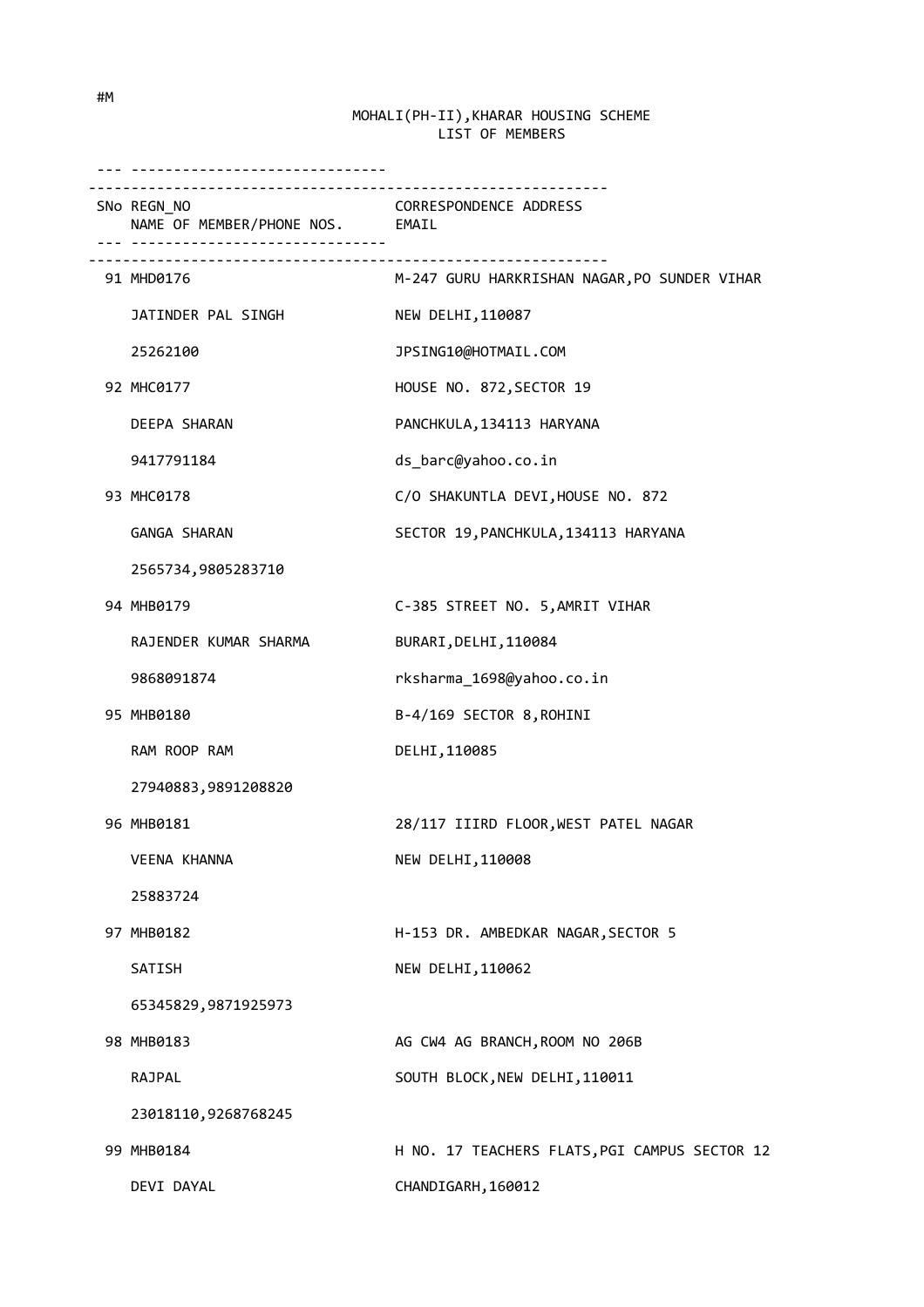| _________________________________<br>SNo REGN NO<br>NAME OF MEMBER/PHONE NOS. EMAIL | CORRESPONDENCE ADDRESS                                                    |
|-------------------------------------------------------------------------------------|---------------------------------------------------------------------------|
| 91 MHD0176                                                                          | -------------------------<br>M-247 GURU HARKRISHAN NAGAR, PO SUNDER VIHAR |
| JATINDER PAL SINGH                                                                  | NEW DELHI, 110087                                                         |
| 25262100                                                                            | JPSING10@HOTMAIL.COM                                                      |
| 92 MHC0177                                                                          | HOUSE NO. 872, SECTOR 19                                                  |
| DEEPA SHARAN                                                                        | PANCHKULA, 134113 HARYANA                                                 |
| 9417791184                                                                          | ds_barc@yahoo.co.in                                                       |
| 93 MHC0178                                                                          | C/O SHAKUNTLA DEVI, HOUSE NO. 872                                         |
| GANGA SHARAN                                                                        | SECTOR 19, PANCHKULA, 134113 HARYANA                                      |
| 2565734,9805283710                                                                  |                                                                           |
| 94 MHB0179                                                                          | C-385 STREET NO. 5, AMRIT VIHAR                                           |
| RAJENDER KUMAR SHARMA                                                               | BURARI, DELHI, 110084                                                     |
| 9868091874                                                                          | rksharma_1698@yahoo.co.in                                                 |
| 95 MHB0180                                                                          | B-4/169 SECTOR 8, ROHINI                                                  |
| RAM ROOP RAM                                                                        | DELHI, 110085                                                             |
| 27940883,9891208820                                                                 |                                                                           |
| 96 MHB0181                                                                          | 28/117 IIIRD FLOOR, WEST PATEL NAGAR                                      |
| <b>VEENA KHANNA</b>                                                                 | NEW DELHI, 110008                                                         |
| 25883724                                                                            |                                                                           |
| 97 MHB0182                                                                          | H-153 DR. AMBEDKAR NAGAR, SECTOR 5                                        |
| SATISH                                                                              | NEW DELHI, 110062                                                         |
| 65345829,9871925973                                                                 |                                                                           |
| 98 MHB0183                                                                          | AG CW4 AG BRANCH, ROOM NO 206B                                            |
| RAJPAL                                                                              | SOUTH BLOCK, NEW DELHI, 110011                                            |
| 23018110,9268768245                                                                 |                                                                           |
| 99 MHB0184                                                                          | H NO. 17 TEACHERS FLATS, PGI CAMPUS SECTOR 12                             |
| DEVI DAYAL                                                                          | CHANDIGARH, 160012                                                        |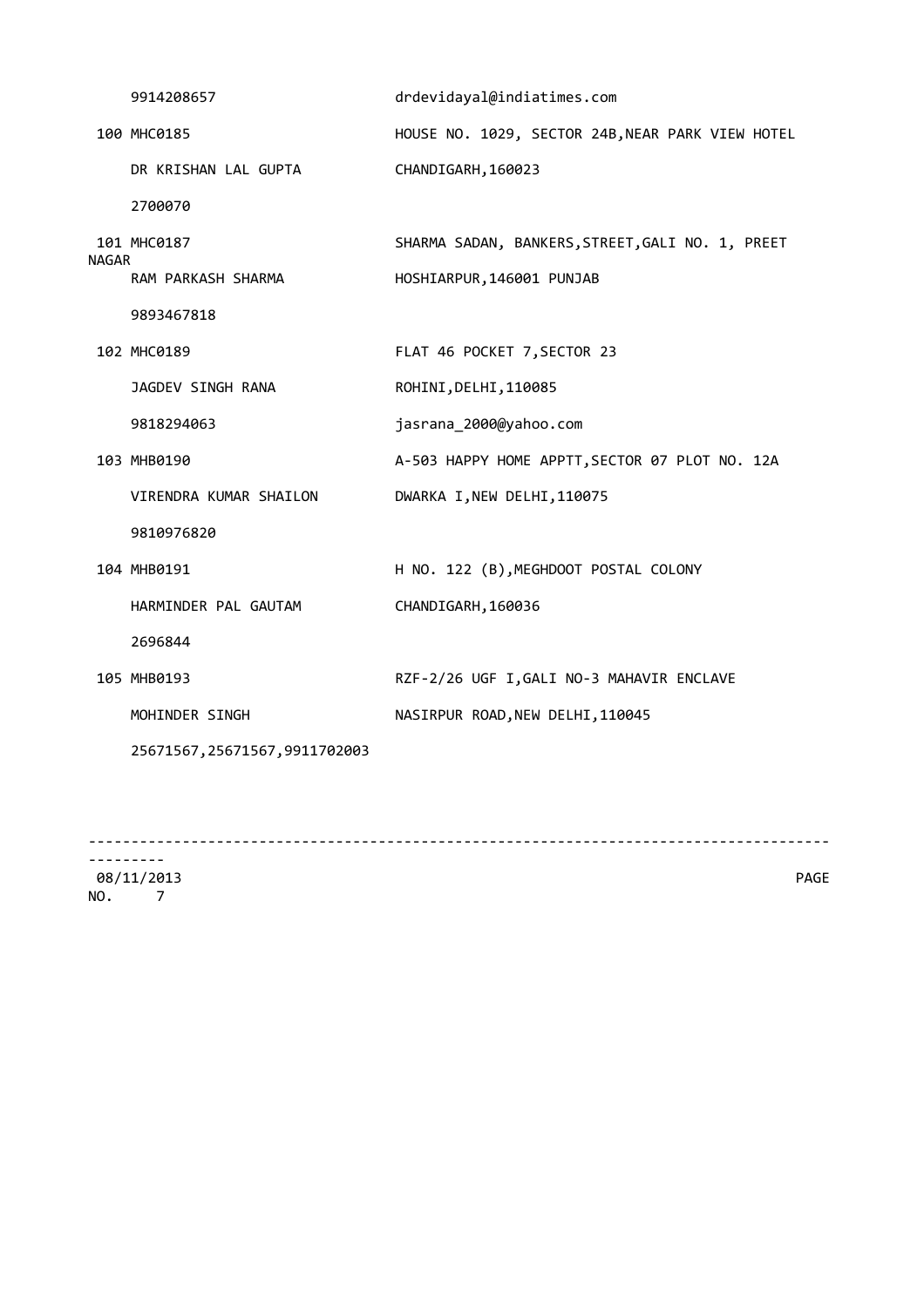|       | 9914208657                     | drdevidayal@indiatimes.com                       |
|-------|--------------------------------|--------------------------------------------------|
|       | 100 MHC0185                    | HOUSE NO. 1029, SECTOR 24B, NEAR PARK VIEW HOTEL |
|       | DR KRISHAN LAL GUPTA           | CHANDIGARH, 160023                               |
|       | 2700070                        |                                                  |
| NAGAR | 101 MHC0187                    | SHARMA SADAN, BANKERS, STREET, GALI NO. 1, PREET |
|       | RAM PARKASH SHARMA             | HOSHIARPUR, 146001 PUNJAB                        |
|       | 9893467818                     |                                                  |
|       | 102 MHC0189                    | FLAT 46 POCKET 7, SECTOR 23                      |
|       | JAGDEV SINGH RANA              | ROHINI, DELHI, 110085                            |
|       | 9818294063                     | jasrana_2000@yahoo.com                           |
|       | 103 MHB0190                    | A-503 HAPPY HOME APPTT, SECTOR 07 PLOT NO. 12A   |
|       | VIRENDRA KUMAR SHAILON         | DWARKA I, NEW DELHI, 110075                      |
|       | 9810976820                     |                                                  |
|       | 104 MHB0191                    | H NO. 122 (B), MEGHDOOT POSTAL COLONY            |
|       | HARMINDER PAL GAUTAM           | CHANDIGARH, 160036                               |
|       | 2696844                        |                                                  |
|       | 105 MHB0193                    | RZF-2/26 UGF I, GALI NO-3 MAHAVIR ENCLAVE        |
|       | MOHINDER SINGH                 | NASIRPUR ROAD, NEW DELHI, 110045                 |
|       | 25671567, 25671567, 9911702003 |                                                  |
|       |                                |                                                  |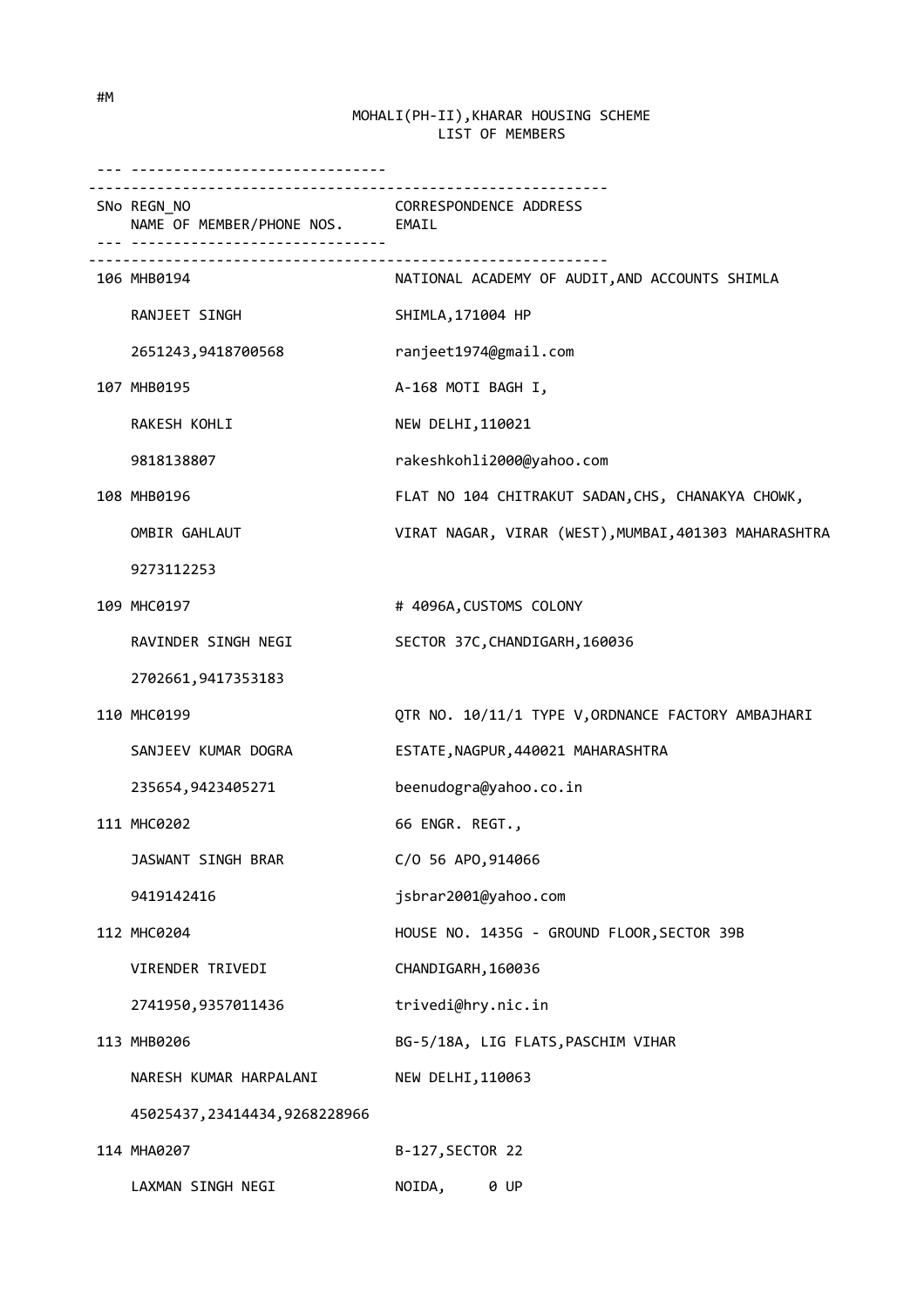--- ------------------------------ ------------------------------------------------------------- SNo REGN\_NO CORRESPONDENCE ADDRESS NAME OF MEMBER/PHONE NOS. EMAIL --- ------------------------------  $-$  106 MHB0194 NATIONAL ACADEMY OF AUDIT,AND ACCOUNTS SHIMLA RANJEET SINGH SHIMLA,171004 HP 2651243,9418700568 ranjeet1974@gmail.com 107 MHB0195 A-168 MOTI BAGH I, RAKESH KOHLI NEW DELHI,110021 9818138807 rakeshkohli2000@yahoo.com 108 MHB0196 FLAT NO 104 CHITRAKUT SADAN,CHS, CHANAKYA CHOWK, OMBIR GAHLAUT VIRAT NAGAR, VIRAR (WEST), MUMBAI, 401303 MAHARASHTRA 9273112253 109 MHC0197 # 4096A, CUSTOMS COLONY RAVINDER SINGH NEGI SECTOR 37C, CHANDIGARH, 160036 2702661,9417353183 110 MHC0199 QTR NO. 10/11/1 TYPE V,ORDNANCE FACTORY AMBAJHARI SANJEEV KUMAR DOGRA ESTATE, NAGPUR, 440021 MAHARASHTRA 235654,9423405271 beenudogra@yahoo.co.in 111 MHC0202 66 ENGR. REGT., JASWANT SINGH BRAR C/O 56 APO,914066 9419142416 jsbrar2001@yahoo.com 112 MHC0204 HOUSE NO. 1435G - GROUND FLOOR,SECTOR 39B VIRENDER TRIVEDI CHANDIGARH, 160036 2741950,9357011436 trivedi@hry.nic.in 113 MHB0206 BG-5/18A, LIG FLATS,PASCHIM VIHAR NARESH KUMAR HARPALANI NEW DELHI, 110063 45025437,23414434,9268228966 114 MHA0207 B-127,SECTOR 22 LAXMAN SINGH NEGI NOIDA, 0 UP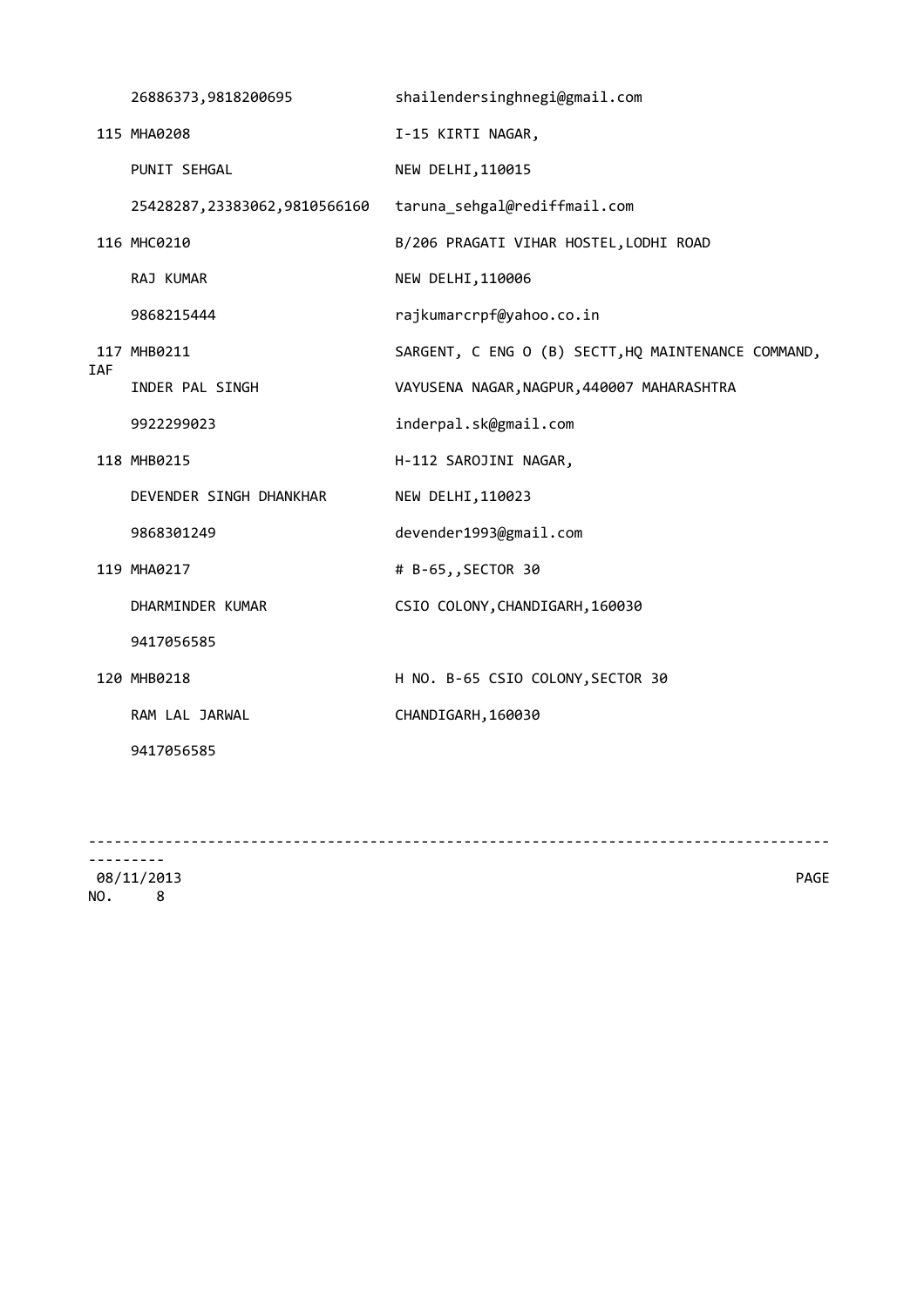|            | 26886373,9818200695          | shailendersinghnegi@gmail.com                       |
|------------|------------------------------|-----------------------------------------------------|
|            | 115 MHA0208                  | I-15 KIRTI NAGAR,                                   |
|            | PUNIT SEHGAL                 | NEW DELHI, 110015                                   |
|            | 25428287,23383062,9810566160 | taruna sehgal@rediffmail.com                        |
|            | 116 MHC0210                  | B/206 PRAGATI VIHAR HOSTEL, LODHI ROAD              |
|            | RAJ KUMAR                    | NEW DELHI, 110006                                   |
|            | 9868215444                   | rajkumarcrpf@yahoo.co.in                            |
| <b>IAF</b> | 117 MHB0211                  | SARGENT, C ENG O (B) SECTT, HQ MAINTENANCE COMMAND, |
|            | INDER PAL SINGH              | VAYUSENA NAGAR, NAGPUR, 440007 MAHARASHTRA          |
|            | 9922299023                   | inderpal.sk@gmail.com                               |
|            | 118 MHB0215                  | H-112 SAROJINI NAGAR,                               |
|            | DEVENDER SINGH DHANKHAR      | NEW DELHI, 110023                                   |
|            | 9868301249                   | devender1993@gmail.com                              |
|            | 119 MHA0217                  | # B-65,, SECTOR 30                                  |
|            | DHARMINDER KUMAR             | CSIO COLONY, CHANDIGARH, 160030                     |
|            | 9417056585                   |                                                     |
|            | 120 MHB0218                  | H NO. B-65 CSIO COLONY, SECTOR 30                   |
|            | RAM LAL JARWAL               | CHANDIGARH, 160030                                  |
|            | 9417056585                   |                                                     |
|            |                              |                                                     |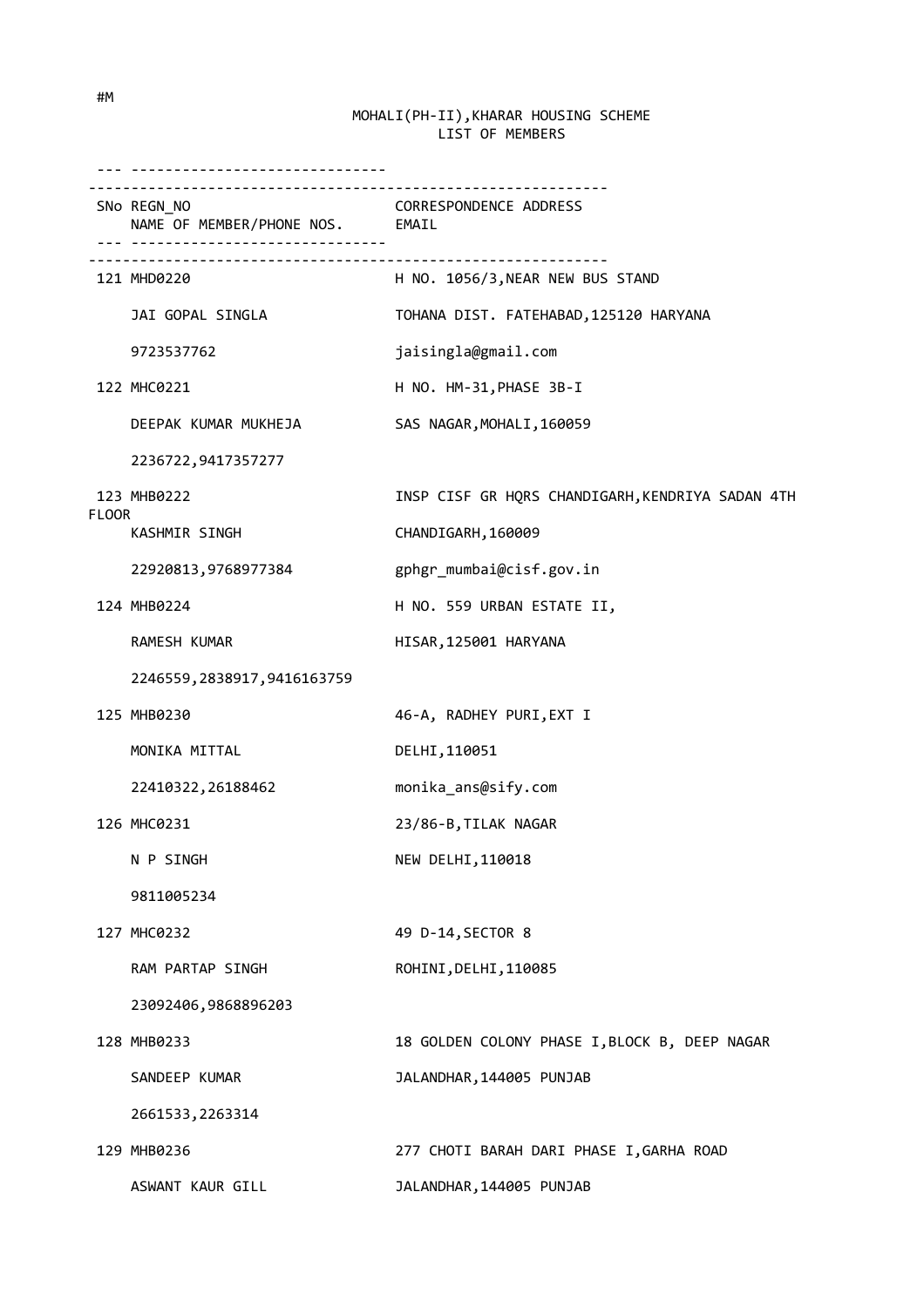|              | - --------------------------------                                                             |                                                  |
|--------------|------------------------------------------------------------------------------------------------|--------------------------------------------------|
|              | SNo REGN_NO<br>NAME OF MEMBER/PHONE NOS. EMAIL<br><u>---  --------------------------------</u> | <b>CORRESPONDENCE ADDRESS</b>                    |
|              | 121 MHD0220                                                                                    | H NO. 1056/3, NEAR NEW BUS STAND                 |
|              | JAI GOPAL SINGLA                                                                               | TOHANA DIST. FATEHABAD, 125120 HARYANA           |
|              | 9723537762                                                                                     | jaisingla@gmail.com                              |
|              | 122 MHC0221                                                                                    | H NO. HM-31, PHASE 3B-I                          |
|              | DEEPAK KUMAR MUKHEJA                                                                           | SAS NAGAR, MOHALI, 160059                        |
|              | 2236722,9417357277                                                                             |                                                  |
|              | 123 MHB0222                                                                                    | INSP CISF GR HQRS CHANDIGARH, KENDRIYA SADAN 4TH |
| <b>FLOOR</b> | KASHMIR SINGH                                                                                  | CHANDIGARH, 160009                               |
|              | 22920813,9768977384                                                                            | gphgr_mumbai@cisf.gov.in                         |
|              | 124 MHB0224                                                                                    | H NO. 559 URBAN ESTATE II,                       |
|              | RAMESH KUMAR                                                                                   | HISAR, 125001 HARYANA                            |
|              | 2246559, 2838917, 9416163759                                                                   |                                                  |
|              | 125 MHB0230                                                                                    | 46-A, RADHEY PURI, EXT I                         |
|              | MONIKA MITTAL                                                                                  | DELHI, 110051                                    |
|              | 22410322, 26188462                                                                             | monika_ans@sify.com                              |
|              | 126 MHC0231                                                                                    | 23/86-B, TILAK NAGAR                             |
|              | N P SINGH                                                                                      | NEW DELHI, 110018                                |
|              | 9811005234                                                                                     |                                                  |
|              | 127 MHC0232                                                                                    | 49 D-14, SECTOR 8                                |
|              | RAM PARTAP SINGH                                                                               | ROHINI, DELHI, 110085                            |
|              | 23092406,9868896203                                                                            |                                                  |
|              | 128 MHB0233                                                                                    | 18 GOLDEN COLONY PHASE I, BLOCK B, DEEP NAGAR    |
|              | SANDEEP KUMAR                                                                                  | JALANDHAR, 144005 PUNJAB                         |
|              | 2661533, 2263314                                                                               |                                                  |
|              | 129 MHB0236                                                                                    | 277 CHOTI BARAH DARI PHASE I, GARHA ROAD         |
|              | ASWANT KAUR GILL                                                                               | JALANDHAR, 144005 PUNJAB                         |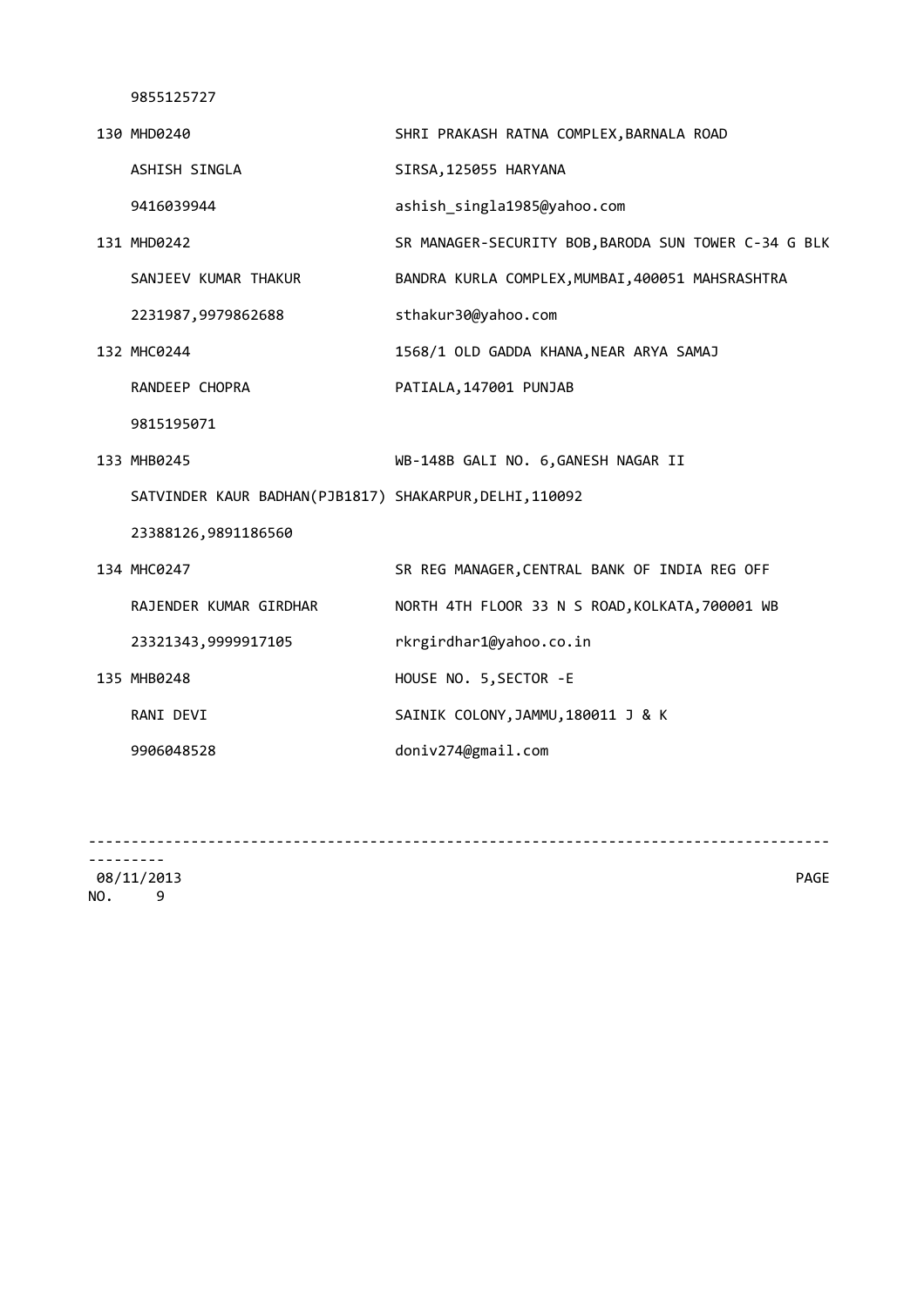| 130 MHD0240                                             | SHRI PRAKASH RATNA COMPLEX, BARNALA ROAD             |
|---------------------------------------------------------|------------------------------------------------------|
| ASHISH SINGLA                                           | SIRSA, 125055 HARYANA                                |
| 9416039944                                              | ashish_singla1985@yahoo.com                          |
| 131 MHD0242                                             | SR MANAGER-SECURITY BOB, BARODA SUN TOWER C-34 G BLK |
| SANJEEV KUMAR THAKUR                                    | BANDRA KURLA COMPLEX, MUMBAI, 400051 MAHSRASHTRA     |
| 2231987,9979862688                                      | sthakur30@yahoo.com                                  |
| 132 MHC0244                                             | 1568/1 OLD GADDA KHANA, NEAR ARYA SAMAJ              |
| RANDEEP CHOPRA                                          | PATIALA, 147001 PUNJAB                               |
| 9815195071                                              |                                                      |
| 133 MHB0245                                             | WB-148B GALI NO. 6, GANESH NAGAR II                  |
| SATVINDER KAUR BADHAN(PJB1817) SHAKARPUR, DELHI, 110092 |                                                      |
| 23388126,9891186560                                     |                                                      |
| 134 MHC0247                                             | SR REG MANAGER, CENTRAL BANK OF INDIA REG OFF        |
| RAJENDER KUMAR GIRDHAR                                  | NORTH 4TH FLOOR 33 N S ROAD, KOLKATA, 700001 WB      |
| 23321343,9999917105                                     | rkrgirdhar1@yahoo.co.in                              |
| 135 MHB0248                                             | HOUSE NO. 5, SECTOR - E                              |
| RANI DEVI                                               | SAINIK COLONY, JAMMU, 180011 J & K                   |
| 9906048528                                              | doniv274@gmail.com                                   |
|                                                         |                                                      |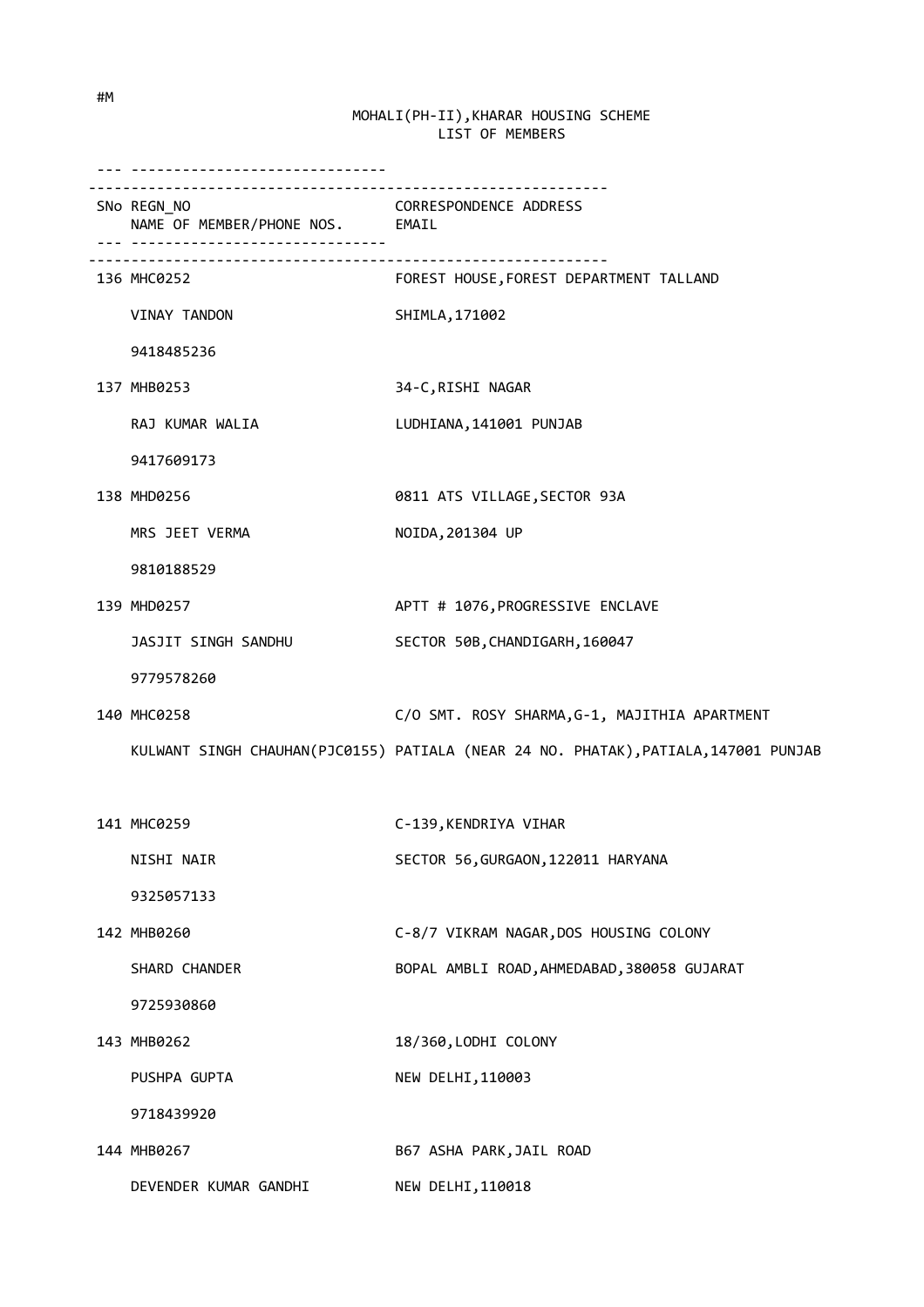| SNo REGN_NO<br>REGN_NO<br>NAME OF MEMBER/PHONE NOS. EMAIL |                                                                                     |
|-----------------------------------------------------------|-------------------------------------------------------------------------------------|
| 136 MHC0252                                               | FOREST HOUSE, FOREST DEPARTMENT TALLAND                                             |
| VINAY TANDON                                              | SHIMLA, 171002                                                                      |
| 9418485236                                                |                                                                                     |
| 137 MHB0253                                               | 34-C, RISHI NAGAR                                                                   |
| RAJ KUMAR WALIA                                           | LUDHIANA, 141001 PUNJAB                                                             |
| 9417609173                                                |                                                                                     |
| 138 MHD0256                                               | 0811 ATS VILLAGE, SECTOR 93A                                                        |
| MRS JEET VERMA                                            | NOIDA, 201304 UP                                                                    |
| 9810188529                                                |                                                                                     |
| 139 MHD0257                                               | APTT # 1076, PROGRESSIVE ENCLAVE                                                    |
| JASJIT SINGH SANDHU                                       | SECTOR 50B, CHANDIGARH, 160047                                                      |
| 9779578260                                                |                                                                                     |
| 140 MHC0258                                               | C/O SMT. ROSY SHARMA, G-1, MAJITHIA APARTMENT                                       |
|                                                           | KULWANT SINGH CHAUHAN(PJC0155) PATIALA (NEAR 24 NO. PHATAK), PATIALA, 147001 PUNJAB |
|                                                           |                                                                                     |
| 141 MHC0259                                               | C-139, KENDRIYA VIHAR                                                               |
| NISHI NAIR                                                | SECTOR 56, GURGAON, 122011 HARYANA                                                  |
| 9325057133                                                |                                                                                     |
| 142 MHB0260                                               | C-8/7 VIKRAM NAGAR, DOS HOUSING COLONY                                              |
| SHARD CHANDER                                             | BOPAL AMBLI ROAD, AHMEDABAD, 380058 GUJARAT                                         |
| 9725930860                                                |                                                                                     |
| 143 MHB0262                                               | 18/360, LODHI COLONY                                                                |
| PUSHPA GUPTA                                              | NEW DELHI, 110003                                                                   |
| 9718439920                                                |                                                                                     |
| 144 MHB0267                                               | B67 ASHA PARK, JAIL ROAD                                                            |
| DEVENDER KUMAR GANDHI                                     | NEW DELHI, 110018                                                                   |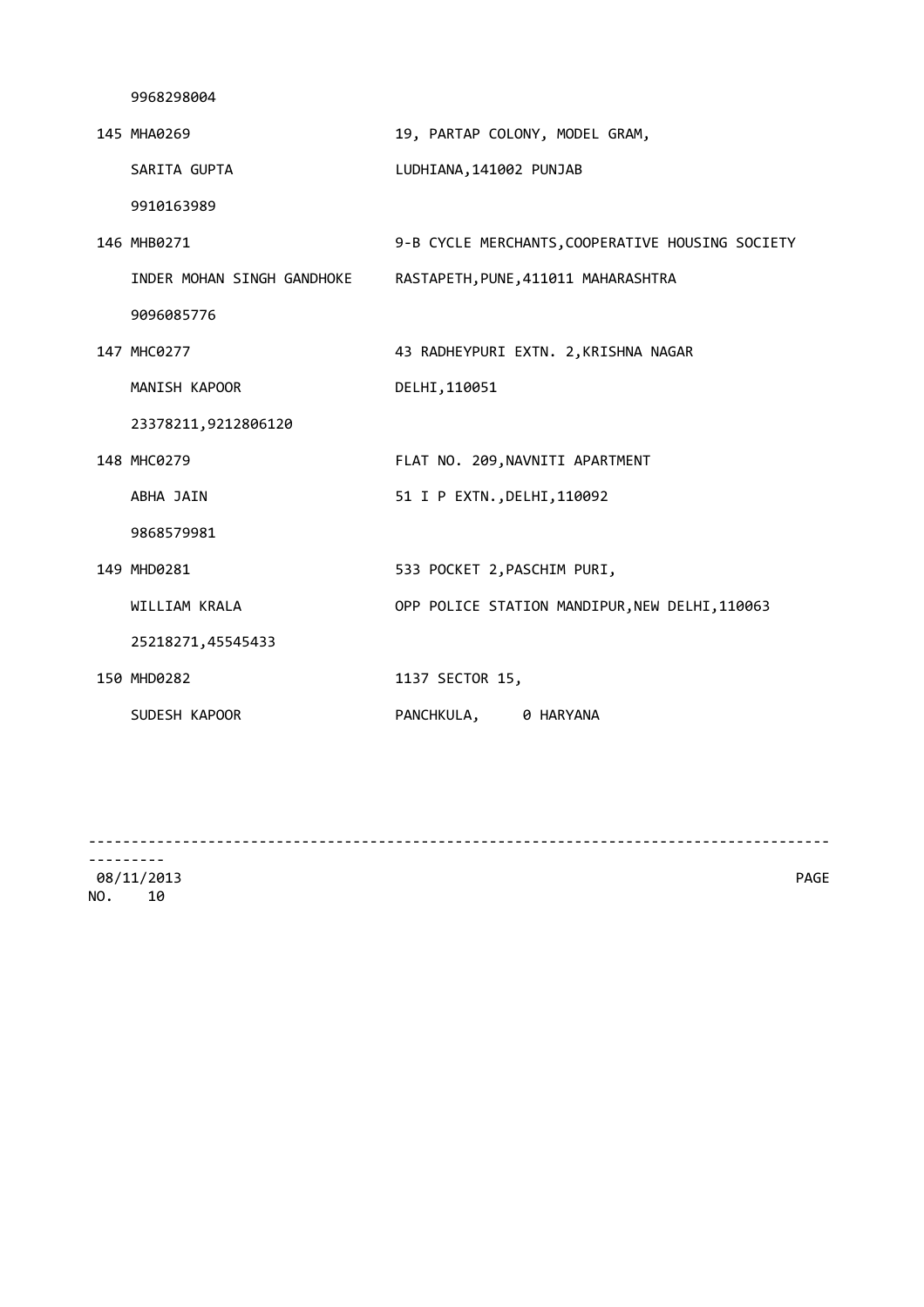| 145 MHA0269                | 19, PARTAP COLONY, MODEL GRAM,                   |
|----------------------------|--------------------------------------------------|
| SARITA GUPTA               | LUDHIANA, 141002 PUNJAB                          |
| 9910163989                 |                                                  |
| 146 MHB0271                | 9-B CYCLE MERCHANTS, COOPERATIVE HOUSING SOCIETY |
| INDER MOHAN SINGH GANDHOKE | RASTAPETH, PUNE, 411011 MAHARASHTRA              |
| 9096085776                 |                                                  |
| 147 MHC0277                | 43 RADHEYPURI EXTN. 2, KRISHNA NAGAR             |
| MANISH KAPOOR              | DELHI, 110051                                    |
| 23378211,9212806120        |                                                  |
| 148 MHC0279                | FLAT NO. 209, NAVNITI APARTMENT                  |
| ABHA JAIN                  | 51 I P EXTN., DELHI, 110092                      |
| 9868579981                 |                                                  |
| 149 MHD0281                | 533 POCKET 2, PASCHIM PURI,                      |
| WILLIAM KRALA              | OPP POLICE STATION MANDIPUR, NEW DELHI, 110063   |
| 25218271,45545433          |                                                  |
| 150 MHD0282                | 1137 SECTOR 15,                                  |
| SUDESH KAPOOR              | PANCHKULA, 0 HARYANA                             |

---------------------------------------------------------------------------------------

--------- 08/11/2013 PAGE NO. 10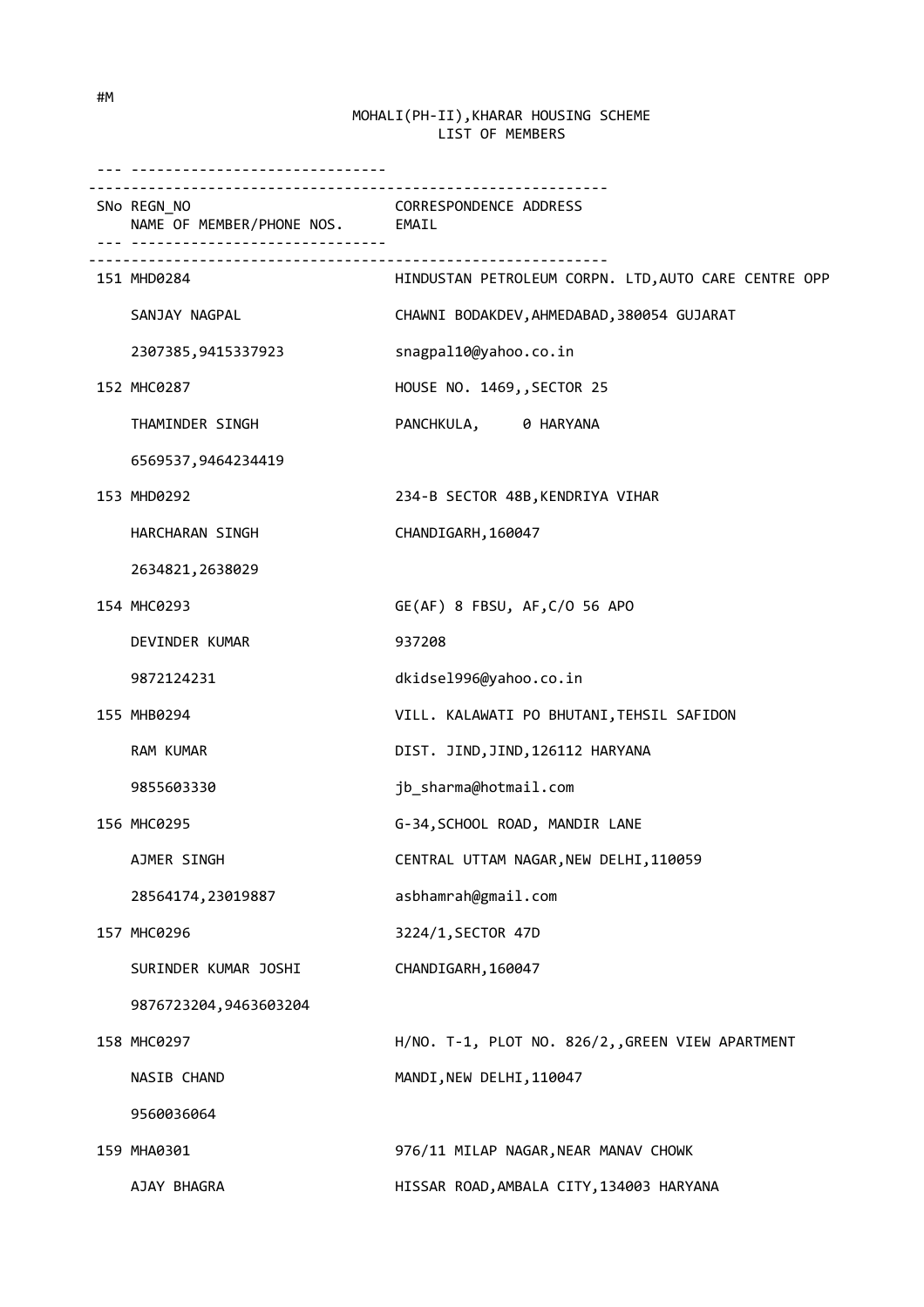| __________________________________             |                                                      |
|------------------------------------------------|------------------------------------------------------|
| SNo REGN_NO<br>NAME OF MEMBER/PHONE NOS. EMAIL | <b>CORRESPONDENCE ADDRESS</b>                        |
| 151 MHD0284                                    | HINDUSTAN PETROLEUM CORPN. LTD, AUTO CARE CENTRE OPP |
| SANJAY NAGPAL                                  | CHAWNI BODAKDEV, AHMEDABAD, 380054 GUJARAT           |
| 2307385,9415337923                             | snagpal10@yahoo.co.in                                |
| 152 MHC0287                                    | HOUSE NO. 1469,, SECTOR 25                           |
| THAMINDER SINGH                                | PANCHKULA, 0 HARYANA                                 |
| 6569537,9464234419                             |                                                      |
| 153 MHD0292                                    | 234-B SECTOR 48B, KENDRIYA VIHAR                     |
| HARCHARAN SINGH                                | CHANDIGARH, 160047                                   |
| 2634821, 2638029                               |                                                      |
| 154 MHC0293                                    | GE(AF) 8 FBSU, AF, C/O 56 APO                        |
| DEVINDER KUMAR                                 | 937208                                               |
| 9872124231                                     | dkidsel996@yahoo.co.in                               |
| 155 MHB0294                                    | VILL. KALAWATI PO BHUTANI, TEHSIL SAFIDON            |
| RAM KUMAR                                      | DIST. JIND, JIND, 126112 HARYANA                     |
| 9855603330                                     | jb_sharma@hotmail.com                                |
| 156 MHC0295                                    | G-34, SCHOOL ROAD, MANDIR LANE                       |
| AJMER SINGH                                    | CENTRAL UTTAM NAGAR, NEW DELHI, 110059               |
| 28564174, 23019887                             | asbhamrah@gmail.com                                  |
| 157 MHC0296                                    | 3224/1, SECTOR 47D                                   |
| SURINDER KUMAR JOSHI                           | CHANDIGARH, 160047                                   |
| 9876723204,9463603204                          |                                                      |
| 158 MHC0297                                    | H/NO. T-1, PLOT NO. 826/2, GREEN VIEW APARTMENT      |
| NASIB CHAND                                    | MANDI, NEW DELHI, 110047                             |
| 9560036064                                     |                                                      |
| 159 MHA0301                                    | 976/11 MILAP NAGAR, NEAR MANAV CHOWK                 |
| AJAY BHAGRA                                    | HISSAR ROAD, AMBALA CITY, 134003 HARYANA             |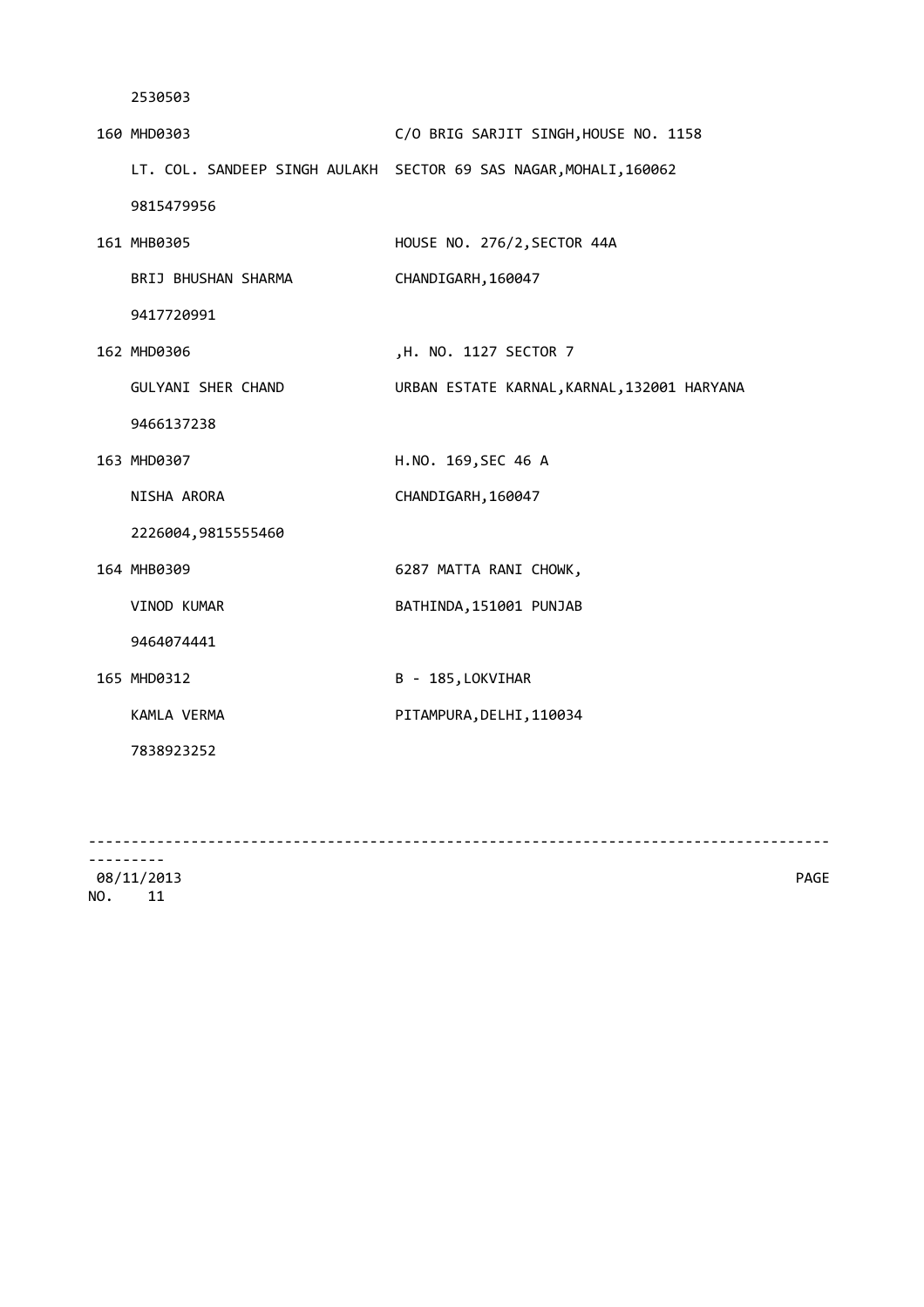| 160 MHD0303         | C/O BRIG SARJIT SINGH, HOUSE NO. 1158                             |
|---------------------|-------------------------------------------------------------------|
|                     | LT. COL. SANDEEP SINGH AULAKH SECTOR 69 SAS NAGAR, MOHALI, 160062 |
| 9815479956          |                                                                   |
| 161 MHB0305         | HOUSE NO. 276/2, SECTOR 44A                                       |
| BRIJ BHUSHAN SHARMA | CHANDIGARH, 160047                                                |
| 9417720991          |                                                                   |
| 162 MHD0306         | ,H. NO. 1127 SECTOR 7                                             |
| GULYANI SHER CHAND  | URBAN ESTATE KARNAL, KARNAL, 132001 HARYANA                       |
| 9466137238          |                                                                   |
| 163 MHD0307         | H.NO. 169, SEC 46 A                                               |
| NISHA ARORA         | CHANDIGARH, 160047                                                |
| 2226004,9815555460  |                                                                   |
| 164 MHB0309         | 6287 MATTA RANI CHOWK,                                            |
| VINOD KUMAR         | BATHINDA, 151001 PUNJAB                                           |
| 9464074441          |                                                                   |
| 165 MHD0312         | B - 185, LOKVIHAR                                                 |
| KAMLA VERMA         | PITAMPURA, DELHI, 110034                                          |
| 7838923252          |                                                                   |
|                     |                                                                   |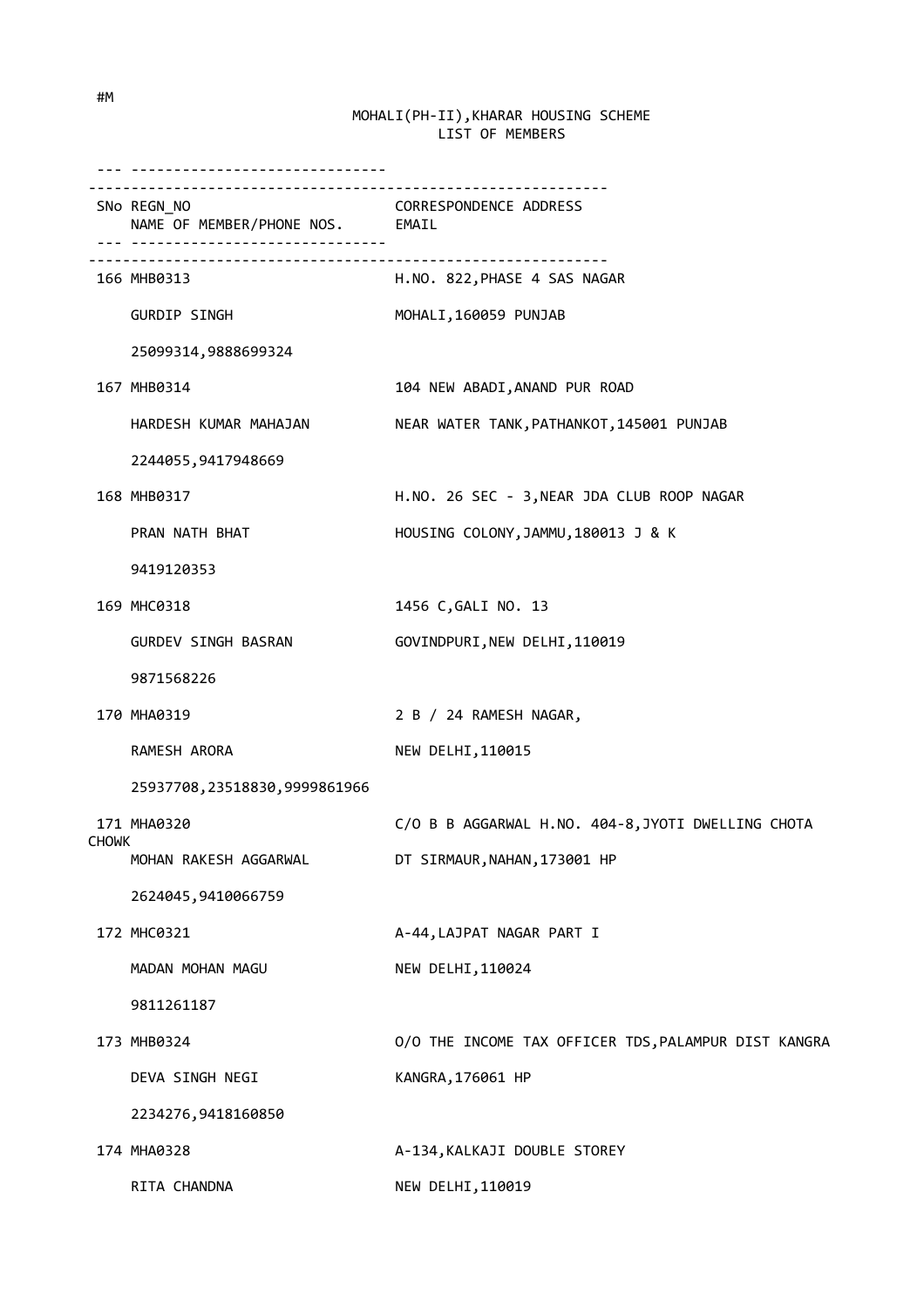|       | ---------------------------<br>REGN_NO<br>NAME OF MEMBER/PHONE NOS. EMAIL<br>SNo REGN_NO |                                                      |
|-------|------------------------------------------------------------------------------------------|------------------------------------------------------|
|       | 166 MHB0313                                                                              | H.NO. 822,PHASE 4 SAS NAGAR                          |
|       | GURDIP SINGH                                                                             | MOHALI, 160059 PUNJAB                                |
|       | 25099314,9888699324                                                                      |                                                      |
|       | 167 MHB0314                                                                              | 104 NEW ABADI, ANAND PUR ROAD                        |
|       | HARDESH KUMAR MAHAJAN                                                                    | NEAR WATER TANK, PATHANKOT, 145001 PUNJAB            |
|       | 2244055,9417948669                                                                       |                                                      |
|       | 168 MHB0317                                                                              | H.NO. 26 SEC - 3, NEAR JDA CLUB ROOP NAGAR           |
|       | PRAN NATH BHAT                                                                           | HOUSING COLONY, JAMMU, 180013 J & K                  |
|       | 9419120353                                                                               |                                                      |
|       | 169 MHC0318                                                                              | 1456 C, GALI NO. 13                                  |
|       | GURDEV SINGH BASRAN                                                                      | GOVINDPURI, NEW DELHI, 110019                        |
|       | 9871568226                                                                               |                                                      |
|       | 170 MHA0319                                                                              | 2 B / 24 RAMESH NAGAR,                               |
|       | RAMESH ARORA                                                                             | NEW DELHI, 110015                                    |
|       | 25937708,23518830,9999861966                                                             |                                                      |
|       | 171 MHA0320                                                                              | C/O B B AGGARWAL H.NO. 404-8, JYOTI DWELLING CHOTA   |
| CHOWK | MOHAN RAKESH AGGARWAL                                                                    | DT SIRMAUR, NAHAN, 173001 HP                         |
|       | 2624045,9410066759                                                                       |                                                      |
|       | 172 MHC0321                                                                              | A-44, LAJPAT NAGAR PART I                            |
|       | MADAN MOHAN MAGU                                                                         | NEW DELHI, 110024                                    |
|       | 9811261187                                                                               |                                                      |
|       | 173 MHB0324                                                                              | O/O THE INCOME TAX OFFICER TDS, PALAMPUR DIST KANGRA |
|       | DEVA SINGH NEGI                                                                          | KANGRA, 176061 HP                                    |
|       | 2234276,9418160850                                                                       |                                                      |
|       | 174 MHA0328                                                                              | A-134, KALKAJI DOUBLE STOREY                         |
|       | RITA CHANDNA                                                                             | NEW DELHI, 110019                                    |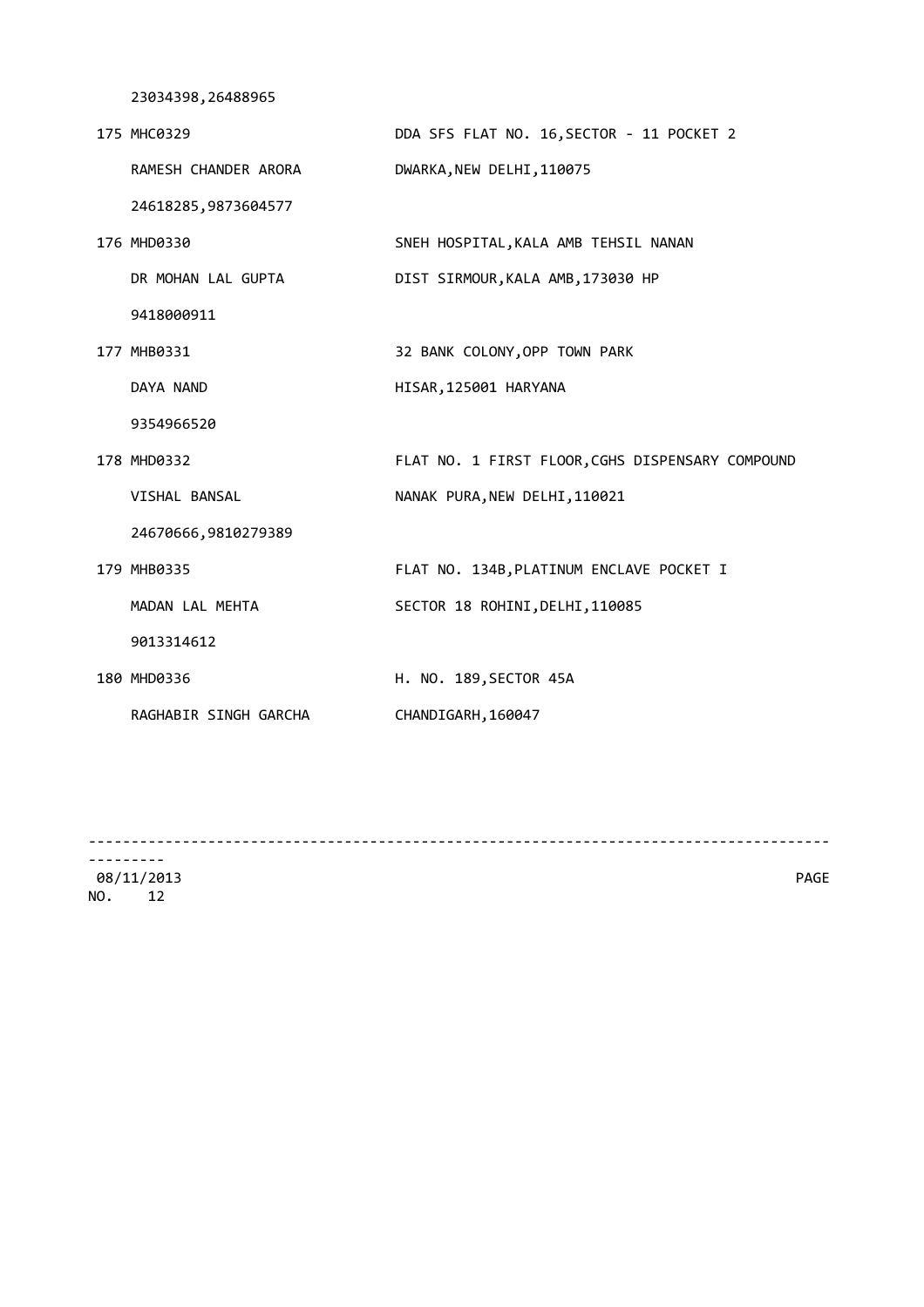23034398,26488965

| 175 MHC0329           | DDA SFS FLAT NO. 16, SECTOR - 11 POCKET 2        |
|-----------------------|--------------------------------------------------|
| RAMESH CHANDER ARORA  | DWARKA, NEW DELHI, 110075                        |
| 24618285,9873604577   |                                                  |
| 176 MHD0330           | SNEH HOSPITAL, KALA AMB TEHSIL NANAN             |
| DR MOHAN LAL GUPTA    | DIST SIRMOUR, KALA AMB, 173030 HP                |
| 9418000911            |                                                  |
| 177 MHB0331           | 32 BANK COLONY, OPP TOWN PARK                    |
| DAYA NAND             | HISAR, 125001 HARYANA                            |
| 9354966520            |                                                  |
| 178 MHD0332           | FLAT NO. 1 FIRST FLOOR, CGHS DISPENSARY COMPOUND |
| VISHAL BANSAL         | NANAK PURA, NEW DELHI, 110021                    |
| 24670666,9810279389   |                                                  |
| 179 MHB0335           | FLAT NO. 134B, PLATINUM ENCLAVE POCKET I         |
| MADAN LAL MEHTA       | SECTOR 18 ROHINI, DELHI, 110085                  |
| 9013314612            |                                                  |
| 180 MHD0336           | H. NO. 189, SECTOR 45A                           |
| RAGHABIR SINGH GARCHA | CHANDIGARH, 160047                               |
|                       |                                                  |

---------------------------------------------------------------------------------------

--------- 08/11/2013 PAGE NO. 12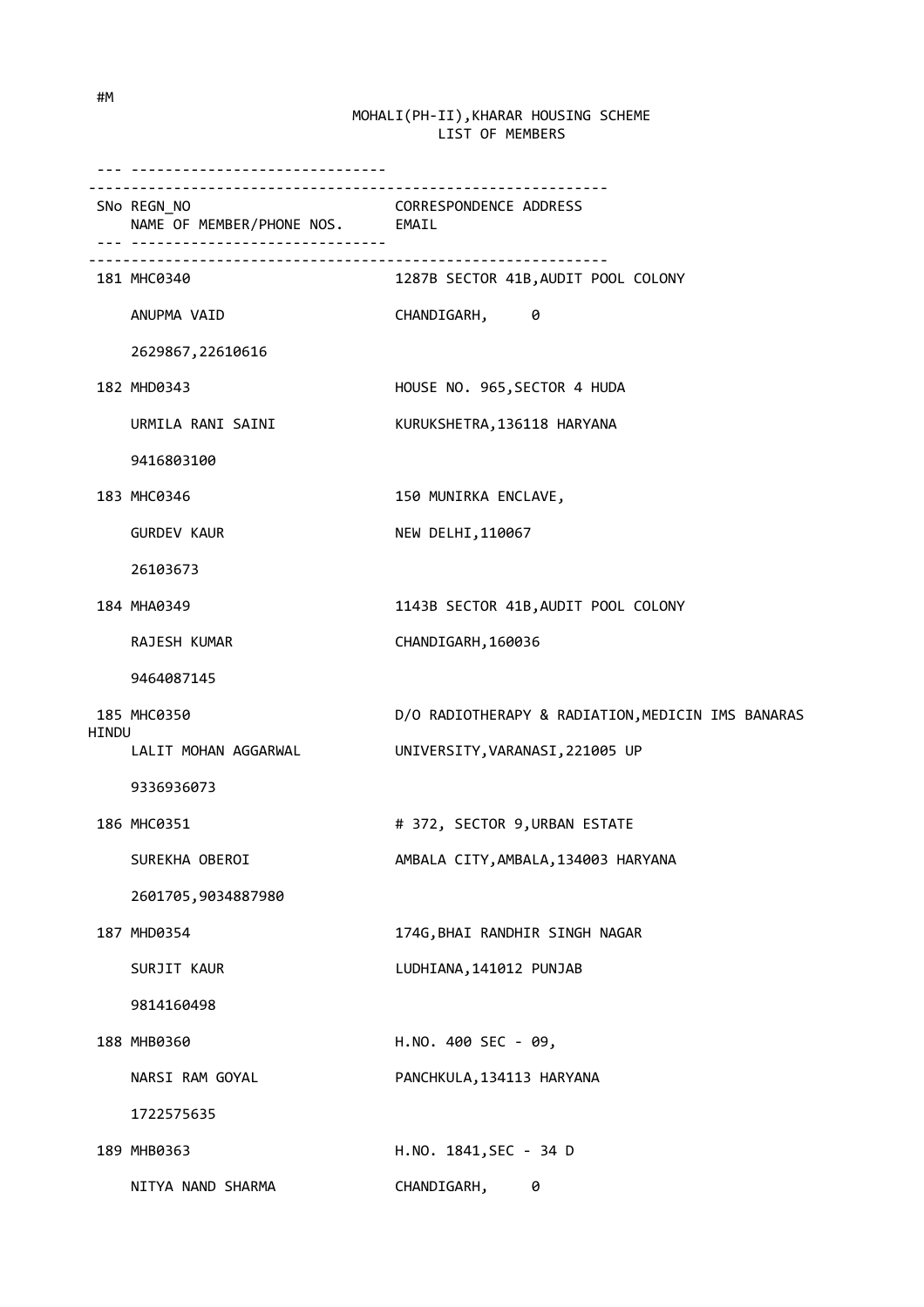|       | SNo REGN_NO<br>NAME OF MEMBER/PHONE NOS. EMAIL | CORRESPONDENCE ADDRESS                            |
|-------|------------------------------------------------|---------------------------------------------------|
|       | 181 MHC0340                                    | 1287B SECTOR 41B, AUDIT POOL COLONY               |
|       | ANUPMA VAID                                    | CHANDIGARH, 0                                     |
|       | 2629867, 22610616                              |                                                   |
|       | 182 MHD0343                                    | HOUSE NO. 965, SECTOR 4 HUDA                      |
|       | URMILA RANI SAINI                              | KURUKSHETRA, 136118 HARYANA                       |
|       | 9416803100                                     |                                                   |
|       | 183 MHC0346                                    | 150 MUNIRKA ENCLAVE,                              |
|       | <b>GURDEV KAUR</b>                             | NEW DELHI, 110067                                 |
|       | 26103673                                       |                                                   |
|       | 184 MHA0349                                    | 1143B SECTOR 41B, AUDIT POOL COLONY               |
|       | RAJESH KUMAR                                   | CHANDIGARH, 160036                                |
|       | 9464087145                                     |                                                   |
|       | 185 MHC0350                                    | D/O RADIOTHERAPY & RADIATION, MEDICIN IMS BANARAS |
| HINDU | LALIT MOHAN AGGARWAL                           | UNIVERSITY, VARANASI, 221005 UP                   |
|       | 9336936073                                     |                                                   |
|       | 186 MHC0351                                    | # 372, SECTOR 9, URBAN ESTATE                     |
|       | SUREKHA OBEROI                                 | AMBALA CITY, AMBALA, 134003 HARYANA               |
|       | 2601705,9034887980                             |                                                   |
|       | 187 MHD0354                                    | 174G, BHAI RANDHIR SINGH NAGAR                    |
|       | SURJIT KAUR                                    | LUDHIANA, 141012 PUNJAB                           |
|       | 9814160498                                     |                                                   |
|       | 188 MHB0360                                    | H.NO. 400 SEC - 09,                               |
|       | NARSI RAM GOYAL                                | PANCHKULA, 134113 HARYANA                         |
|       | 1722575635                                     |                                                   |
|       | 189 MHB0363                                    | H.NO. 1841, SEC - 34 D                            |
|       | NITYA NAND SHARMA                              | CHANDIGARH, 0                                     |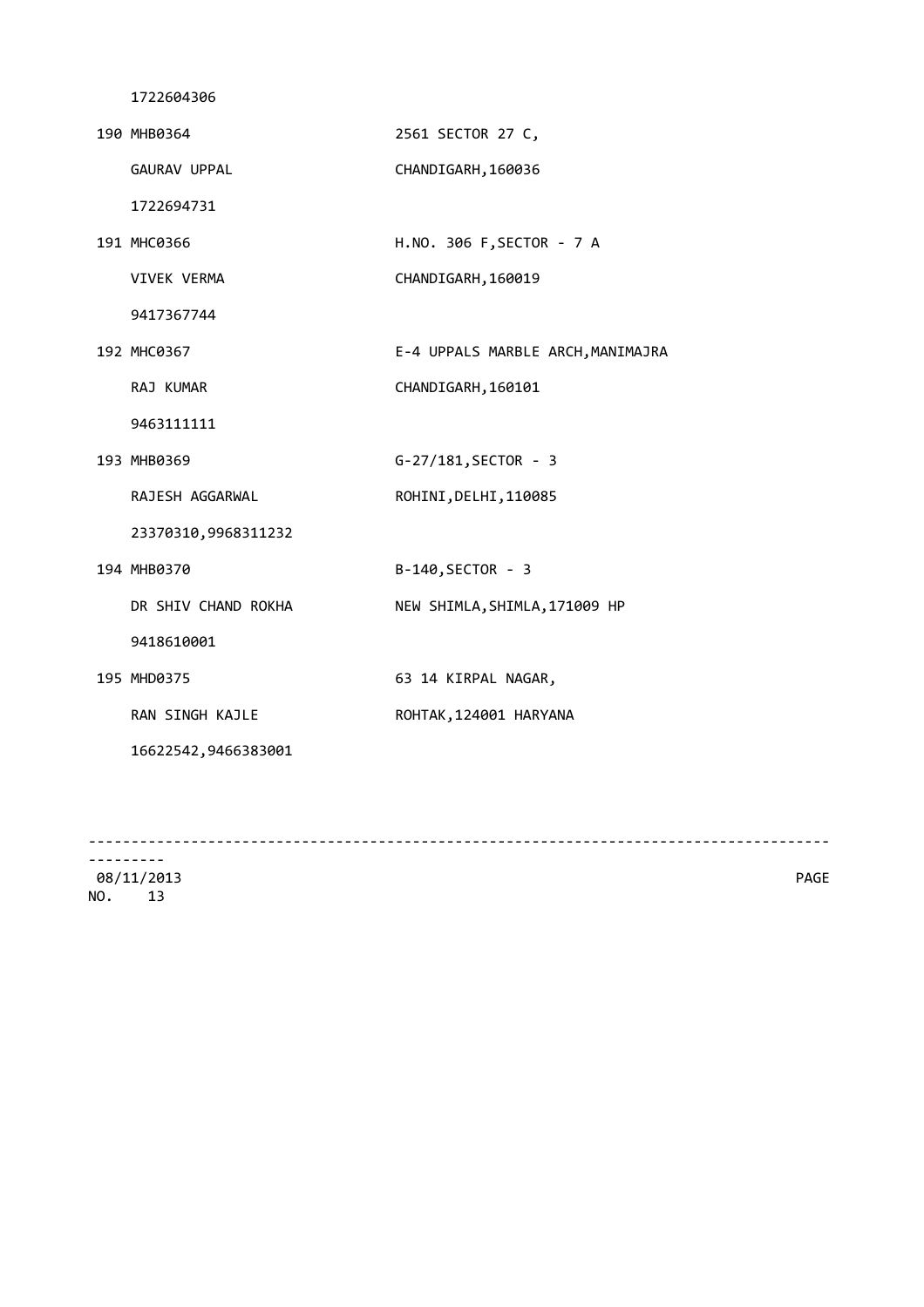| 190 MHB0364         | 2561 SECTOR 27 C,                 |
|---------------------|-----------------------------------|
| GAURAV UPPAL        | CHANDIGARH, 160036                |
| 1722694731          |                                   |
| 191 MHC0366         | H.NO. 306 F, SECTOR - 7 A         |
| <b>VIVEK VERMA</b>  | CHANDIGARH, 160019                |
| 9417367744          |                                   |
| 192 MHC0367         | E-4 UPPALS MARBLE ARCH, MANIMAJRA |
| RAJ KUMAR           | CHANDIGARH, 160101                |
| 9463111111          |                                   |
| 193 MHB0369         | G-27/181, SECTOR - 3              |
| RAJESH AGGARWAL     | ROHINI, DELHI, 110085             |
| 23370310,9968311232 |                                   |
| 194 MHB0370         | B-140, SECTOR - 3                 |
| DR SHIV CHAND ROKHA | NEW SHIMLA, SHIMLA, 171009 HP     |
| 9418610001          |                                   |
| 195 MHD0375         | 63 14 KIRPAL NAGAR,               |
| RAN SINGH KAJLE     | ROHTAK, 124001 HARYANA            |
| 16622542,9466383001 |                                   |
|                     |                                   |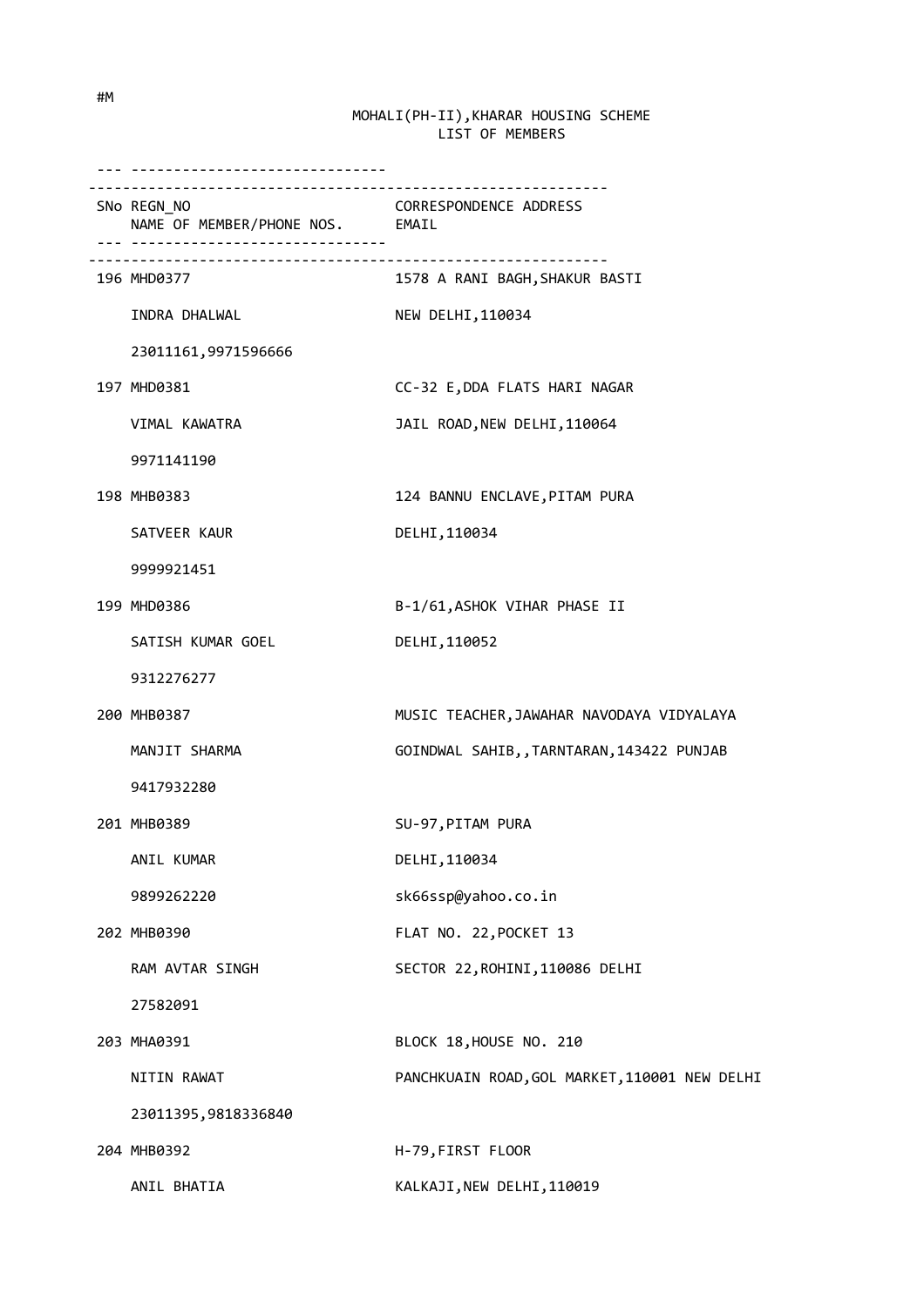| .                                                                               |                                                                   |
|---------------------------------------------------------------------------------|-------------------------------------------------------------------|
| -----------------------------<br>SNo REGN_NO<br>NAME OF MEMBER/PHONE NOS. EMAIL | CORRESPONDENCE ADDRESS                                            |
| 196 MHD0377                                                                     | <u>------------------------</u><br>1578 A RANI BAGH, SHAKUR BASTI |
| INDRA DHALWAL                                                                   | NEW DELHI, 110034                                                 |
| 23011161,9971596666                                                             |                                                                   |
| 197 MHD0381                                                                     | CC-32 E, DDA FLATS HARI NAGAR                                     |
| VIMAL KAWATRA                                                                   | JAIL ROAD, NEW DELHI, 110064                                      |
| 9971141190                                                                      |                                                                   |
| 198 MHB0383                                                                     | 124 BANNU ENCLAVE, PITAM PURA                                     |
| SATVEER KAUR                                                                    | DELHI, 110034                                                     |
| 9999921451                                                                      |                                                                   |
| 199 MHD0386                                                                     | B-1/61, ASHOK VIHAR PHASE II                                      |
| SATISH KUMAR GOEL                                                               | DELHI, 110052                                                     |
| 9312276277                                                                      |                                                                   |
| 200 MHB0387                                                                     | MUSIC TEACHER, JAWAHAR NAVODAYA VIDYALAYA                         |
| MANJIT SHARMA                                                                   | GOINDWAL SAHIB, , TARNTARAN, 143422 PUNJAB                        |
| 9417932280                                                                      |                                                                   |
| 201 MHB0389                                                                     | SU-97, PITAM PURA                                                 |
| ANIL KUMAR                                                                      | DELHI, 110034                                                     |
| 9899262220                                                                      | sk66ssp@yahoo.co.in                                               |
| 202 MHB0390                                                                     | FLAT NO. 22, POCKET 13                                            |
| RAM AVTAR SINGH                                                                 | SECTOR 22, ROHINI, 110086 DELHI                                   |
| 27582091                                                                        |                                                                   |
| 203 MHA0391                                                                     | BLOCK 18, HOUSE NO. 210                                           |
| NITIN RAWAT                                                                     | PANCHKUAIN ROAD, GOL MARKET, 110001 NEW DELHI                     |
| 23011395,9818336840                                                             |                                                                   |
| 204 MHB0392                                                                     | H-79, FIRST FLOOR                                                 |
| ANIL BHATIA                                                                     | KALKAJI, NEW DELHI, 110019                                        |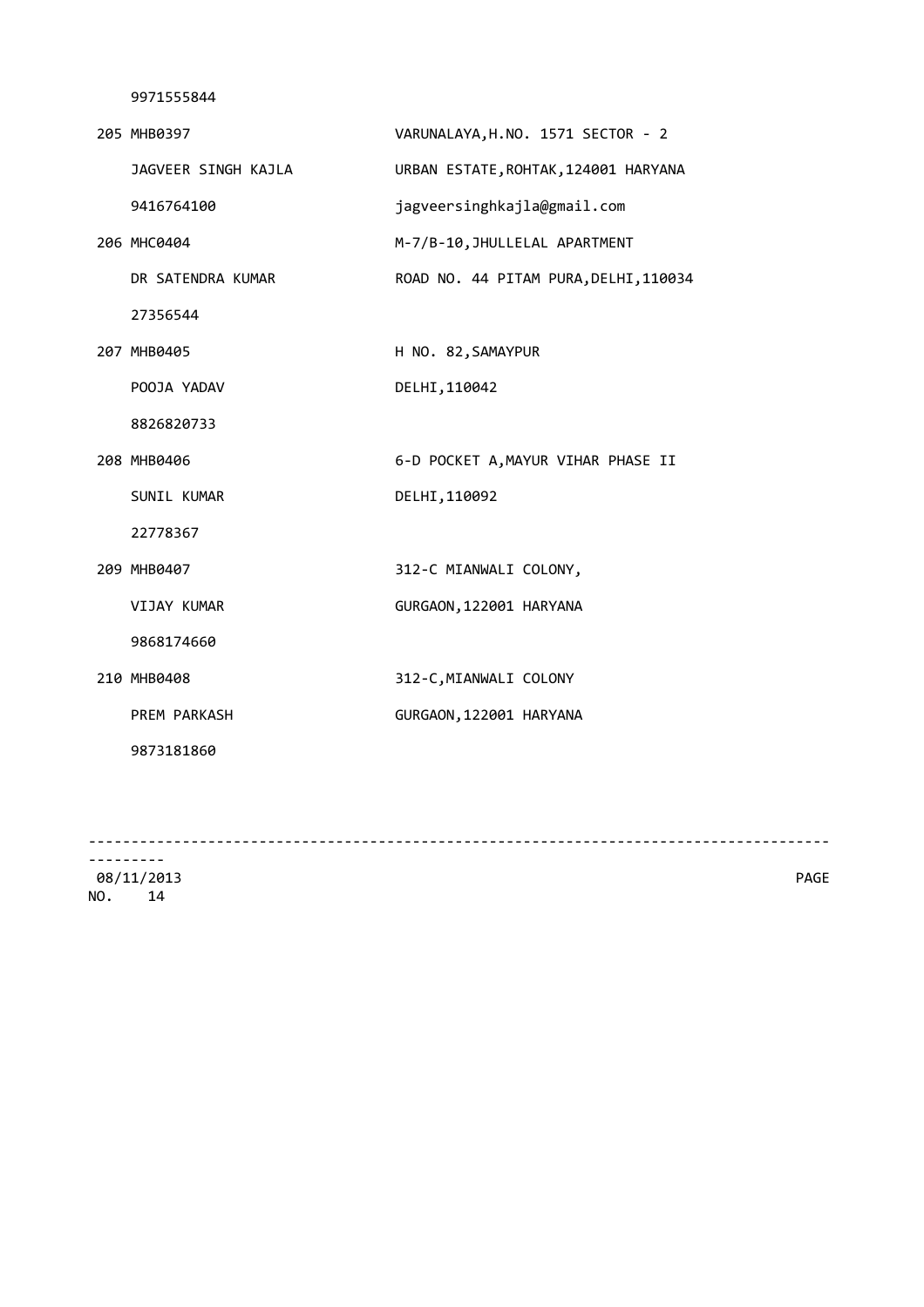|  | 205 MHB0397         | VARUNALAYA, H.NO. 1571 SECTOR - 2     |
|--|---------------------|---------------------------------------|
|  | JAGVEER SINGH KAJLA | URBAN ESTATE, ROHTAK, 124001 HARYANA  |
|  | 9416764100          | jagveersinghkajla@gmail.com           |
|  | 206 MHC0404         | M-7/B-10, JHULLELAL APARTMENT         |
|  | DR SATENDRA KUMAR   | ROAD NO. 44 PITAM PURA, DELHI, 110034 |
|  | 27356544            |                                       |
|  | 207 MHB0405         | H NO. 82, SAMAYPUR                    |
|  | POOJA YADAV         | DELHI, 110042                         |
|  | 8826820733          |                                       |
|  | 208 MHB0406         | 6-D POCKET A, MAYUR VIHAR PHASE II    |
|  | SUNIL KUMAR         | DELHI, 110092                         |
|  | 22778367            |                                       |
|  | 209 MHB0407         | 312-C MIANWALI COLONY,                |
|  | VIJAY KUMAR         | GURGAON, 122001 HARYANA               |
|  | 9868174660          |                                       |
|  | 210 MHB0408         | 312-C, MIANWALI COLONY                |
|  | PREM PARKASH        | GURGAON, 122001 HARYANA               |
|  | 9873181860          |                                       |
|  |                     |                                       |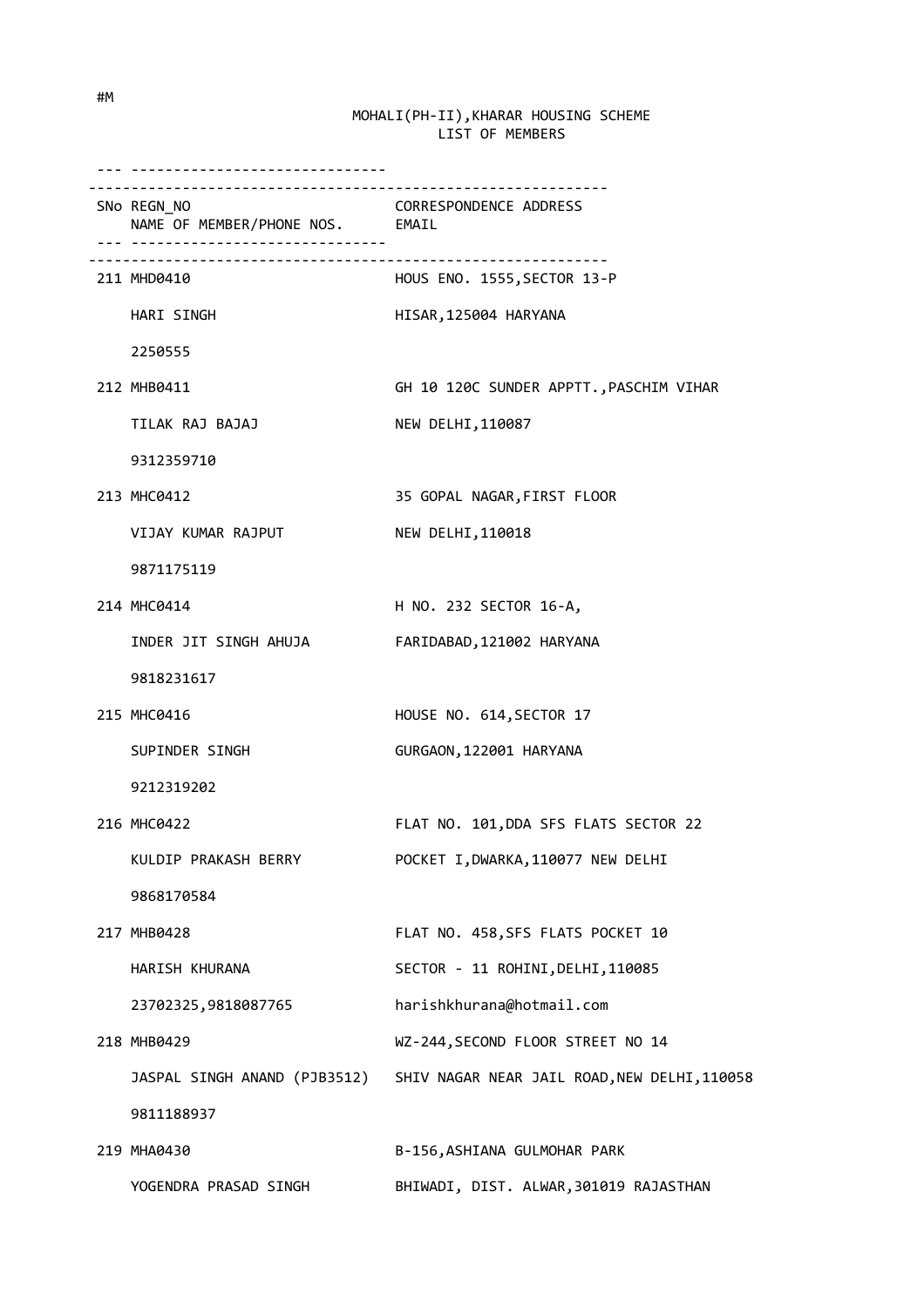| <u>. </u>                                      |                                                                           |
|------------------------------------------------|---------------------------------------------------------------------------|
| SNo REGN_NO<br>NAME OF MEMBER/PHONE NOS. EMAIL | CORRESPONDENCE ADDRESS                                                    |
| 211 MHD0410                                    | HOUS ENO. 1555, SECTOR 13-P                                               |
| HARI SINGH                                     | HISAR, 125004 HARYANA                                                     |
| 2250555                                        |                                                                           |
| 212 MHB0411                                    | GH 10 120C SUNDER APPTT., PASCHIM VIHAR                                   |
| TILAK RAJ BAJAJ                                | NEW DELHI, 110087                                                         |
| 9312359710                                     |                                                                           |
| 213 MHC0412                                    | 35 GOPAL NAGAR, FIRST FLOOR                                               |
| VIJAY KUMAR RAJPUT                             | NEW DELHI, 110018                                                         |
| 9871175119                                     |                                                                           |
| 214 MHC0414                                    | H NO. 232 SECTOR 16-A,                                                    |
| INDER JIT SINGH AHUJA                          | FARIDABAD, 121002 HARYANA                                                 |
| 9818231617                                     |                                                                           |
| 215 MHC0416                                    | HOUSE NO. 614, SECTOR 17                                                  |
| SUPINDER SINGH                                 | GURGAON, 122001 HARYANA                                                   |
| 9212319202                                     |                                                                           |
| 216 MHC0422                                    | FLAT NO. 101, DDA SFS FLATS SECTOR 22                                     |
| KULDIP PRAKASH BERRY                           | POCKET I, DWARKA, 110077 NEW DELHI                                        |
| 9868170584                                     |                                                                           |
| 217 MHB0428                                    | FLAT NO. 458, SFS FLATS POCKET 10                                         |
| HARISH KHURANA                                 | SECTOR - 11 ROHINI, DELHI, 110085                                         |
| 23702325,9818087765                            | harishkhurana@hotmail.com                                                 |
| 218 MHB0429                                    | WZ-244, SECOND FLOOR STREET NO 14                                         |
|                                                | JASPAL SINGH ANAND (PJB3512) SHIV NAGAR NEAR JAIL ROAD, NEW DELHI, 110058 |
| 9811188937                                     |                                                                           |
| 219 MHA0430                                    | B-156, ASHIANA GULMOHAR PARK                                              |
| YOGENDRA PRASAD SINGH                          | BHIWADI, DIST. ALWAR, 301019 RAJASTHAN                                    |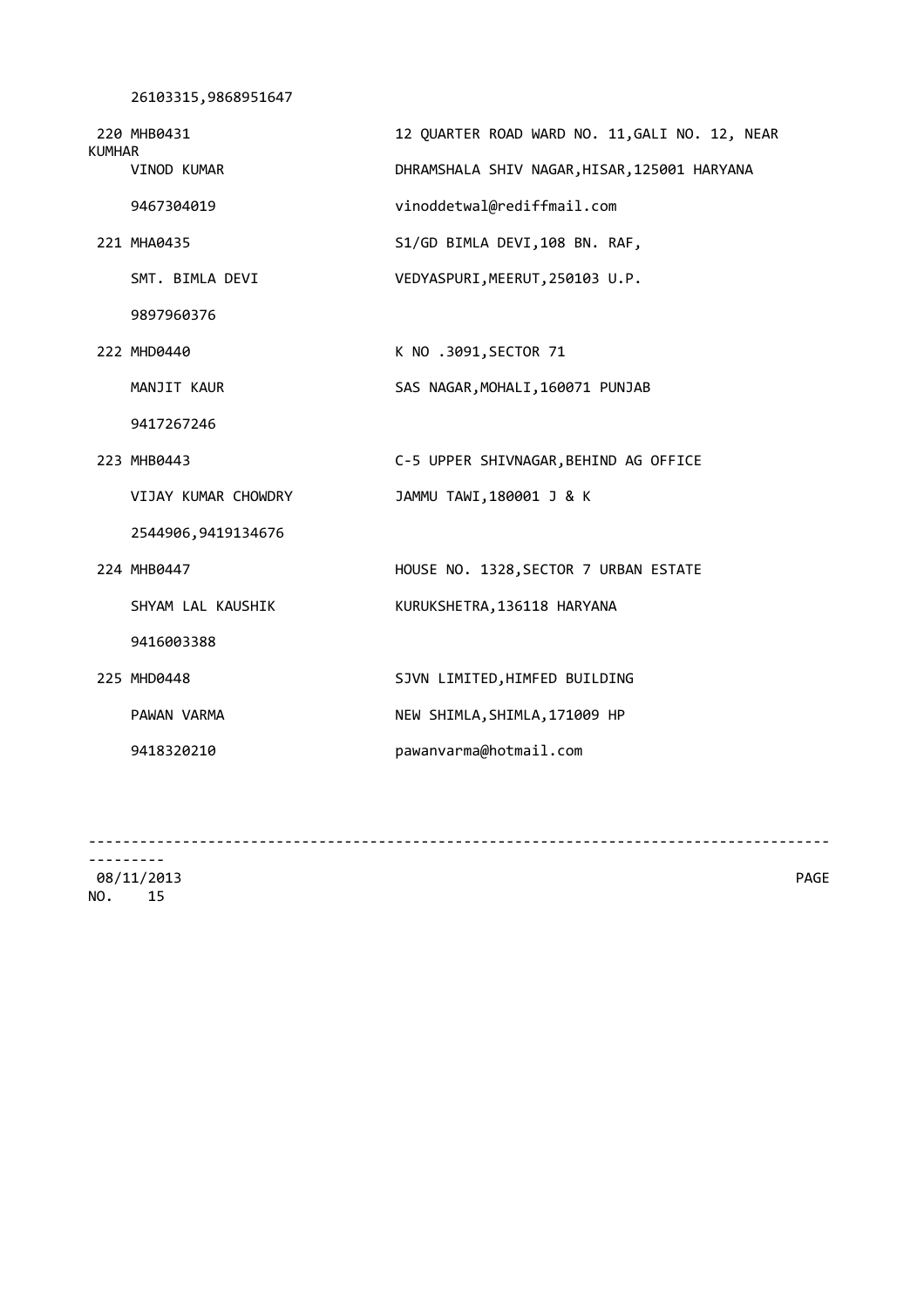```
 26103315,9868951647
```

| <b>KUMHAR</b> | 220 MHB0431         | 12 QUARTER ROAD WARD NO. 11, GALI NO. 12, NEAR |
|---------------|---------------------|------------------------------------------------|
|               | VINOD KUMAR         | DHRAMSHALA SHIV NAGAR, HISAR, 125001 HARYANA   |
|               | 9467304019          | vinoddetwal@rediffmail.com                     |
|               | 221 MHA0435         | S1/GD BIMLA DEVI, 108 BN. RAF,                 |
|               | SMT. BIMLA DEVI     | VEDYASPURI, MEERUT, 250103 U.P.                |
|               | 9897960376          |                                                |
|               | 222 MHD0440         | K NO .3091, SECTOR 71                          |
|               | MANJIT KAUR         | SAS NAGAR, MOHALI, 160071 PUNJAB               |
|               | 9417267246          |                                                |
|               | 223 MHB0443         | C-5 UPPER SHIVNAGAR, BEHIND AG OFFICE          |
|               | VIJAY KUMAR CHOWDRY | JAMMU TAWI, 180001 J & K                       |
|               | 2544906,9419134676  |                                                |
|               | 224 MHB0447         | HOUSE NO. 1328, SECTOR 7 URBAN ESTATE          |
|               | SHYAM LAL KAUSHIK   | KURUKSHETRA, 136118 HARYANA                    |
|               | 9416003388          |                                                |
|               | 225 MHD0448         | SJVN LIMITED, HIMFED BUILDING                  |
|               | PAWAN VARMA         | NEW SHIMLA, SHIMLA, 171009 HP                  |
|               | 9418320210          | pawanvarma@hotmail.com                         |
|               |                     |                                                |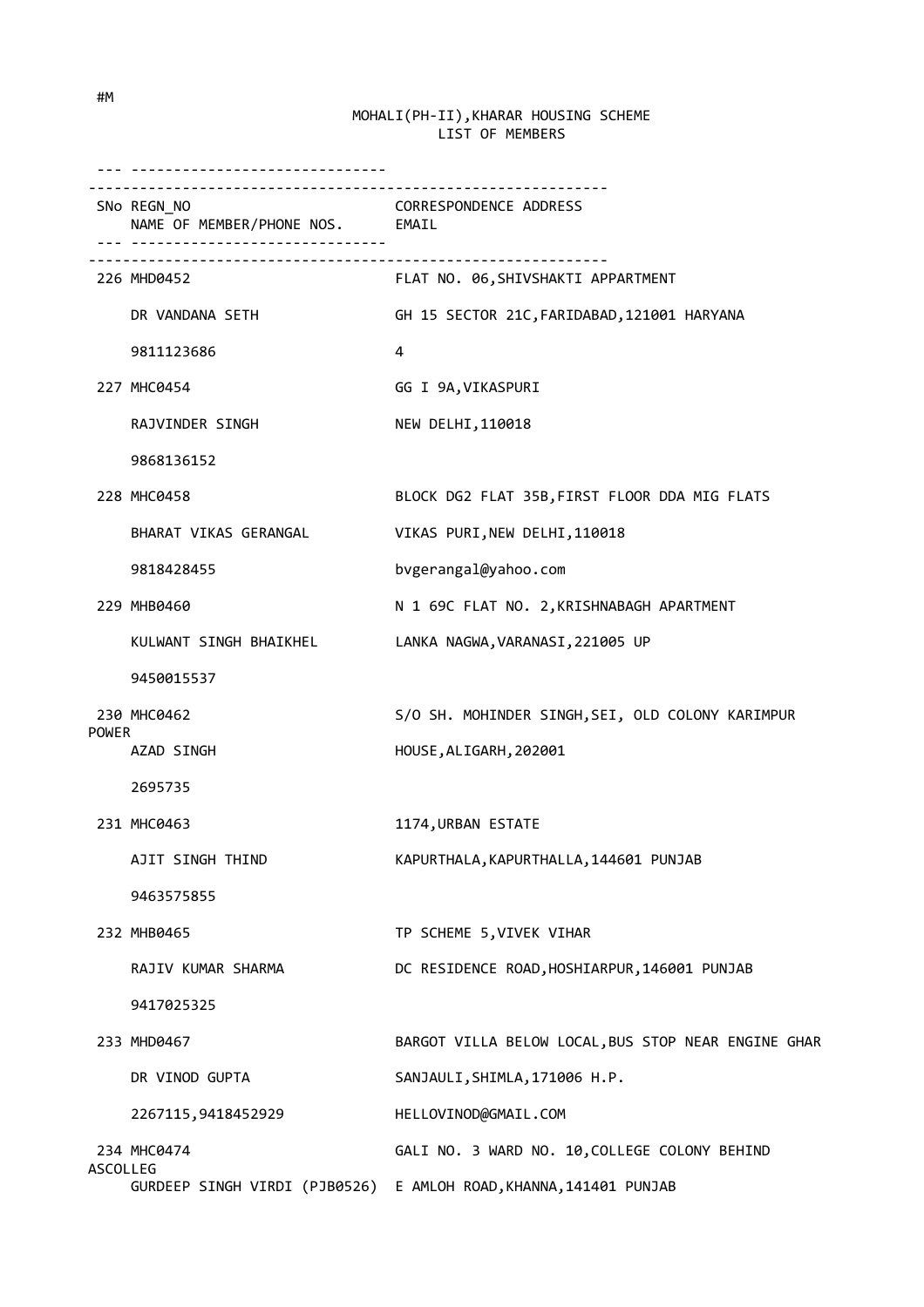|              | -------------------------------                                                 |                                                                   |
|--------------|---------------------------------------------------------------------------------|-------------------------------------------------------------------|
|              | -----------------------------<br>SNo REGN_NO<br>NAME OF MEMBER/PHONE NOS. EMAIL | <b>CORRESPONDENCE ADDRESS</b>                                     |
|              | 226 MHD0452                                                                     | FLAT NO. 06, SHIVSHAKTI APPARTMENT                                |
|              | DR VANDANA SETH                                                                 | GH 15 SECTOR 21C, FARIDABAD, 121001 HARYANA                       |
|              | 9811123686                                                                      | 4                                                                 |
|              | 227 MHC0454                                                                     | GG I 9A, VIKASPURI                                                |
|              | RAJVINDER SINGH                                                                 | NEW DELHI, 110018                                                 |
|              | 9868136152                                                                      |                                                                   |
|              | 228 MHC0458                                                                     | BLOCK DG2 FLAT 35B, FIRST FLOOR DDA MIG FLATS                     |
|              | BHARAT VIKAS GERANGAL                                                           | VIKAS PURI, NEW DELHI, 110018                                     |
|              | 9818428455                                                                      | bvgerangal@yahoo.com                                              |
|              | 229 MHB0460                                                                     | N 1 69C FLAT NO. 2, KRISHNABAGH APARTMENT                         |
|              | KULWANT SINGH BHAIKHEL                                                          | LANKA NAGWA, VARANASI, 221005 UP                                  |
|              | 9450015537                                                                      |                                                                   |
| <b>POWER</b> | 230 MHC0462                                                                     | S/O SH. MOHINDER SINGH, SEI, OLD COLONY KARIMPUR                  |
|              | AZAD SINGH                                                                      | HOUSE, ALIGARH, 202001                                            |
|              | 2695735                                                                         |                                                                   |
|              | 231 MHC0463                                                                     | 1174, URBAN ESTATE                                                |
|              | AJIT SINGH THIND                                                                | KAPURTHALA, KAPURTHALLA, 144601 PUNJAB                            |
|              | 9463575855                                                                      |                                                                   |
|              | 232 MHB0465                                                                     | TP SCHEME 5, VIVEK VIHAR                                          |
|              | RAJIV KUMAR SHARMA                                                              | DC RESIDENCE ROAD, HOSHIARPUR, 146001 PUNJAB                      |
|              | 9417025325                                                                      |                                                                   |
|              | 233 MHD0467                                                                     | BARGOT VILLA BELOW LOCAL, BUS STOP NEAR ENGINE GHAR               |
|              | DR VINOD GUPTA                                                                  | SANJAULI, SHIMLA, 171006 H.P.                                     |
|              | 2267115,9418452929                                                              | HELLOVINOD@GMAIL.COM                                              |
|              | 234 MHC0474                                                                     | GALI NO. 3 WARD NO. 10, COLLEGE COLONY BEHIND                     |
| ASCOLLEG     |                                                                                 | GURDEEP SINGH VIRDI (PJB0526) E AMLOH ROAD, KHANNA, 141401 PUNJAB |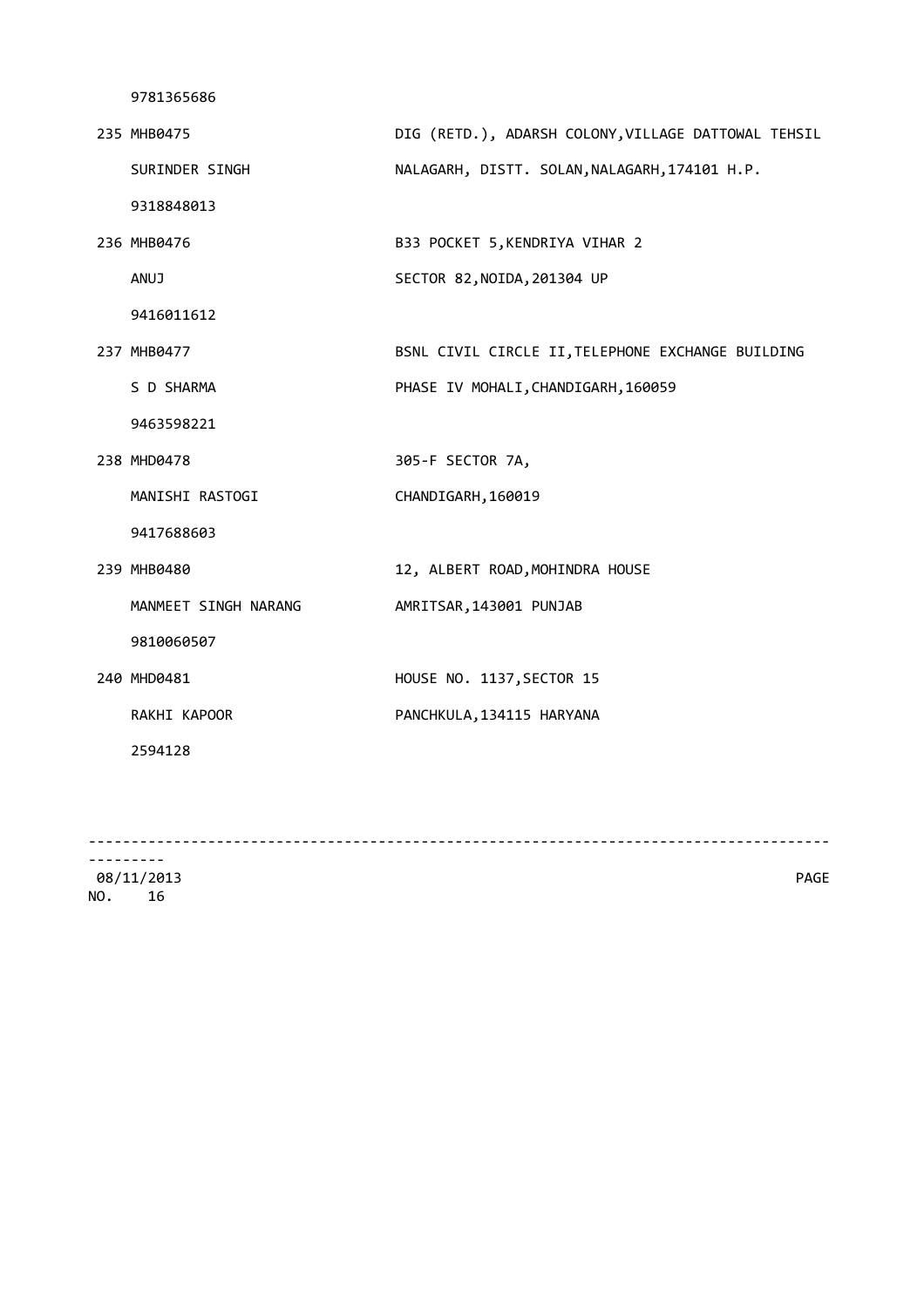| 235 MHB0475          | DIG (RETD.), ADARSH COLONY, VILLAGE DATTOWAL TEHSIL |
|----------------------|-----------------------------------------------------|
| SURINDER SINGH       | NALAGARH, DISTT. SOLAN, NALAGARH, 174101 H.P.       |
| 9318848013           |                                                     |
| 236 MHB0476          | B33 POCKET 5, KENDRIYA VIHAR 2                      |
| <b>ANUJ</b>          | SECTOR 82, NOIDA, 201304 UP                         |
| 9416011612           |                                                     |
| 237 MHB0477          | BSNL CIVIL CIRCLE II, TELEPHONE EXCHANGE BUILDING   |
| S D SHARMA           | PHASE IV MOHALI, CHANDIGARH, 160059                 |
| 9463598221           |                                                     |
| 238 MHD0478          | 305-F SECTOR 7A,                                    |
| MANISHI RASTOGI      | CHANDIGARH, 160019                                  |
| 9417688603           |                                                     |
| 239 MHB0480          | 12, ALBERT ROAD, MOHINDRA HOUSE                     |
| MANMEET SINGH NARANG | AMRITSAR, 143001 PUNJAB                             |
| 9810060507           |                                                     |
| 240 MHD0481          | HOUSE NO. 1137, SECTOR 15                           |
| RAKHI KAPOOR         | PANCHKULA, 134115 HARYANA                           |
| 2594128              |                                                     |
|                      |                                                     |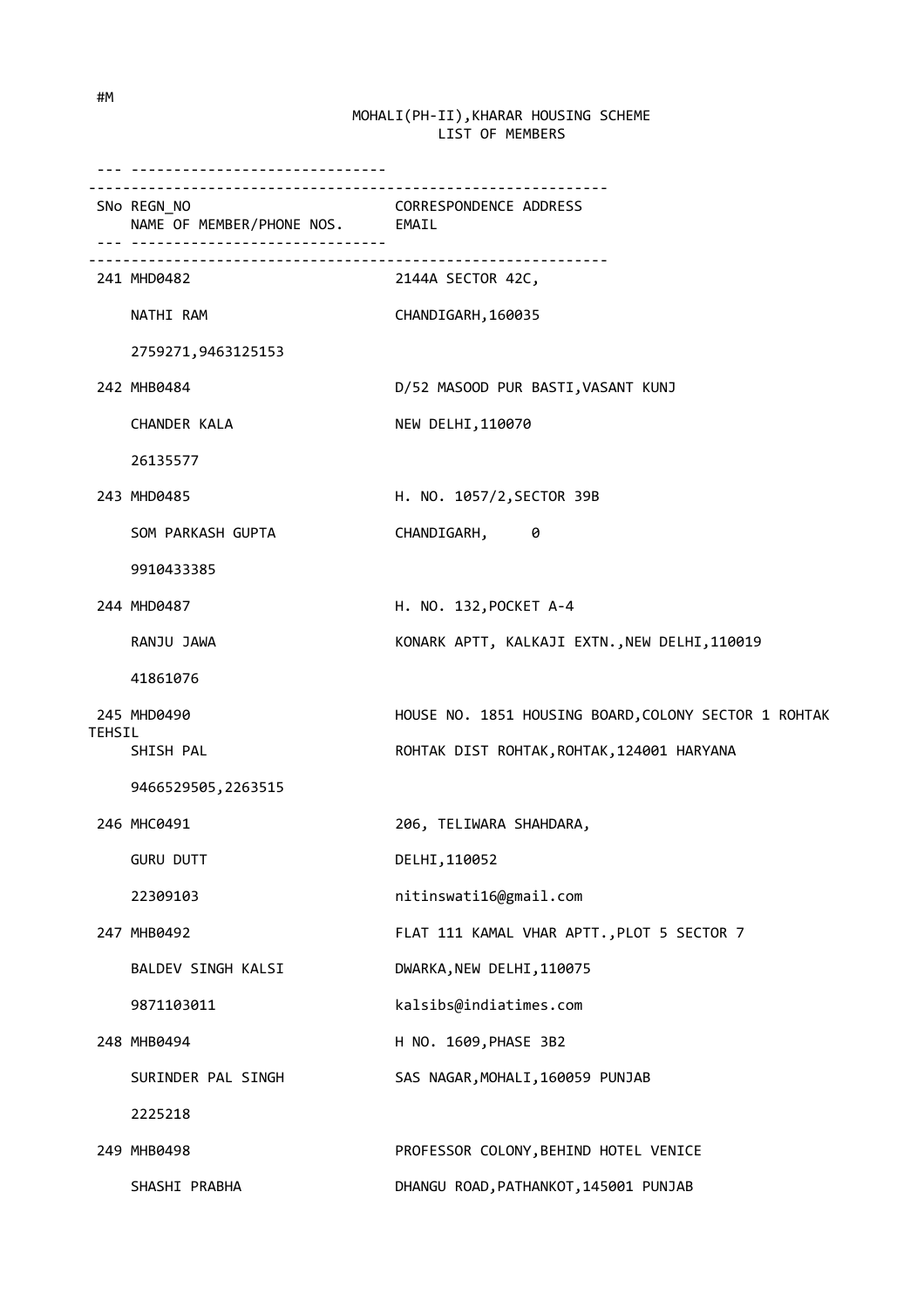|        | ----------------------------------<br>SNo REGN_NO<br>NAME OF MEMBER/PHONE NOS. EMAIL | CORRESPONDENCE ADDRESS                               |
|--------|--------------------------------------------------------------------------------------|------------------------------------------------------|
|        | 241 MHD0482                                                                          | 2144A SECTOR 42C,                                    |
|        | NATHI RAM                                                                            | CHANDIGARH, 160035                                   |
|        | 2759271,9463125153                                                                   |                                                      |
|        | 242 MHB0484                                                                          | D/52 MASOOD PUR BASTI, VASANT KUNJ                   |
|        | CHANDER KALA                                                                         | NEW DELHI, 110070                                    |
|        | 26135577                                                                             |                                                      |
|        | 243 MHD0485                                                                          | H. NO. 1057/2, SECTOR 39B                            |
|        | SOM PARKASH GUPTA                                                                    | CHANDIGARH, 0                                        |
|        | 9910433385                                                                           |                                                      |
|        | 244 MHD0487                                                                          | H. NO. 132, POCKET A-4                               |
|        | RANJU JAWA                                                                           | KONARK APTT, KALKAJI EXTN., NEW DELHI, 110019        |
|        | 41861076                                                                             |                                                      |
|        | 245 MHD0490                                                                          | HOUSE NO. 1851 HOUSING BOARD, COLONY SECTOR 1 ROHTAK |
| TEHSIL | SHISH PAL                                                                            | ROHTAK DIST ROHTAK, ROHTAK, 124001 HARYANA           |
|        | 9466529505,2263515                                                                   |                                                      |
|        | 246 MHC0491                                                                          | 206, TELIWARA SHAHDARA,                              |
|        | <b>GURU DUTT</b>                                                                     | DELHI, 110052                                        |
|        | 22309103                                                                             | nitinswati16@gmail.com                               |
|        | 247 MHB0492                                                                          | FLAT 111 KAMAL VHAR APTT., PLOT 5 SECTOR 7           |
|        | BALDEV SINGH KALSI                                                                   | DWARKA, NEW DELHI, 110075                            |
|        | 9871103011                                                                           | kalsibs@indiatimes.com                               |
|        | 248 MHB0494                                                                          | H NO. 1609, PHASE 3B2                                |
|        | SURINDER PAL SINGH                                                                   | SAS NAGAR, MOHALI, 160059 PUNJAB                     |
|        | 2225218                                                                              |                                                      |
|        | 249 MHB0498                                                                          | PROFESSOR COLONY, BEHIND HOTEL VENICE                |
|        | SHASHI PRABHA                                                                        | DHANGU ROAD, PATHANKOT, 145001 PUNJAB                |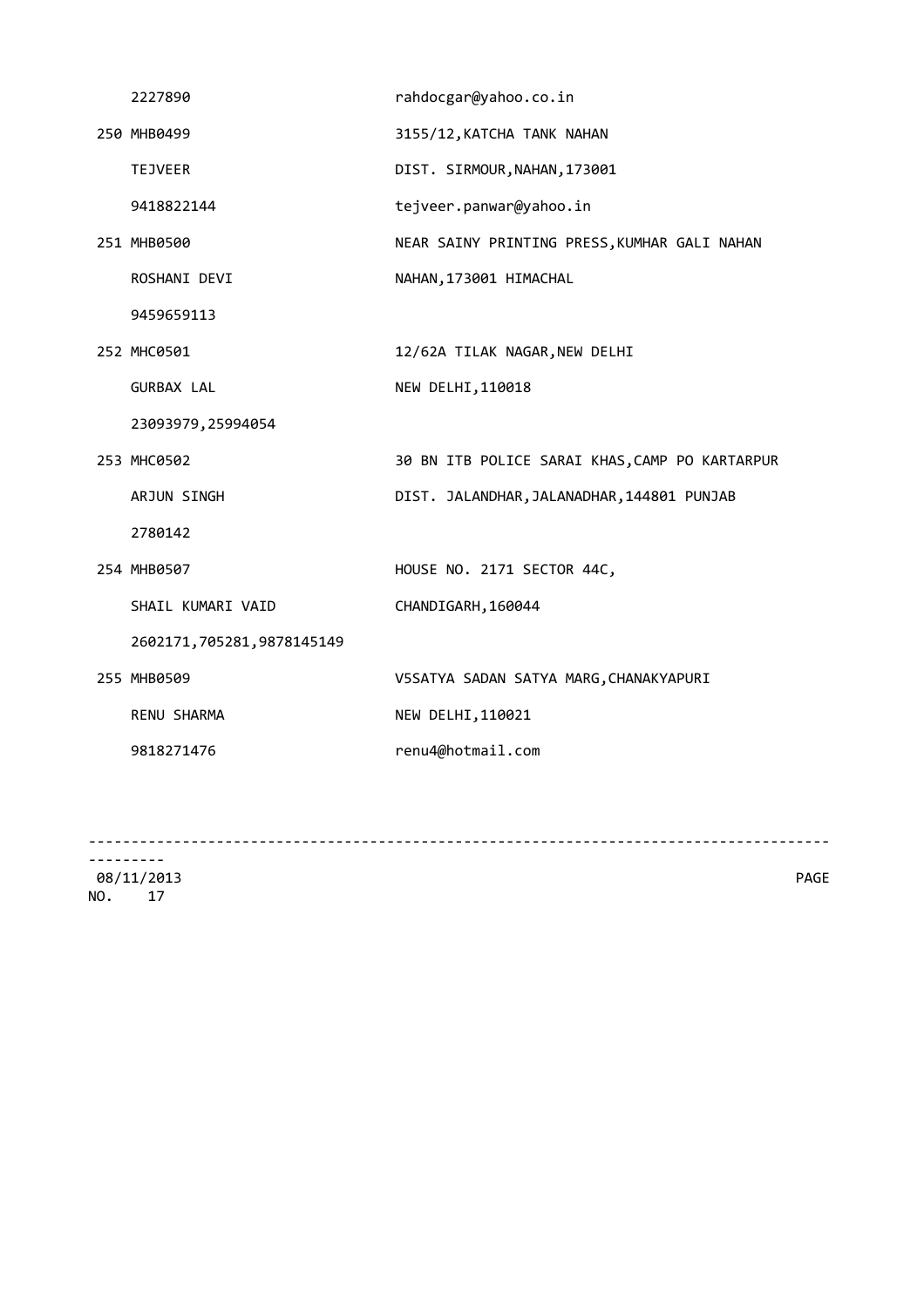| 2227890                   | rahdocgar@yahoo.co.in                          |
|---------------------------|------------------------------------------------|
| 250 MHB0499               | 3155/12, KATCHA TANK NAHAN                     |
| <b>TEJVEER</b>            | DIST. SIRMOUR, NAHAN, 173001                   |
| 9418822144                | tejveer.panwar@yahoo.in                        |
| 251 MHB0500               | NEAR SAINY PRINTING PRESS, KUMHAR GALI NAHAN   |
| ROSHANI DEVI              | NAHAN, 173001 HIMACHAL                         |
| 9459659113                |                                                |
| 252 MHC0501               | 12/62A TILAK NAGAR, NEW DELHI                  |
| <b>GURBAX LAL</b>         | NEW DELHI, 110018                              |
| 23093979, 25994054        |                                                |
| 253 MHC0502               | 30 BN ITB POLICE SARAI KHAS, CAMP PO KARTARPUR |
| ARJUN SINGH               | DIST. JALANDHAR, JALANADHAR, 144801 PUNJAB     |
| 2780142                   |                                                |
| 254 MHB0507               | HOUSE NO. 2171 SECTOR 44C,                     |
| SHAIL KUMARI VAID         | CHANDIGARH, 160044                             |
| 2602171,705281,9878145149 |                                                |
| 255 MHB0509               | V5SATYA SADAN SATYA MARG, CHANAKYAPURI         |
| RENU SHARMA               | NEW DELHI, 110021                              |
| 9818271476                | renu4@hotmail.com                              |
|                           |                                                |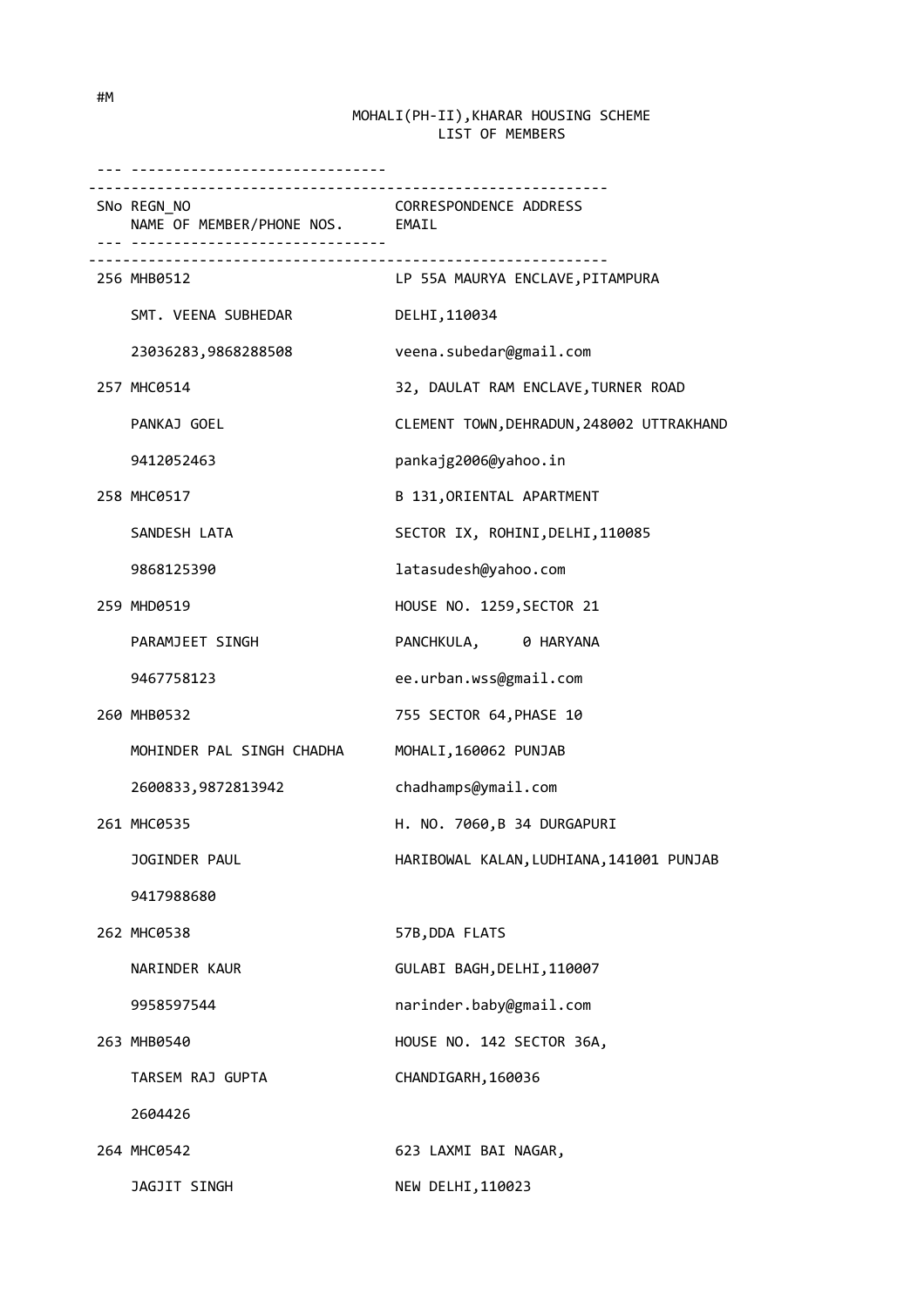| <u>. </u>                                      |                                           |
|------------------------------------------------|-------------------------------------------|
| SNo REGN NO<br>NAME OF MEMBER/PHONE NOS. EMAIL | <b>CORRESPONDENCE ADDRESS</b>             |
| 256 MHB0512                                    | LP 55A MAURYA ENCLAVE,PITAMPURA           |
| SMT. VEENA SUBHEDAR                            | DELHI, 110034                             |
| 23036283,9868288508                            | veena.subedar@gmail.com                   |
| 257 MHC0514                                    | 32, DAULAT RAM ENCLAVE, TURNER ROAD       |
| PANKAJ GOEL                                    | CLEMENT TOWN, DEHRADUN, 248002 UTTRAKHAND |
| 9412052463                                     | pankajg2006@yahoo.in                      |
| 258 MHC0517                                    | B 131, ORIENTAL APARTMENT                 |
| SANDESH LATA                                   | SECTOR IX, ROHINI, DELHI, 110085          |
| 9868125390                                     | latasudesh@yahoo.com                      |
| 259 MHD0519                                    | HOUSE NO. 1259, SECTOR 21                 |
| PARAMJEET SINGH                                | PANCHKULA, 0 HARYANA                      |
| 9467758123                                     | ee.urban.wss@gmail.com                    |
| 260 MHB0532                                    | 755 SECTOR 64, PHASE 10                   |
| MOHINDER PAL SINGH CHADHA                      | MOHALI, 160062 PUNJAB                     |
| 2600833,9872813942                             | chadhamps@ymail.com                       |
| 261 MHC0535                                    | H. NO. 7060, B 34 DURGAPURI               |
| JOGINDER PAUL                                  | HARIBOWAL KALAN, LUDHIANA, 141001 PUNJAB  |
| 9417988680                                     |                                           |
| 262 MHC0538                                    | 57B, DDA FLATS                            |
| NARINDER KAUR                                  | GULABI BAGH, DELHI, 110007                |
| 9958597544                                     | narinder.baby@gmail.com                   |
| 263 MHB0540                                    | HOUSE NO. 142 SECTOR 36A,                 |
| TARSEM RAJ GUPTA                               | CHANDIGARH, 160036                        |
| 2604426                                        |                                           |
| 264 MHC0542                                    | 623 LAXMI BAI NAGAR,                      |
| JAGJIT SINGH                                   | NEW DELHI, 110023                         |

#M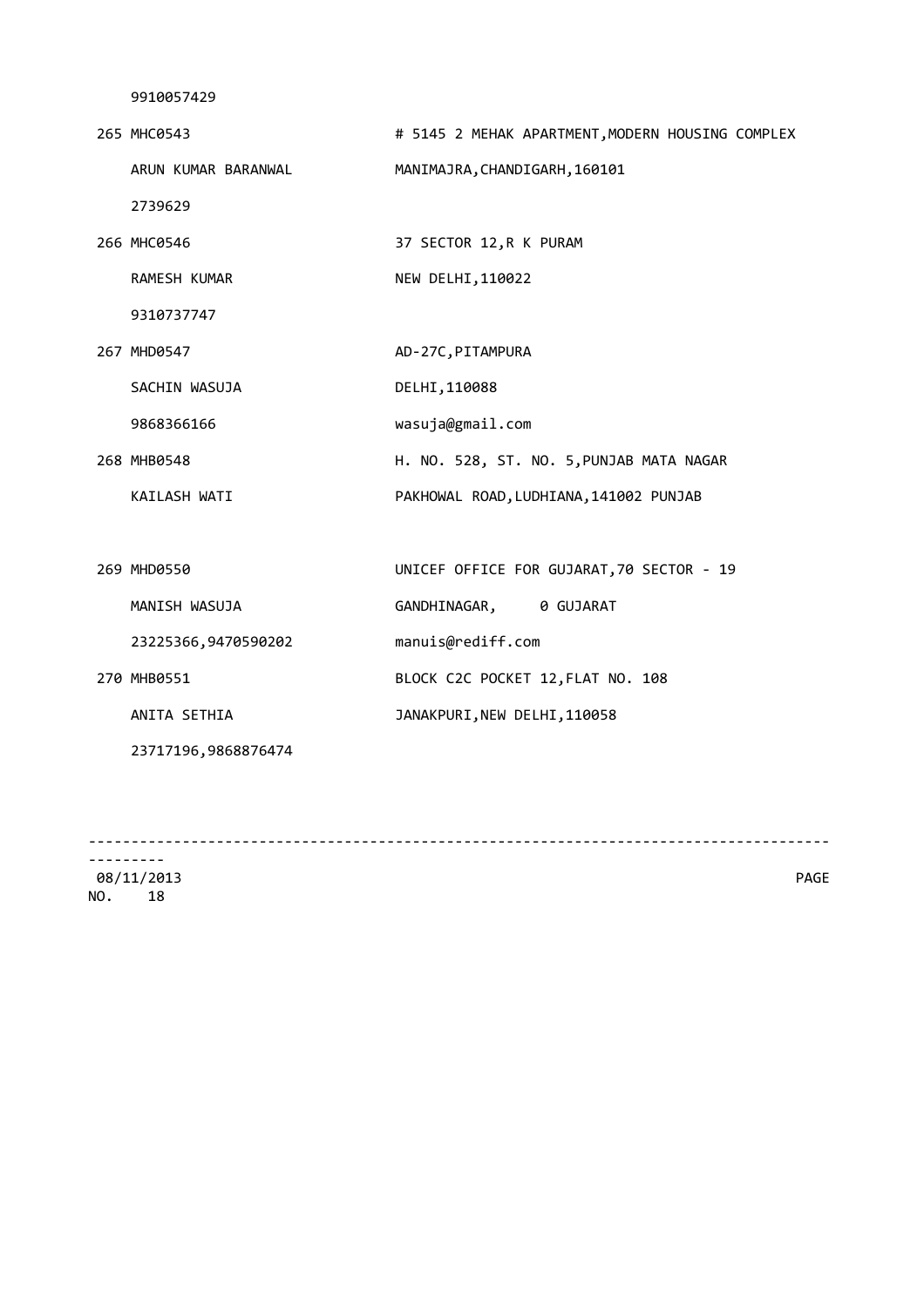| 265 MHC0543         | # 5145 2 MEHAK APARTMENT, MODERN HOUSING COMPLEX |
|---------------------|--------------------------------------------------|
| ARUN KUMAR BARANWAL | MANIMAJRA, CHANDIGARH, 160101                    |
| 2739629             |                                                  |
| 266 MHC0546         | 37 SECTOR 12, R K PURAM                          |
| RAMESH KUMAR        | NEW DELHI, 110022                                |
| 9310737747          |                                                  |
| 267 MHD0547         | AD-27C, PITAMPURA                                |
| SACHIN WASUJA       | DELHI, 110088                                    |
| 9868366166          | wasuja@gmail.com                                 |
| 268 MHB0548         | H. NO. 528, ST. NO. 5, PUNJAB MATA NAGAR         |
| KAILASH WATI        | PAKHOWAL ROAD, LUDHIANA, 141002 PUNJAB           |
|                     |                                                  |
| 269 MHD0550         | UNICEF OFFICE FOR GUJARAT, 70 SECTOR - 19        |
| MANISH WASUJA       | GANDHINAGAR, 0 GUJARAT                           |
| 23225366,9470590202 | manuis@rediff.com                                |
| 270 MHB0551         | BLOCK C2C POCKET 12, FLAT NO. 108                |
| ANITA SETHIA        | JANAKPURI, NEW DELHI, 110058                     |
| 23717196,9868876474 |                                                  |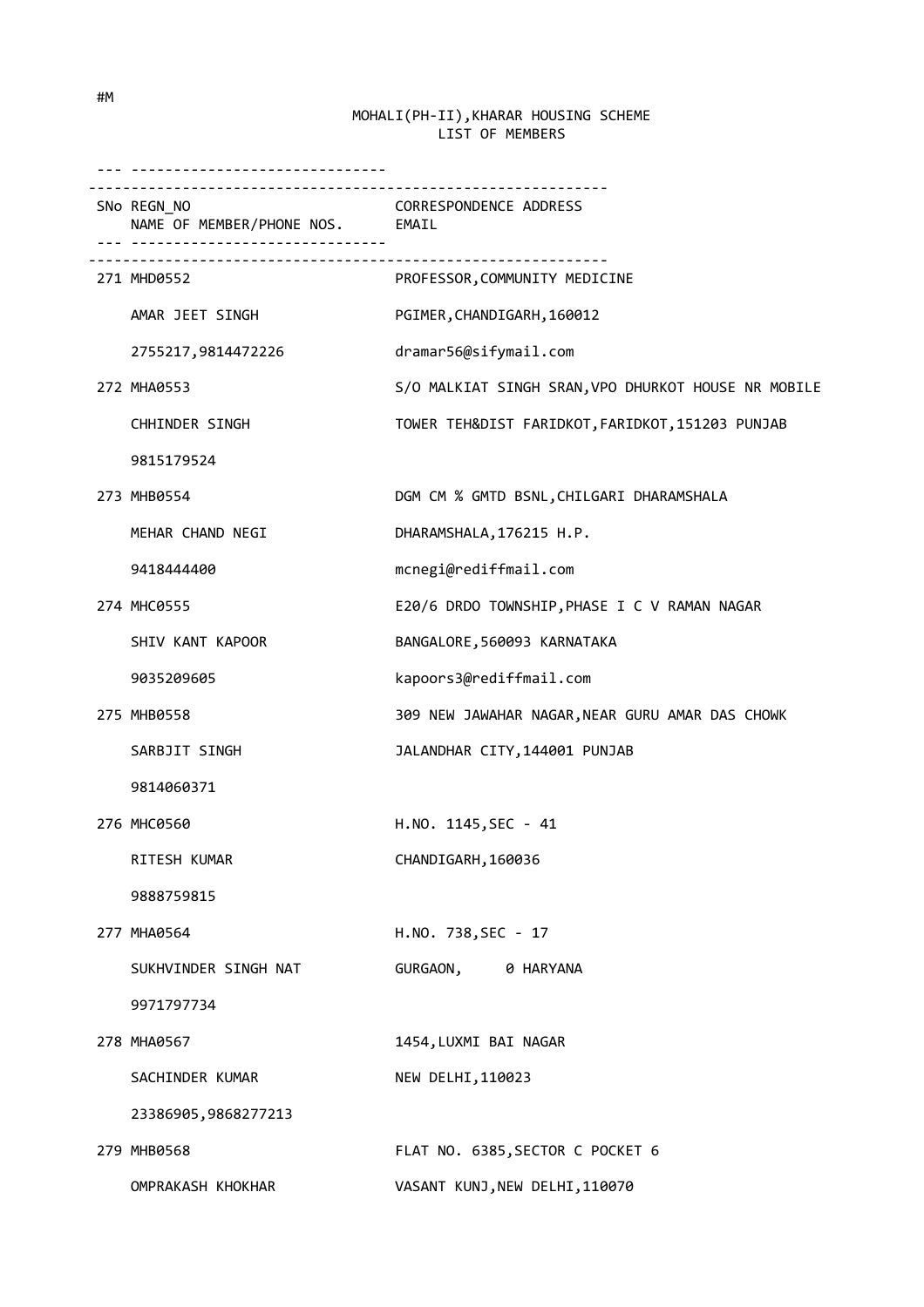| . <b></b> .                                    |                                                     |
|------------------------------------------------|-----------------------------------------------------|
| SNo REGN_NO<br>NAME OF MEMBER/PHONE NOS. EMAIL | <b>CORRESPONDENCE ADDRESS</b>                       |
| 271 MHD0552                                    | PROFESSOR, COMMUNITY MEDICINE                       |
| AMAR JEET SINGH                                | PGIMER, CHANDIGARH, 160012                          |
| 2755217,9814472226                             | dramar56@sifymail.com                               |
| 272 MHA0553                                    | S/O MALKIAT SINGH SRAN, VPO DHURKOT HOUSE NR MOBILE |
| CHHINDER SINGH                                 | TOWER TEH&DIST FARIDKOT, FARIDKOT, 151203 PUNJAB    |
| 9815179524                                     |                                                     |
| 273 MHB0554                                    | DGM CM % GMTD BSNL, CHILGARI DHARAMSHALA            |
| MEHAR CHAND NEGI                               | DHARAMSHALA, 176215 H.P.                            |
| 9418444400                                     | mcnegi@rediffmail.com                               |
| 274 MHC0555                                    | E20/6 DRDO TOWNSHIP, PHASE I C V RAMAN NAGAR        |
| SHIV KANT KAPOOR                               | BANGALORE, 560093 KARNATAKA                         |
| 9035209605                                     | kapoors3@rediffmail.com                             |
| 275 MHB0558                                    | 309 NEW JAWAHAR NAGAR, NEAR GURU AMAR DAS CHOWK     |
| SARBJIT SINGH                                  | JALANDHAR CITY, 144001 PUNJAB                       |
| 9814060371                                     |                                                     |
| 276 MHC0560                                    | H.NO. 1145, SEC - 41                                |
| RITESH KUMAR                                   | CHANDIGARH, 160036                                  |
| 9888759815                                     |                                                     |
| 277 MHA0564                                    | H.NO. 738, SEC - 17                                 |
| SUKHVINDER SINGH NAT                           | GURGAON, 0 HARYANA                                  |
| 9971797734                                     |                                                     |
| 278 MHA0567                                    | 1454, LUXMI BAI NAGAR                               |
| SACHINDER KUMAR                                | NEW DELHI, 110023                                   |
| 23386905,9868277213                            |                                                     |
| 279 MHB0568                                    | FLAT NO. 6385, SECTOR C POCKET 6                    |
| OMPRAKASH KHOKHAR                              | VASANT KUNJ, NEW DELHI, 110070                      |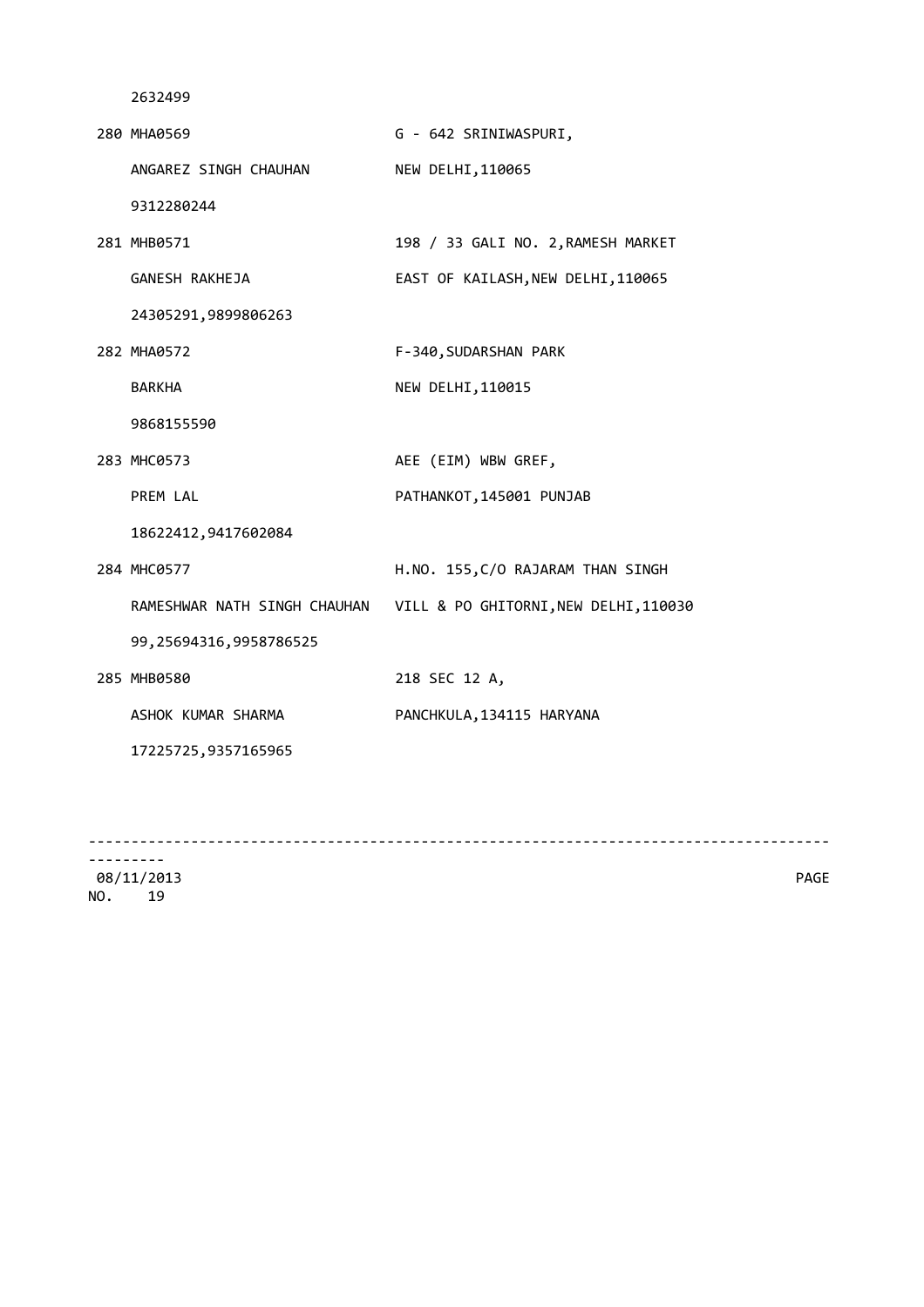| 280 MHA0569                  | G - 642 SRINIWASPURI,                 |
|------------------------------|---------------------------------------|
| ANGAREZ SINGH CHAUHAN        | NEW DELHI, 110065                     |
| 9312280244                   |                                       |
| 281 MHB0571                  | 198 / 33 GALI NO. 2, RAMESH MARKET    |
| GANESH RAKHEJA               | EAST OF KAILASH, NEW DELHI, 110065    |
| 24305291,9899806263          |                                       |
| 282 MHA0572                  | F-340, SUDARSHAN PARK                 |
| <b>BARKHA</b>                | NEW DELHI, 110015                     |
| 9868155590                   |                                       |
| 283 MHC0573                  | AEE (EIM) WBW GREF,                   |
| PREM LAL                     | PATHANKOT, 145001 PUNJAB              |
| 18622412,9417602084          |                                       |
| 284 MHC0577                  | H.NO. 155, C/O RAJARAM THAN SINGH     |
| RAMESHWAR NATH SINGH CHAUHAN | VILL & PO GHITORNI, NEW DELHI, 110030 |
| 99,25694316,9958786525       |                                       |
| 285 MHB0580                  | 218 SEC 12 A,                         |
| ASHOK KUMAR SHARMA           | PANCHKULA, 134115 HARYANA             |
| 17225725,9357165965          |                                       |
|                              |                                       |

---------------------------------------------------------------------------------------

--------- 08/11/2013 PAGE NO. 19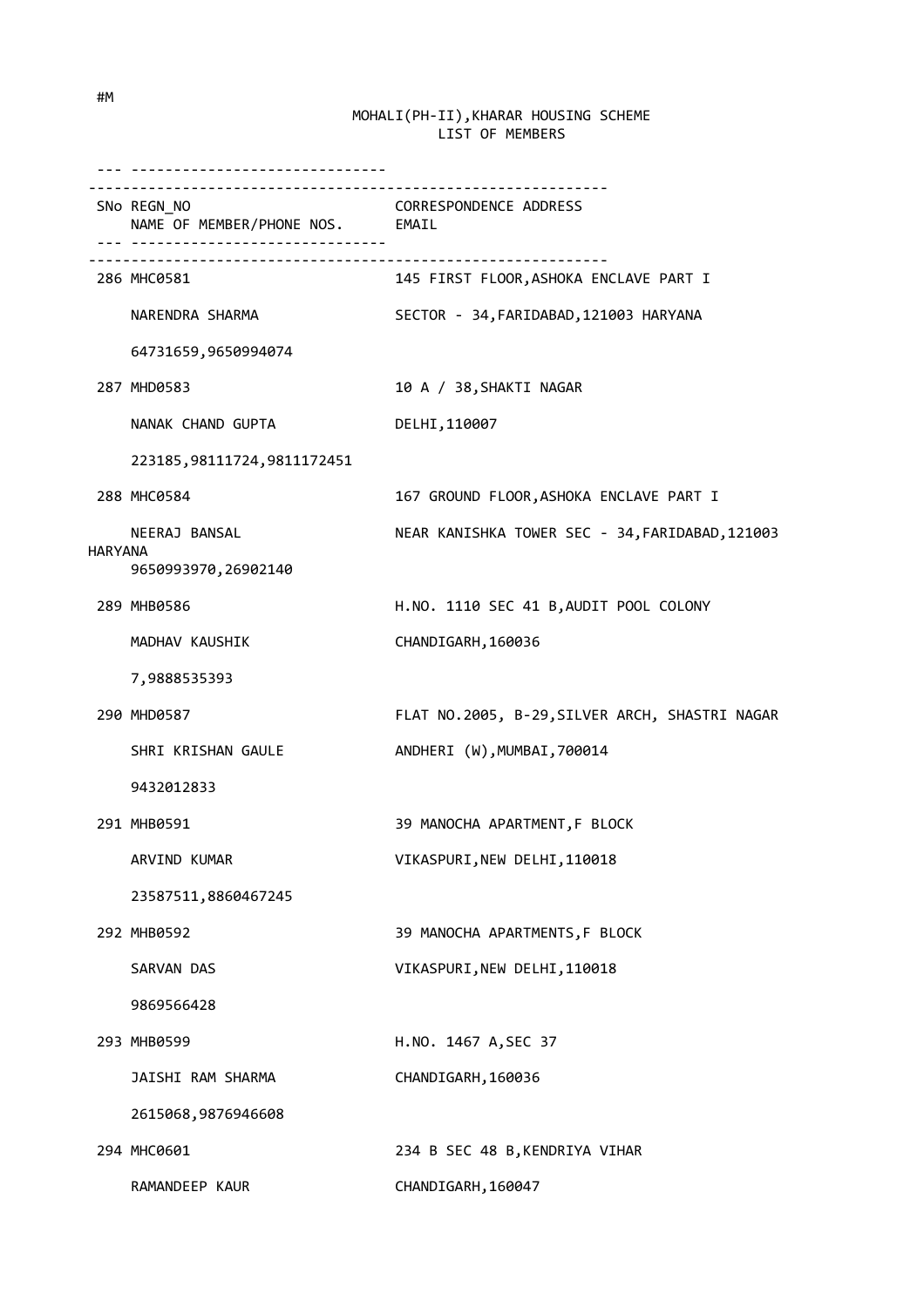--- ------------------------------ ------------------------------------------------------------- SNo REGN\_NO CORRESPONDENCE ADDRESS NAME OF MEMBER/PHONE NOS. EMAIL --- ------------------------------  $-$  286 MHC0581 145 FIRST FLOOR,ASHOKA ENCLAVE PART I NARENDRA SHARMA SECTOR - 34,FARIDABAD,121003 HARYANA 64731659,9650994074 287 MHD0583 10 A / 38,SHAKTI NAGAR NANAK CHAND GUPTA DELHI,110007 223185,98111724,9811172451 288 MHC0584 167 GROUND FLOOR,ASHOKA ENCLAVE PART I NEERAJ BANSAL NEAR KANISHKA TOWER SEC - 34,FARIDABAD,121003 HARYANA 9650993970,26902140 289 MHB0586 H.NO. 1110 SEC 41 B,AUDIT POOL COLONY MADHAV KAUSHIK CHANDIGARH, 160036 7,9888535393 290 MHD0587 FLAT NO.2005, B-29,SILVER ARCH, SHASTRI NAGAR SHRI KRISHAN GAULE ANDHERI (W), MUMBAI, 700014 9432012833 291 MHB0591 39 MANOCHA APARTMENT,F BLOCK ARVIND KUMAR VIKASPURI, NEW DELHI, 110018 23587511,8860467245 292 MHB0592 39 MANOCHA APARTMENTS,F BLOCK SARVAN DAS VIKASPURI, NEW DELHI, 110018 9869566428 293 MHB0599 H.NO. 1467 A,SEC 37 JAISHI RAM SHARMA CHANDIGARH, 160036 2615068,9876946608 294 MHC0601 234 B SEC 48 B,KENDRIYA VIHAR RAMANDEEP KAUR CHANDIGARH, 160047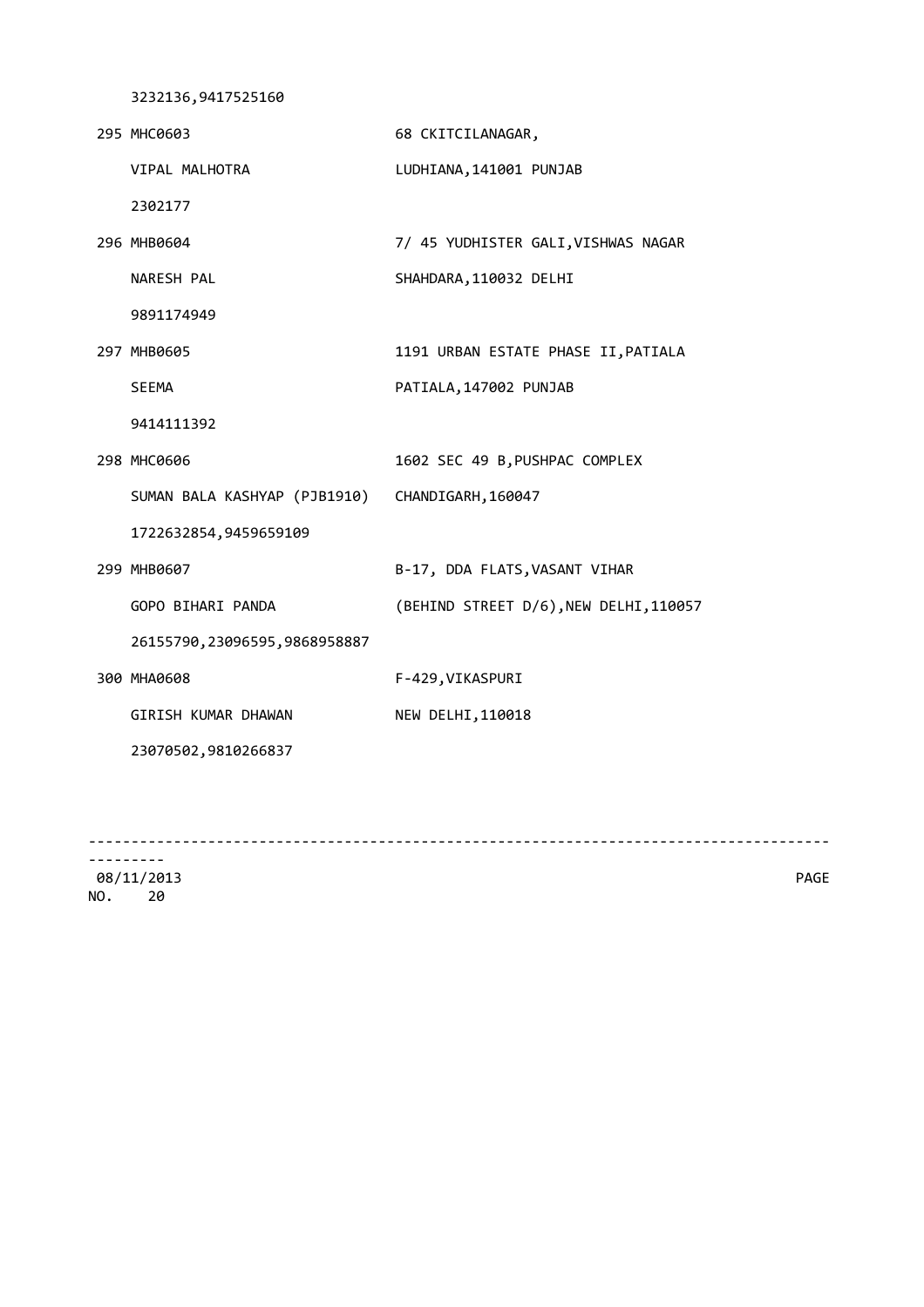3232136,9417525160

| 295 MHC0603                    | 68 CKITCILANAGAR,                      |
|--------------------------------|----------------------------------------|
| VIPAL MALHOTRA                 | LUDHIANA, 141001 PUNJAB                |
| 2302177                        |                                        |
| 296 MHB0604                    | 7/ 45 YUDHISTER GALI, VISHWAS NAGAR    |
| NARESH PAL                     | SHAHDARA, 110032 DELHI                 |
| 9891174949                     |                                        |
| 297 MHB0605                    | 1191 URBAN ESTATE PHASE II, PATIALA    |
| <b>SEEMA</b>                   | PATIALA, 147002 PUNJAB                 |
| 9414111392                     |                                        |
| 298 MHC0606                    | 1602 SEC 49 B, PUSHPAC COMPLEX         |
| SUMAN BALA KASHYAP (PJB1910)   | CHANDIGARH, 160047                     |
| 1722632854,9459659109          |                                        |
| 299 MHB0607                    | B-17, DDA FLATS, VASANT VIHAR          |
| GOPO BIHARI PANDA              | (BEHIND STREET D/6), NEW DELHI, 110057 |
| 26155790, 23096595, 9868958887 |                                        |
| 300 MHA0608                    | F-429, VIKASPURI                       |
| GIRISH KUMAR DHAWAN            | NEW DELHI, 110018                      |
| 23070502,9810266837            |                                        |
|                                |                                        |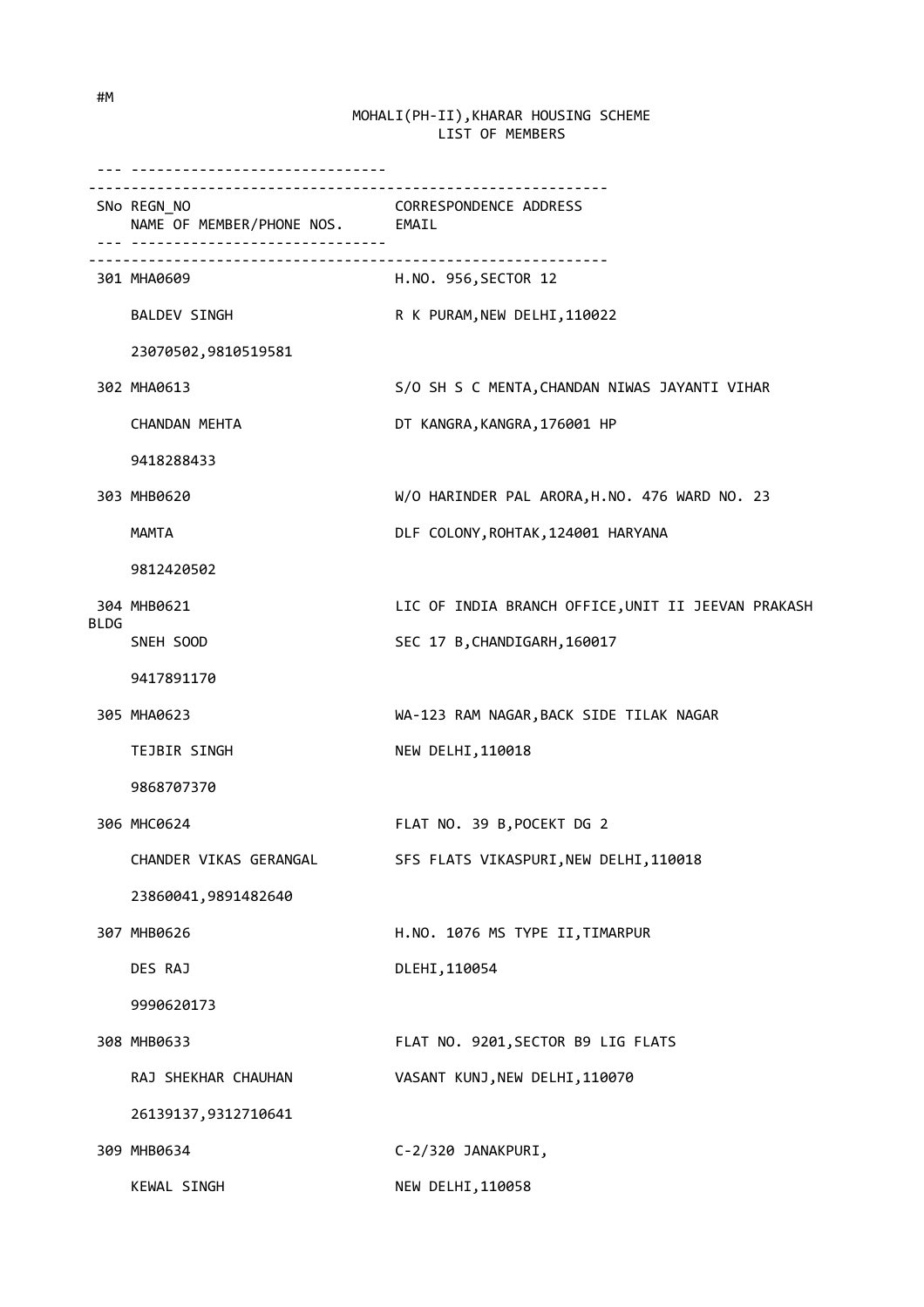|             | ------------------------------<br>SNo REGN_NO<br>NAME OF MEMBER/PHONE NOS. EMAIL | <b>CORRESPONDENCE ADDRESS</b>                      |
|-------------|----------------------------------------------------------------------------------|----------------------------------------------------|
|             | 301 MHA0609                                                                      | H.NO. 956,SECTOR 12                                |
|             | <b>BALDEV SINGH</b>                                                              | R K PURAM, NEW DELHI, 110022                       |
|             | 23070502,9810519581                                                              |                                                    |
|             | 302 MHA0613                                                                      | S/O SH S C MENTA, CHANDAN NIWAS JAYANTI VIHAR      |
|             | CHANDAN MEHTA                                                                    | DT KANGRA, KANGRA, 176001 HP                       |
|             | 9418288433                                                                       |                                                    |
|             | 303 MHB0620                                                                      | W/O HARINDER PAL ARORA, H.NO. 476 WARD NO. 23      |
|             | MAMTA                                                                            | DLF COLONY, ROHTAK, 124001 HARYANA                 |
|             | 9812420502                                                                       |                                                    |
|             | 304 MHB0621                                                                      | LIC OF INDIA BRANCH OFFICE, UNIT II JEEVAN PRAKASH |
| <b>BLDG</b> | SNEH SOOD                                                                        | SEC 17 B, CHANDIGARH, 160017                       |
|             | 9417891170                                                                       |                                                    |
|             | 305 MHA0623                                                                      | WA-123 RAM NAGAR, BACK SIDE TILAK NAGAR            |
|             | <b>TEJBIR SINGH</b>                                                              | NEW DELHI, 110018                                  |
|             | 9868707370                                                                       |                                                    |
|             | 306 MHC0624                                                                      | FLAT NO. 39 B, POCEKT DG 2                         |
|             | CHANDER VIKAS GERANGAL                                                           | SFS FLATS VIKASPURI, NEW DELHI, 110018             |
|             | 23860041,9891482640                                                              |                                                    |
|             | 307 MHB0626                                                                      | H.NO. 1076 MS TYPE II, TIMARPUR                    |
|             | DES RAJ                                                                          | DLEHI, 110054                                      |
|             | 9990620173                                                                       |                                                    |
|             | 308 MHB0633                                                                      | FLAT NO. 9201, SECTOR B9 LIG FLATS                 |
|             | RAJ SHEKHAR CHAUHAN                                                              | VASANT KUNJ, NEW DELHI, 110070                     |
|             | 26139137,9312710641                                                              |                                                    |
|             | 309 MHB0634                                                                      | C-2/320 JANAKPURI,                                 |
|             | KEWAL SINGH                                                                      | NEW DELHI, 110058                                  |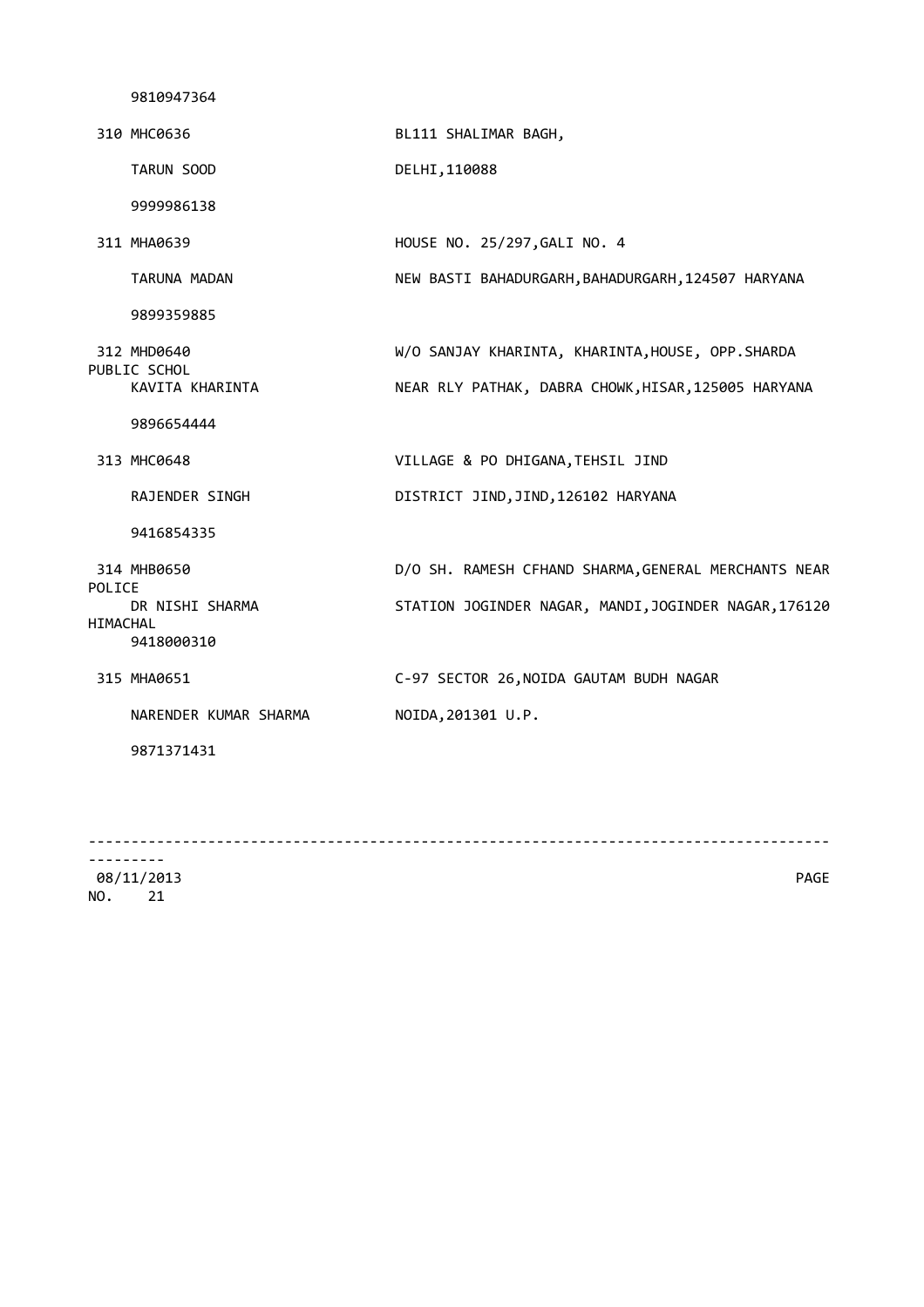9810947364 310 MHC0636 BL111 SHALIMAR BAGH, TARUN SOOD DELHI,110088 9999986138 311 MHA0639 HOUSE NO. 25/297,GALI NO. 4 TARUNA MADAN NEW BASTI BAHADURGARH, BAHADURGARH, 124507 HARYANA 9899359885 312 MHD0640 W/O SANJAY KHARINTA, KHARINTA,HOUSE, OPP.SHARDA PUBLIC SCHOL KAVITA KHARINTA NEAR RLY PATHAK, DABRA CHOWK,HISAR,125005 HARYANA 9896654444 313 MHC0648 VILLAGE & PO DHIGANA,TEHSIL JIND RAJENDER SINGH DISTRICT JIND,JIND,126102 HARYANA 9416854335 314 MHB0650 D/O SH. RAMESH CFHAND SHARMA,GENERAL MERCHANTS NEAR POLICE<br>DR NISHI SHARMA STATION JOGINDER NAGAR, MANDI,JOGINDER NAGAR,176120 HIMACHAL 9418000310 315 MHA0651 C-97 SECTOR 26,NOIDA GAUTAM BUDH NAGAR NARENDER KUMAR SHARMA NOIDA, 201301 U.P. 9871371431

--------------------------------------------------------------------------------------- ---------

 08/11/2013 PAGE NO. 21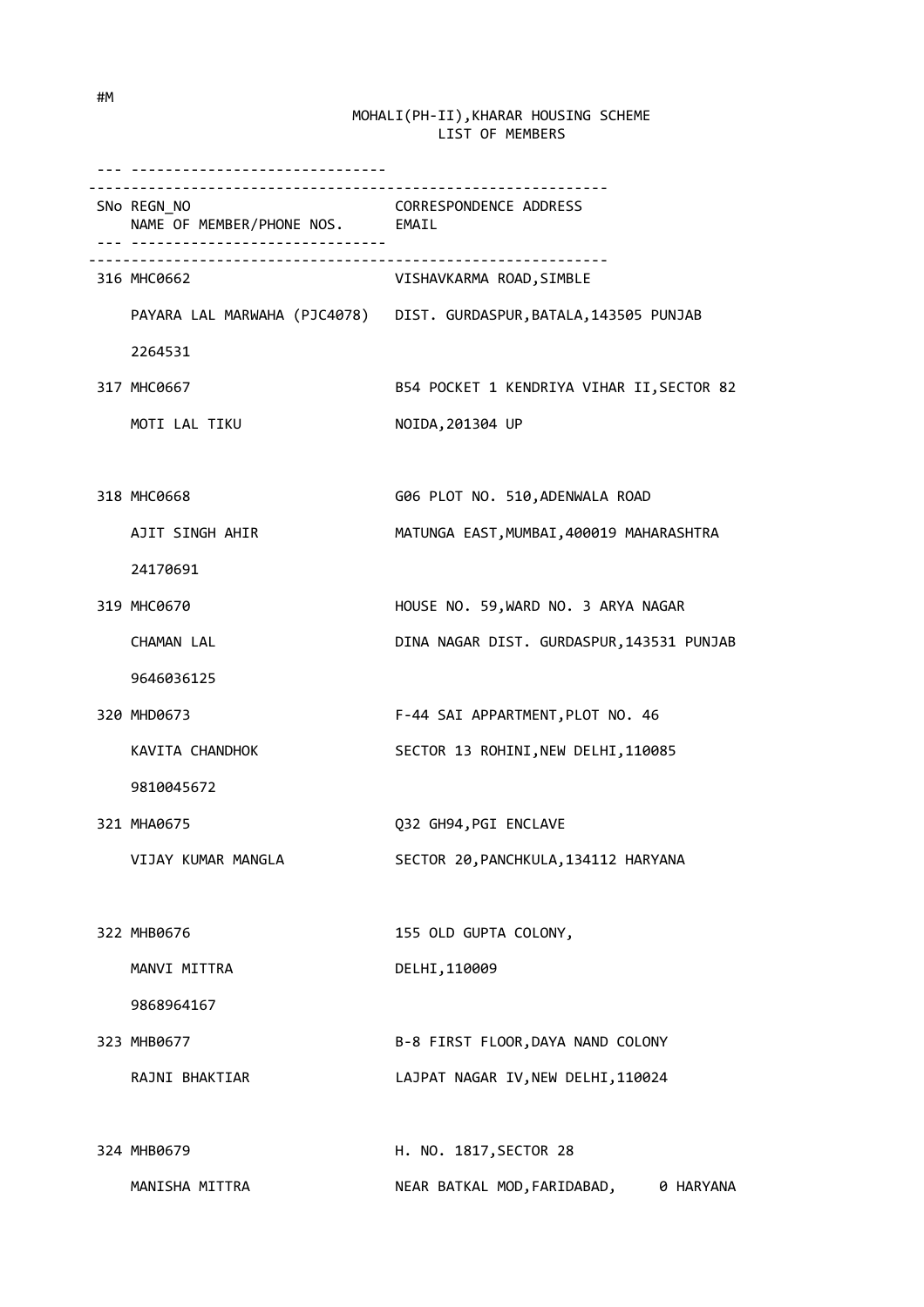| -------------------------<br>SNo REGN_NO<br>NAME OF MEMBER/PHONE NOS. EMAIL | <b>CORRESPONDENCE ADDRESS</b>                                       |
|-----------------------------------------------------------------------------|---------------------------------------------------------------------|
| 316 MHC0662                                                                 | VISHAVKARMA ROAD, SIMBLE                                            |
|                                                                             | PAYARA LAL MARWAHA (PJC4078) DIST. GURDASPUR, BATALA, 143505 PUNJAB |
| 2264531                                                                     |                                                                     |
| 317 MHC0667                                                                 | B54 POCKET 1 KENDRIYA VIHAR II, SECTOR 82                           |
| MOTI LAL TIKU                                                               | NOIDA, 201304 UP                                                    |
|                                                                             |                                                                     |
| 318 MHC0668                                                                 | G06 PLOT NO. 510, ADENWALA ROAD                                     |
| AJIT SINGH AHIR                                                             | MATUNGA EAST, MUMBAI, 400019 MAHARASHTRA                            |
| 24170691                                                                    |                                                                     |
| 319 MHC0670                                                                 | HOUSE NO. 59, WARD NO. 3 ARYA NAGAR                                 |
| <b>CHAMAN LAL</b>                                                           | DINA NAGAR DIST. GURDASPUR, 143531 PUNJAB                           |
| 9646036125                                                                  |                                                                     |
| 320 MHD0673                                                                 | F-44 SAI APPARTMENT, PLOT NO. 46                                    |
| KAVITA CHANDHOK                                                             | SECTOR 13 ROHINI, NEW DELHI, 110085                                 |
| 9810045672                                                                  |                                                                     |
| 321 MHA0675                                                                 | Q32 GH94, PGI ENCLAVE                                               |
| VIJAY KUMAR MANGLA                                                          | SECTOR 20, PANCHKULA, 134112 HARYANA                                |
|                                                                             |                                                                     |
| 322 MHB0676                                                                 | 155 OLD GUPTA COLONY,                                               |
| MANVI MITTRA                                                                | DELHI, 110009                                                       |
| 9868964167                                                                  |                                                                     |
| 323 MHB0677                                                                 | B-8 FIRST FLOOR, DAYA NAND COLONY                                   |
| RAJNI BHAKTIAR                                                              | LAJPAT NAGAR IV, NEW DELHI, 110024                                  |
|                                                                             |                                                                     |
| 324 MHB0679                                                                 | H. NO. 1817, SECTOR 28                                              |
|                                                                             |                                                                     |

MANISHA MITTRA NEAR BATKAL MOD, FARIDABAD, 0 HARYANA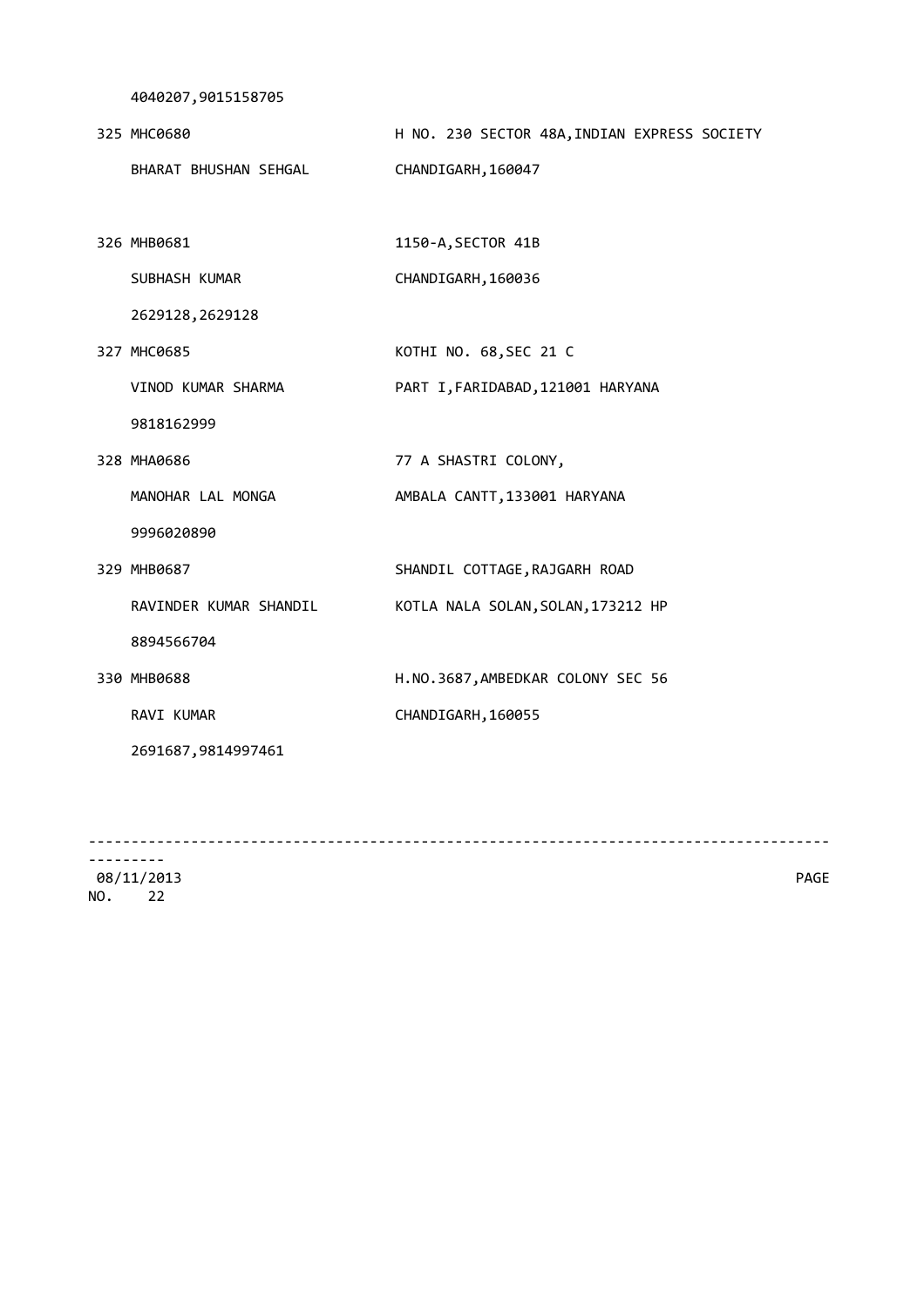4040207,9015158705

| 325 MHC0680           | H NO. 230 SECTOR 48A, INDIAN EXPRESS SOCIETY |
|-----------------------|----------------------------------------------|
| BHARAT BHUSHAN SEHGAL | CHANDIGARH, 160047                           |

 326 MHB0681 1150-A,SECTOR 41B SUBHASH KUMAR CHANDIGARH, 160036

2629128,2629128

 327 MHC0685 KOTHI NO. 68,SEC 21 C VINOD KUMAR SHARMA PART I,FARIDABAD,121001 HARYANA

9818162999

328 MHA0686 77 A SHASTRI COLONY,

MANOHAR LAL MONGA AMBALA CANTT, 133001 HARYANA

9996020890

329 MHB0687 SHANDIL COTTAGE,RAJGARH ROAD

RAVINDER KUMAR SHANDIL KOTLA NALA SOLAN, SOLAN, 173212 HP

8894566704

 330 MHB0688 H.NO.3687,AMBEDKAR COLONY SEC 56 RAVI KUMAR CHANDIGARH, 160055

2691687,9814997461

--------------------------------------------------------------------------------------- ---------

 08/11/2013 PAGE NO. 22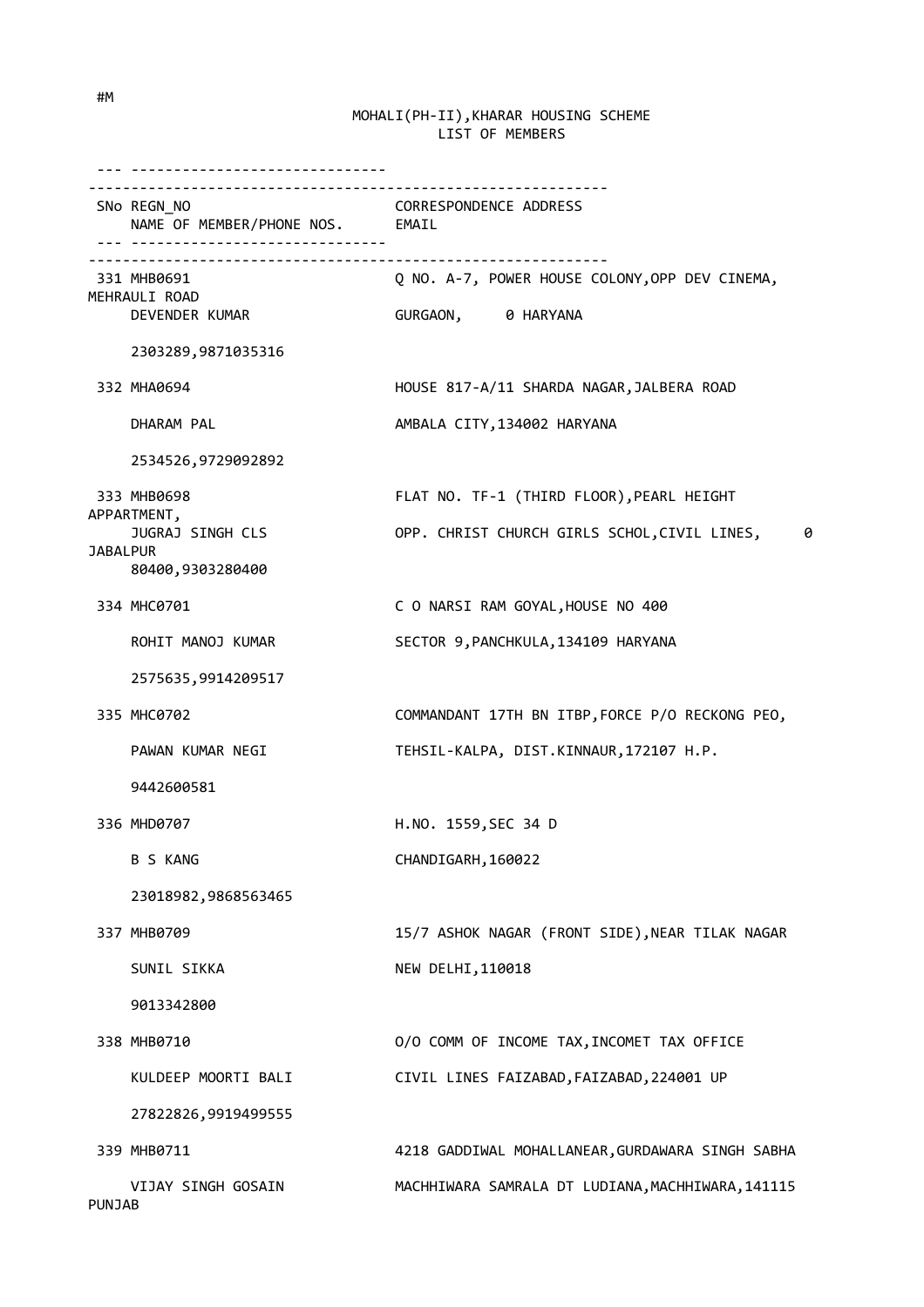--- ------------------------------ ------------------------------------------------------------- SNo REGN\_NO CORRESPONDENCE ADDRESS NAME OF MEMBER/PHONE NOS. EMAIL --- ------------------------------ ------------------------------------------------------------- 331 MHB0691 Q NO. A-7, POWER HOUSE COLONY,OPP DEV CINEMA, MEHRAULI ROAD DEVENDER KUMAR GURGAON, 0 HARYANA 2303289,9871035316 332 MHA0694 HOUSE 817-A/11 SHARDA NAGAR,JALBERA ROAD DHARAM PAL AMBALA CITY, 134002 HARYANA 2534526,9729092892 333 MHB0698 FLAT NO. TF-1 (THIRD FLOOR),PEARL HEIGHT APPARTMENT, JUGRAJ SINGH CLS **OPP. CHRIST CHURCH GIRLS SCHOL, CIVIL LINES,** 0 **JABALPUR**  80400,9303280400 334 MHC0701 C O NARSI RAM GOYAL,HOUSE NO 400 ROHIT MANOJ KUMAR SECTOR 9, PANCHKULA, 134109 HARYANA 2575635,9914209517 335 MHC0702 COMMANDANT 17TH BN ITBP,FORCE P/O RECKONG PEO, PAWAN KUMAR NEGI TEHSIL-KALPA, DIST.KINNAUR,172107 H.P. 9442600581 336 MHD0707 H.NO. 1559,SEC 34 D B S KANG CHANDIGARH, 160022 23018982,9868563465 337 MHB0709 15/7 ASHOK NAGAR (FRONT SIDE),NEAR TILAK NAGAR SUNIL SIKKA NEW DELHI,110018 9013342800 338 MHB0710 O/O COMM OF INCOME TAX,INCOMET TAX OFFICE KULDEEP MOORTI BALI CIVIL LINES FAIZABAD,FAIZABAD,224001 UP 27822826,9919499555 339 MHB0711 4218 GADDIWAL MOHALLANEAR,GURDAWARA SINGH SABHA VIJAY SINGH GOSAIN MACHHIWARA SAMRALA DT LUDIANA,MACHHIWARA,141115 PUNJAB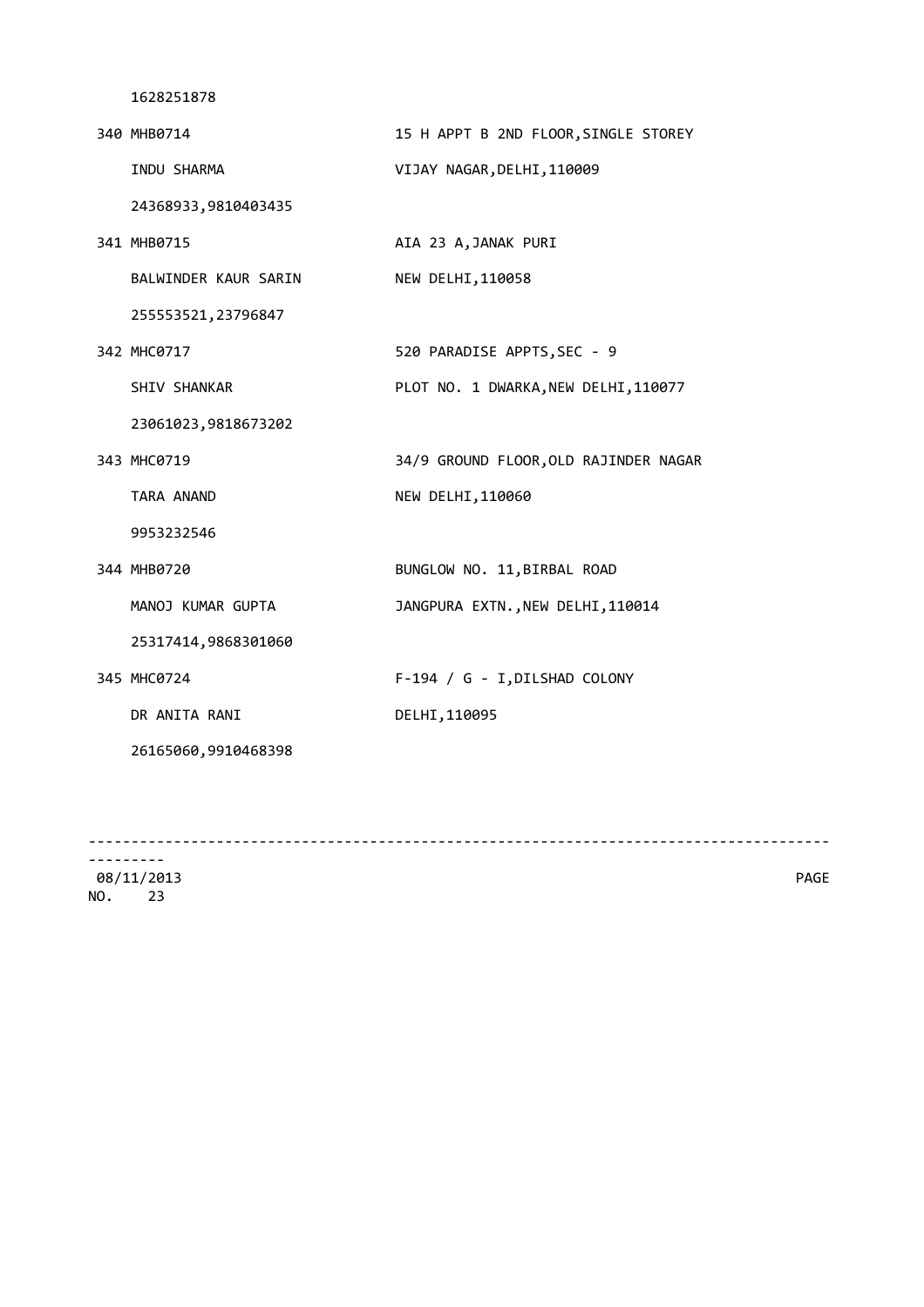| 340 MHB0714          | 15 H APPT B 2ND FLOOR, SINGLE STOREY  |
|----------------------|---------------------------------------|
| INDU SHARMA          | VIJAY NAGAR, DELHI, 110009            |
| 24368933,9810403435  |                                       |
| 341 MHB0715          | AIA 23 A, JANAK PURI                  |
| BALWINDER KAUR SARIN | NEW DELHI, 110058                     |
| 255553521, 23796847  |                                       |
| 342 MHC0717          | 520 PARADISE APPTS, SEC - 9           |
| SHIV SHANKAR         | PLOT NO. 1 DWARKA, NEW DELHI, 110077  |
| 23061023,9818673202  |                                       |
| 343 MHC0719          | 34/9 GROUND FLOOR, OLD RAJINDER NAGAR |
| TARA ANAND           | NEW DELHI, 110060                     |
| 9953232546           |                                       |
| 344 MHB0720          | BUNGLOW NO. 11, BIRBAL ROAD           |
| MANOJ KUMAR GUPTA    | JANGPURA EXTN., NEW DELHI, 110014     |
| 25317414,9868301060  |                                       |
| 345 MHC0724          | F-194 / G - I, DILSHAD COLONY         |
| DR ANITA RANI        | DELHI, 110095                         |
| 26165060,9910468398  |                                       |
|                      |                                       |

--------------------------------------------------------------------------------------- ---------

 08/11/2013 PAGE NO. 23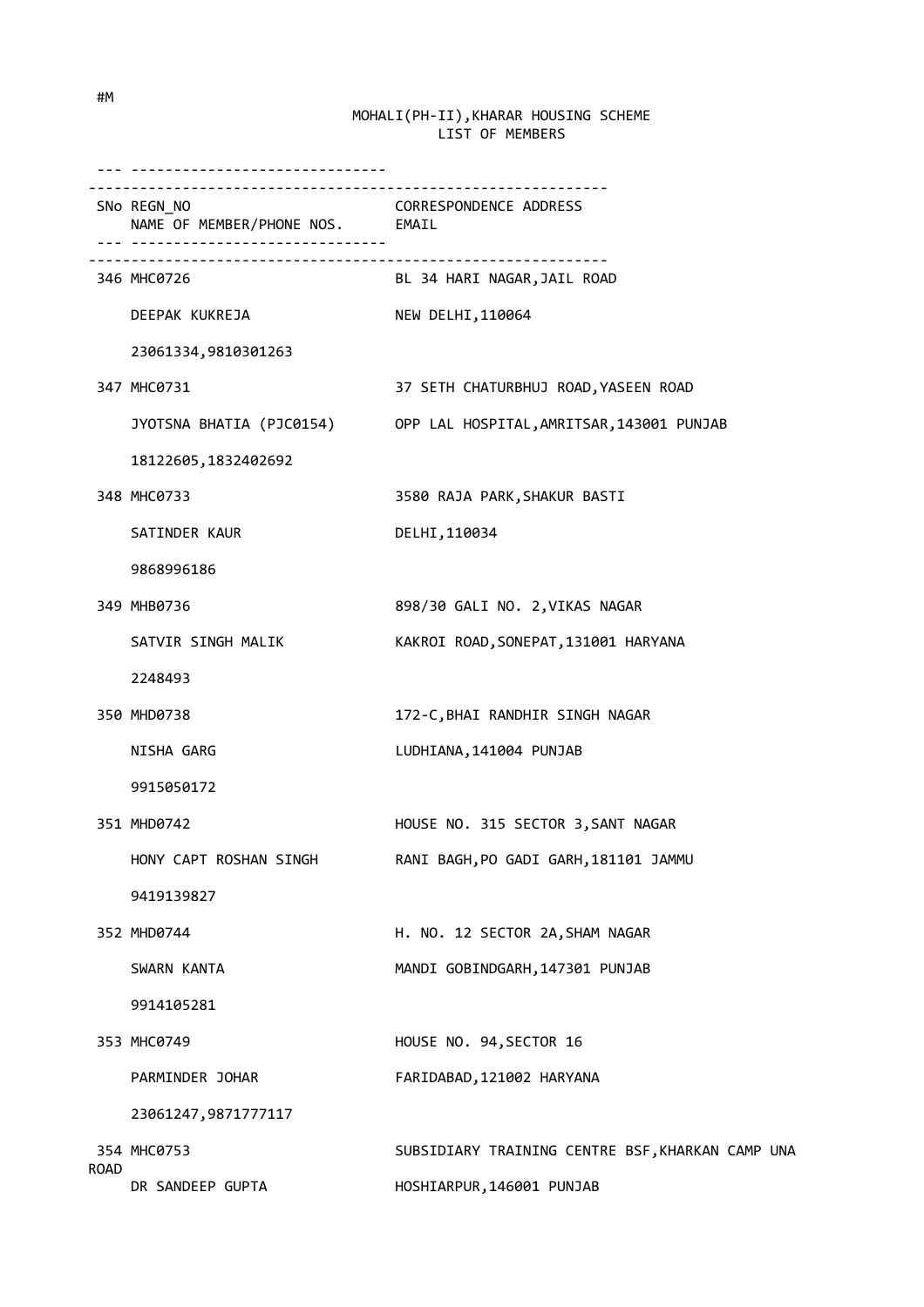|             | SNo REGN_NO<br>NAME OF MEMBER/PHONE NOS. EMAIL | CORRESPONDENCE ADDRESS                                             |
|-------------|------------------------------------------------|--------------------------------------------------------------------|
|             | 346 MHC0726                                    | BL 34 HARI NAGAR, JAIL ROAD                                        |
|             | DEEPAK KUKREJA                                 | NEW DELHI, 110064                                                  |
|             | 23061334,9810301263                            |                                                                    |
|             | 347 MHC0731                                    | 37 SETH CHATURBHUJ ROAD, YASEEN ROAD                               |
|             |                                                | JYOTSNA BHATIA (PJC0154) OPP LAL HOSPITAL, AMRITSAR, 143001 PUNJAB |
|             | 18122605, 1832402692                           |                                                                    |
|             | 348 MHC0733                                    | 3580 RAJA PARK, SHAKUR BASTI                                       |
|             | SATINDER KAUR                                  | DELHI, 110034                                                      |
|             | 9868996186                                     |                                                                    |
|             | 349 MHB0736                                    | 898/30 GALI NO. 2, VIKAS NAGAR                                     |
|             | SATVIR SINGH MALIK                             | KAKROI ROAD, SONEPAT, 131001 HARYANA                               |
|             | 2248493                                        |                                                                    |
|             | 350 MHD0738                                    | 172-C, BHAI RANDHIR SINGH NAGAR                                    |
|             | NISHA GARG                                     | LUDHIANA, 141004 PUNJAB                                            |
|             | 9915050172                                     |                                                                    |
|             | 351 MHD0742                                    | HOUSE NO. 315 SECTOR 3, SANT NAGAR                                 |
|             | HONY CAPT ROSHAN SINGH                         | RANI BAGH, PO GADI GARH, 181101 JAMMU                              |
|             | 9419139827                                     |                                                                    |
|             | 352 MHD0744                                    | H. NO. 12 SECTOR 2A, SHAM NAGAR                                    |
|             | SWARN KANTA                                    | MANDI GOBINDGARH, 147301 PUNJAB                                    |
|             | 9914105281                                     |                                                                    |
|             | 353 MHC0749                                    | HOUSE NO. 94, SECTOR 16                                            |
|             | PARMINDER JOHAR                                | FARIDABAD, 121002 HARYANA                                          |
|             | 23061247,9871777117                            |                                                                    |
| <b>ROAD</b> | 354 MHC0753                                    | SUBSIDIARY TRAINING CENTRE BSF, KHARKAN CAMP UNA                   |
|             | DR SANDEEP GUPTA                               | HOSHIARPUR, 146001 PUNJAB                                          |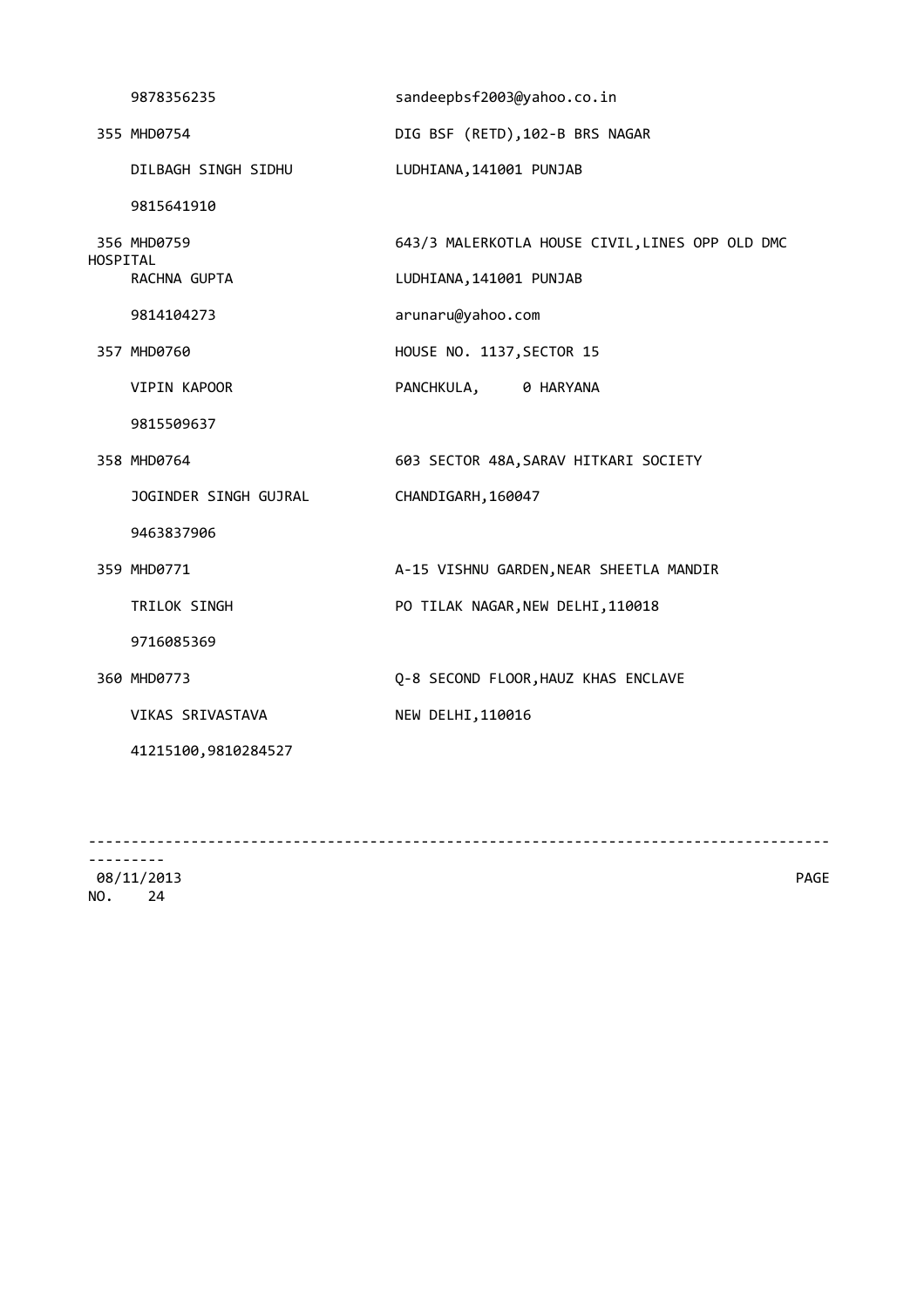|          | 9878356235            | sandeepbsf2003@yahoo.co.in                      |
|----------|-----------------------|-------------------------------------------------|
|          | 355 MHD0754           | DIG BSF (RETD), 102-B BRS NAGAR                 |
|          | DILBAGH SINGH SIDHU   | LUDHIANA, 141001 PUNJAB                         |
|          | 9815641910            |                                                 |
|          | 356 MHD0759           | 643/3 MALERKOTLA HOUSE CIVIL, LINES OPP OLD DMC |
| HOSPITAL | RACHNA GUPTA          | LUDHIANA, 141001 PUNJAB                         |
|          | 9814104273            | arunaru@yahoo.com                               |
|          | 357 MHD0760           | HOUSE NO. 1137, SECTOR 15                       |
|          | VIPIN KAPOOR          | PANCHKULA, 0 HARYANA                            |
|          | 9815509637            |                                                 |
|          | 358 MHD0764           | 603 SECTOR 48A, SARAV HITKARI SOCIETY           |
|          | JOGINDER SINGH GUJRAL | CHANDIGARH, 160047                              |
|          | 9463837906            |                                                 |
|          | 359 MHD0771           | A-15 VISHNU GARDEN, NEAR SHEETLA MANDIR         |
|          | TRILOK SINGH          | PO TILAK NAGAR, NEW DELHI, 110018               |
|          | 9716085369            |                                                 |
|          | 360 MHD0773           | Q-8 SECOND FLOOR, HAUZ KHAS ENCLAVE             |
|          | VIKAS SRIVASTAVA      | NEW DELHI, 110016                               |
|          | 41215100,9810284527   |                                                 |
|          |                       |                                                 |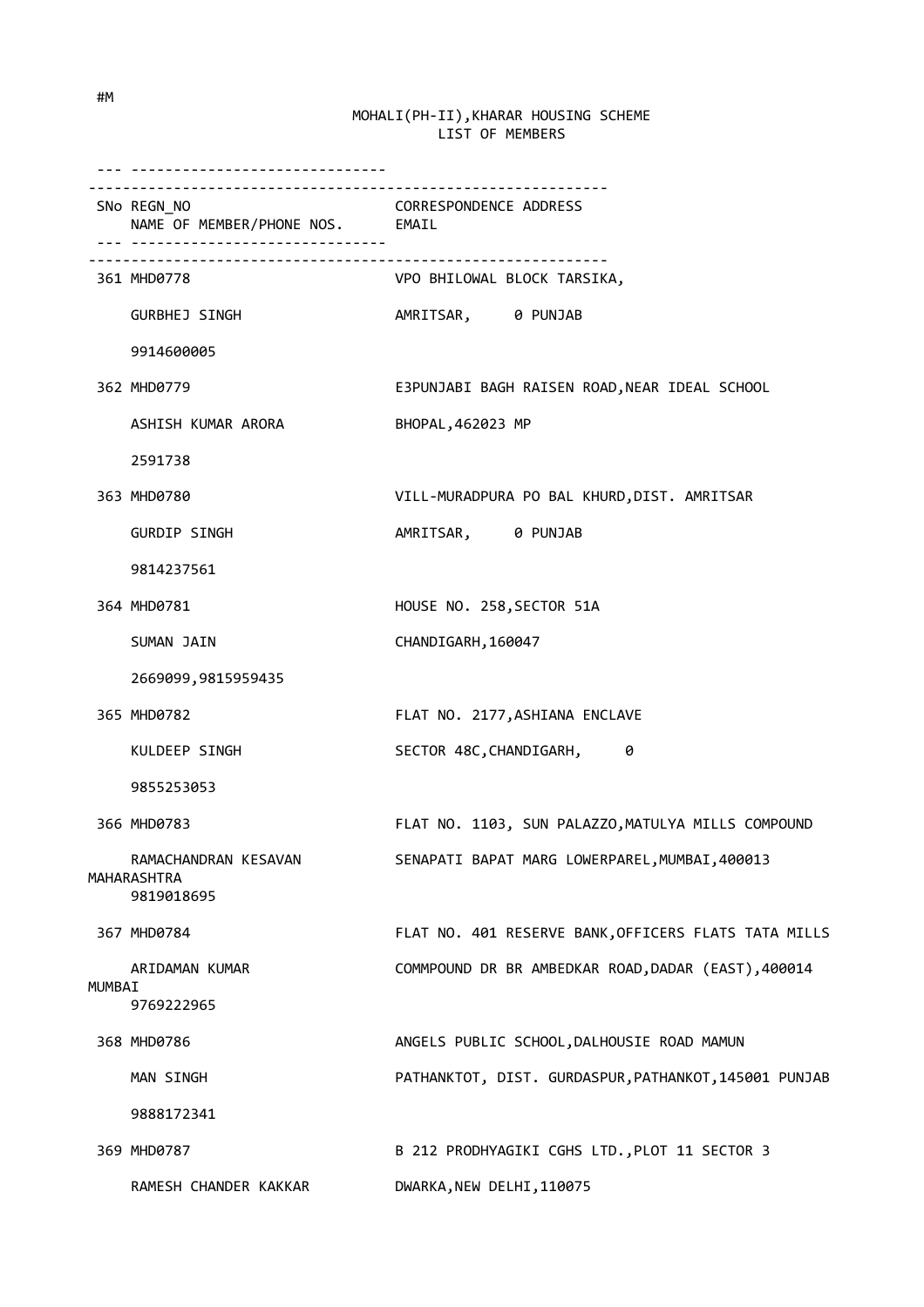|        | ___________________________________               |                                                       |
|--------|---------------------------------------------------|-------------------------------------------------------|
|        | SNo REGN_NO<br>NAME OF MEMBER/PHONE NOS. EMAIL    | <b>CORRESPONDENCE ADDRESS</b>                         |
|        | 361 MHD0778                                       | VPO BHILOWAL BLOCK TARSIKA,                           |
|        | GURBHEJ SINGH                                     | AMRITSAR, 0 PUNJAB                                    |
|        | 9914600005                                        |                                                       |
|        | 362 MHD0779                                       | E3PUNJABI BAGH RAISEN ROAD, NEAR IDEAL SCHOOL         |
|        | ASHISH KUMAR ARORA                                | BHOPAL, 462023 MP                                     |
|        | 2591738                                           |                                                       |
|        | 363 MHD0780                                       | VILL-MURADPURA PO BAL KHURD, DIST. AMRITSAR           |
|        | <b>GURDIP SINGH</b>                               | AMRITSAR, 0 PUNJAB                                    |
|        | 9814237561                                        |                                                       |
|        | 364 MHD0781                                       | HOUSE NO. 258, SECTOR 51A                             |
|        | SUMAN JAIN                                        | CHANDIGARH, 160047                                    |
|        | 2669099,9815959435                                |                                                       |
|        | 365 MHD0782                                       | FLAT NO. 2177, ASHIANA ENCLAVE                        |
|        | KULDEEP SINGH                                     | SECTOR 48C, CHANDIGARH, 0                             |
|        | 9855253053                                        |                                                       |
|        | 366 MHD0783                                       | FLAT NO. 1103, SUN PALAZZO, MATULYA MILLS COMPOUND    |
|        | RAMACHANDRAN KESAVAN<br>MAHARASHTRA<br>9819018695 | SENAPATI BAPAT MARG LOWERPAREL, MUMBAI, 400013        |
|        | 367 MHD0784                                       | FLAT NO. 401 RESERVE BANK, OFFICERS FLATS TATA MILLS  |
| MUMBAI | ARIDAMAN KUMAR<br>9769222965                      | COMMPOUND DR BR AMBEDKAR ROAD, DADAR (EAST), 400014   |
|        | 368 MHD0786                                       | ANGELS PUBLIC SCHOOL, DALHOUSIE ROAD MAMUN            |
|        | MAN SINGH                                         | PATHANKTOT, DIST. GURDASPUR, PATHANKOT, 145001 PUNJAB |
|        | 9888172341                                        |                                                       |
|        | 369 MHD0787                                       | B 212 PRODHYAGIKI CGHS LTD., PLOT 11 SECTOR 3         |
|        | RAMESH CHANDER KAKKAR                             | DWARKA, NEW DELHI, 110075                             |

#M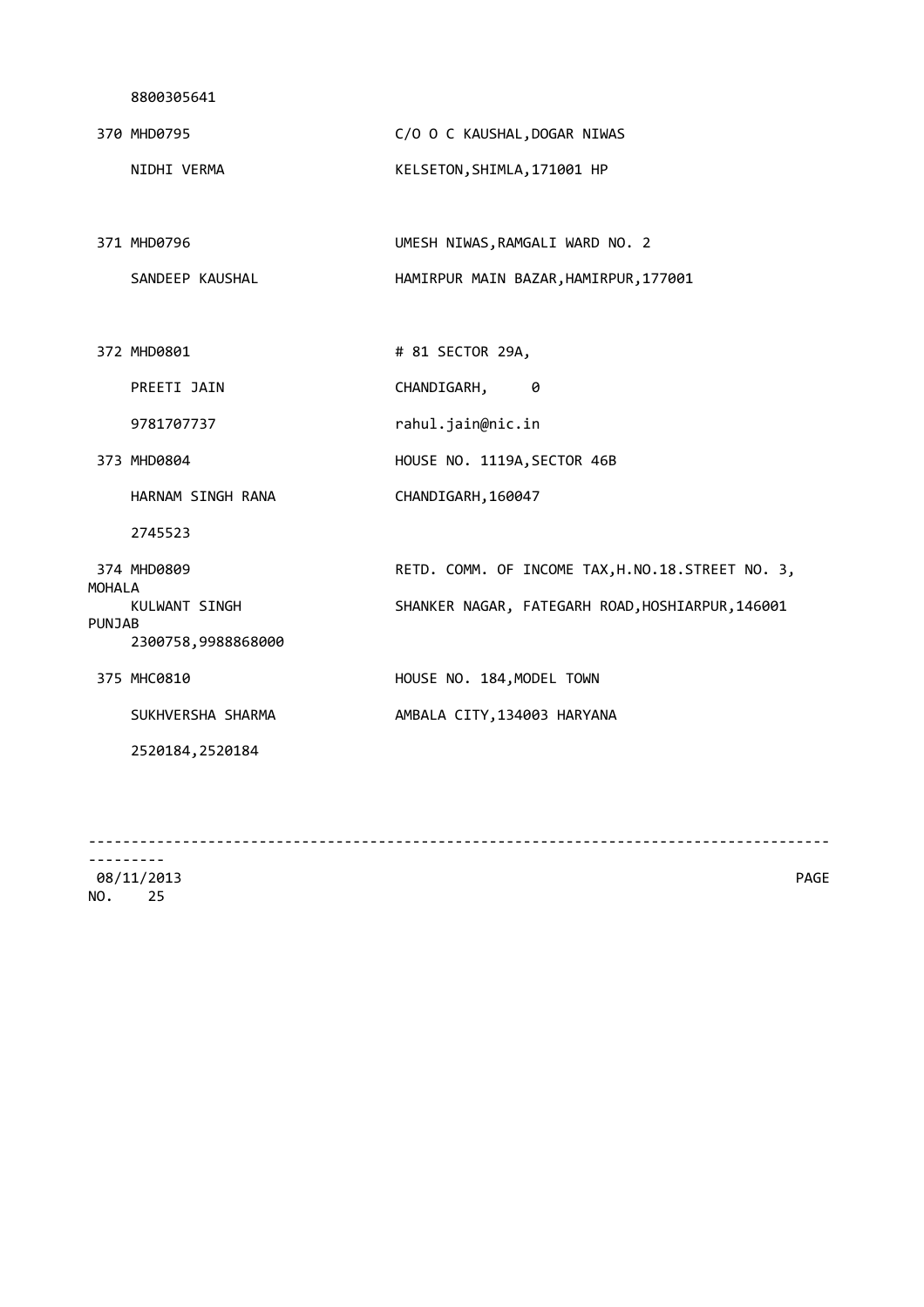|        | 370 MHD0795       | C/O O C KAUSHAL, DOGAR NIWAS                     |
|--------|-------------------|--------------------------------------------------|
|        | NIDHI VERMA       | KELSETON, SHIMLA, 171001 HP                      |
|        |                   |                                                  |
|        | 371 MHD0796       | UMESH NIWAS, RAMGALI WARD NO. 2                  |
|        | SANDEEP KAUSHAL   | HAMIRPUR MAIN BAZAR, HAMIRPUR, 177001            |
|        |                   |                                                  |
|        | 372 MHD0801       | # 81 SECTOR 29A,                                 |
|        | PREETI JAIN       | CHANDIGARH,<br>0                                 |
|        | 9781707737        | rahul.jain@nic.in                                |
|        | 373 MHD0804       | HOUSE NO. 1119A, SECTOR 46B                      |
|        | HARNAM SINGH RANA | CHANDIGARH, 160047                               |
|        | 2745523           |                                                  |
| MOHALA | 374 MHD0809       | RETD. COMM. OF INCOME TAX, H.NO.18.STREET NO. 3, |
|        | KULWANT SINGH     | SHANKER NAGAR, FATEGARH ROAD, HOSHIARPUR, 146001 |

PUNJAB 2300758,9988868000 375 MHC0810 **HOUSE NO. 184, MODEL TOWN** SUKHVERSHA SHARMA AMBALA CITY, 134003 HARYANA

2520184,2520184

---------------------------------------------------------------------------------------

--------- 08/11/2013 PAGE NO. 25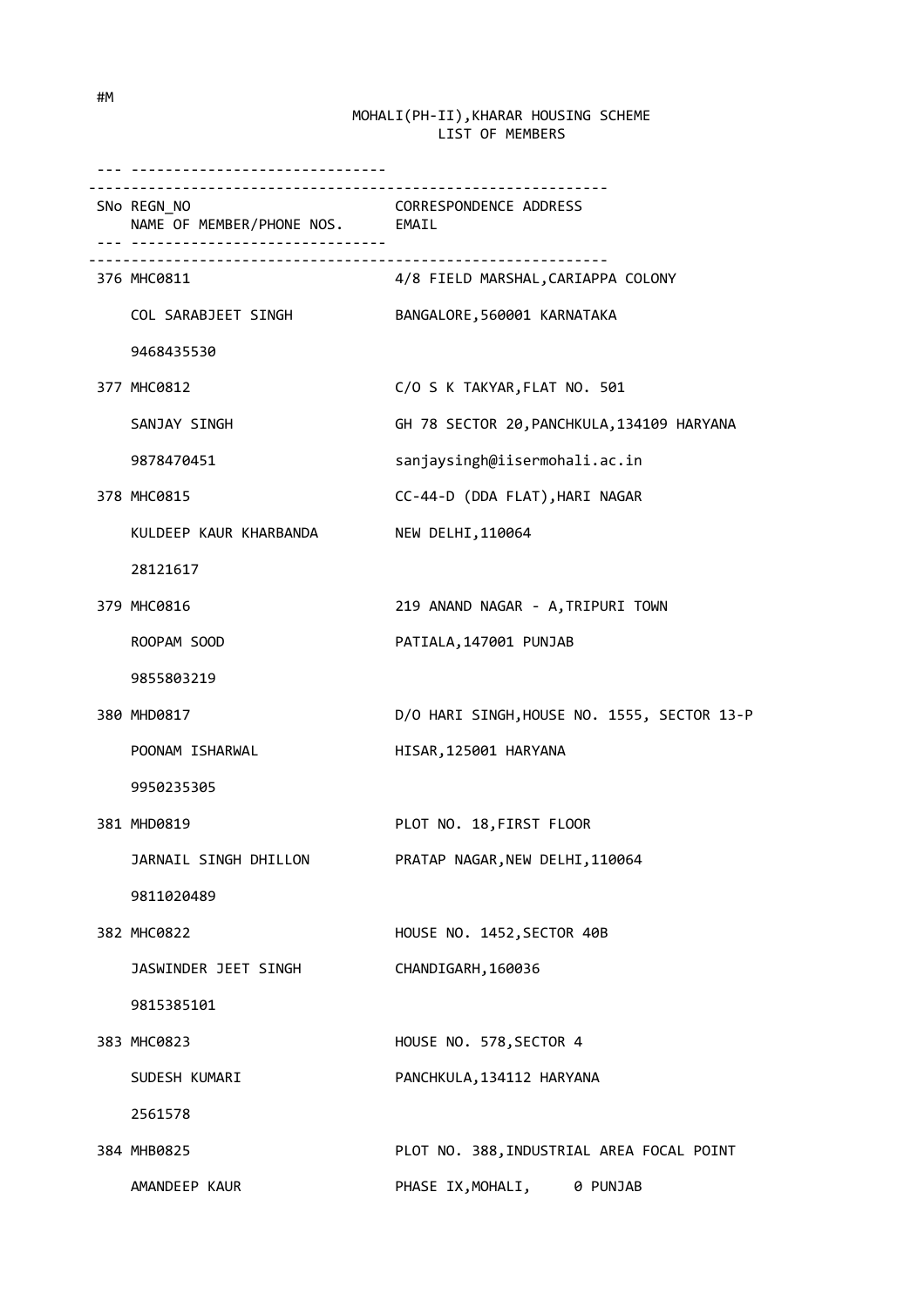| .                                              |                                                                |
|------------------------------------------------|----------------------------------------------------------------|
| SNo REGN_NO<br>NAME OF MEMBER/PHONE NOS. EMAIL | <b>CORRESPONDENCE ADDRESS</b>                                  |
| 376 MHC0811                                    | _________________________<br>4/8 FIELD MARSHAL,CARIAPPA COLONY |
| COL SARABJEET SINGH                            | BANGALORE, 560001 KARNATAKA                                    |
| 9468435530                                     |                                                                |
| 377 MHC0812                                    | C/O S K TAKYAR, FLAT NO. 501                                   |
| SANJAY SINGH                                   | GH 78 SECTOR 20, PANCHKULA, 134109 HARYANA                     |
| 9878470451                                     | sanjaysingh@iisermohali.ac.in                                  |
| 378 MHC0815                                    | CC-44-D (DDA FLAT), HARI NAGAR                                 |
| KULDEEP KAUR KHARBANDA                         | NEW DELHI, 110064                                              |
| 28121617                                       |                                                                |
| 379 MHC0816                                    | 219 ANAND NAGAR - A, TRIPURI TOWN                              |
| ROOPAM SOOD                                    | PATIALA, 147001 PUNJAB                                         |
| 9855803219                                     |                                                                |
| 380 MHD0817                                    | D/O HARI SINGH, HOUSE NO. 1555, SECTOR 13-P                    |
| POONAM ISHARWAL                                | HISAR, 125001 HARYANA                                          |
| 9950235305                                     |                                                                |
| 381 MHD0819                                    | PLOT NO. 18, FIRST FLOOR                                       |
| JARNAIL SINGH DHILLON                          | PRATAP NAGAR, NEW DELHI, 110064                                |
| 9811020489                                     |                                                                |
| 382 MHC0822                                    | HOUSE NO. 1452, SECTOR 40B                                     |
| JASWINDER JEET SINGH                           | CHANDIGARH, 160036                                             |
| 9815385101                                     |                                                                |
| 383 MHC0823                                    | HOUSE NO. 578, SECTOR 4                                        |
| SUDESH KUMARI                                  | PANCHKULA, 134112 HARYANA                                      |
| 2561578                                        |                                                                |
| 384 MHB0825                                    | PLOT NO. 388, INDUSTRIAL AREA FOCAL POINT                      |
| AMANDEEP KAUR                                  | PHASE IX, MOHALI, 0 PUNJAB                                     |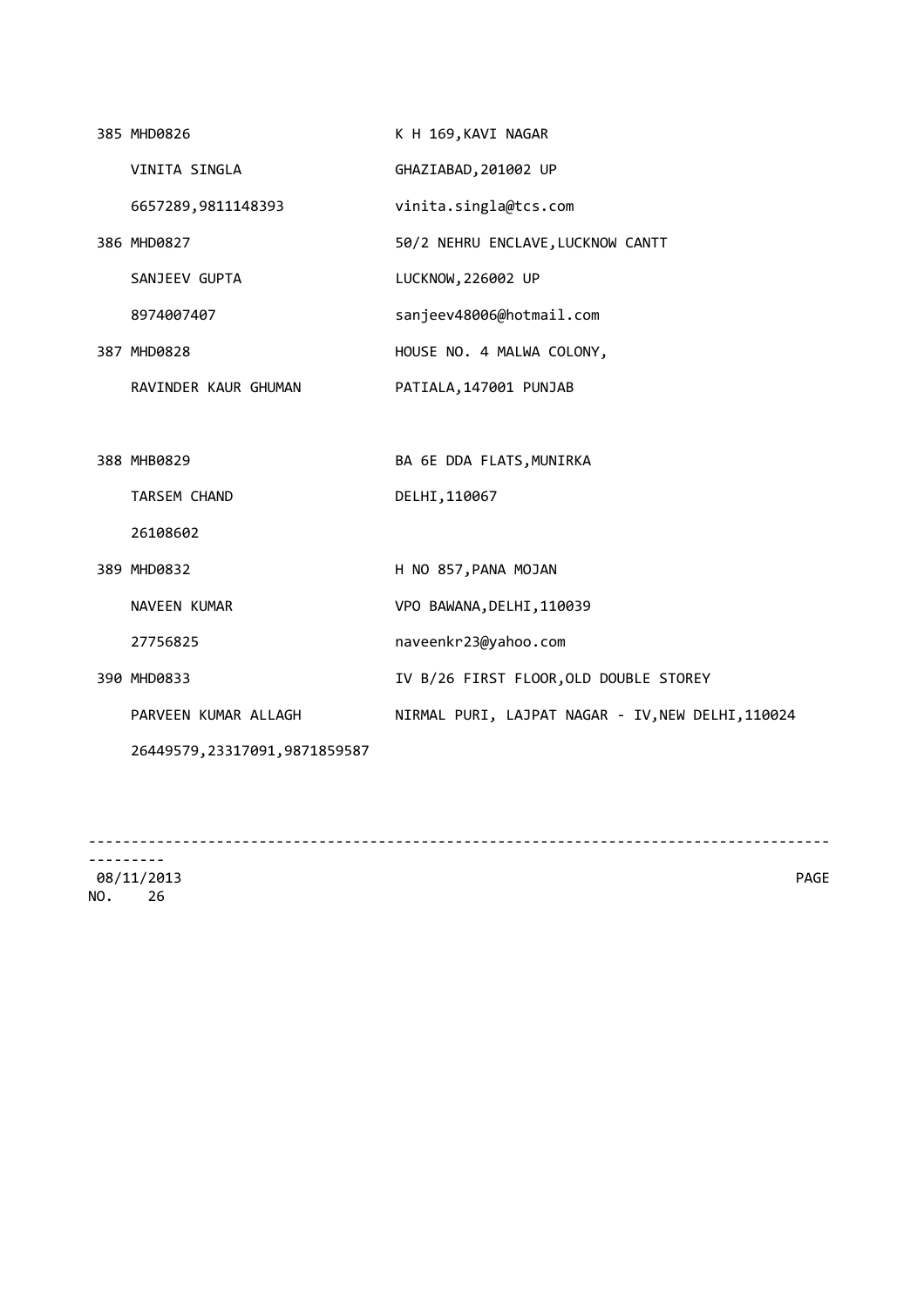| 385 MHD0826                    | K H 169, KAVI NAGAR                               |
|--------------------------------|---------------------------------------------------|
| VINITA SINGLA                  | GHAZIABAD, 201002 UP                              |
| 6657289,9811148393             | vinita.singla@tcs.com                             |
| 386 MHD0827                    | 50/2 NEHRU ENCLAVE, LUCKNOW CANTT                 |
| SANJEEV GUPTA                  | LUCKNOW, 226002 UP                                |
| 8974007407                     | sanjeev48006@hotmail.com                          |
| 387 MHD0828                    | HOUSE NO. 4 MALWA COLONY,                         |
| RAVINDER KAUR GHUMAN           | PATIALA, 147001 PUNJAB                            |
|                                |                                                   |
| 388 MHB0829                    | BA 6E DDA FLATS, MUNIRKA                          |
| <b>TARSEM CHAND</b>            | DELHI, 110067                                     |
| 26108602                       |                                                   |
| 389 MHD0832                    | H NO 857, PANA MOJAN                              |
| NAVEEN KUMAR                   | VPO BAWANA, DELHI, 110039                         |
| 27756825                       | naveenkr23@yahoo.com                              |
| 390 MHD0833                    | IV B/26 FIRST FLOOR, OLD DOUBLE STOREY            |
| PARVEEN KUMAR ALLAGH           | NIRMAL PURI, LAJPAT NAGAR - IV, NEW DELHI, 110024 |
| 26449579, 23317091, 9871859587 |                                                   |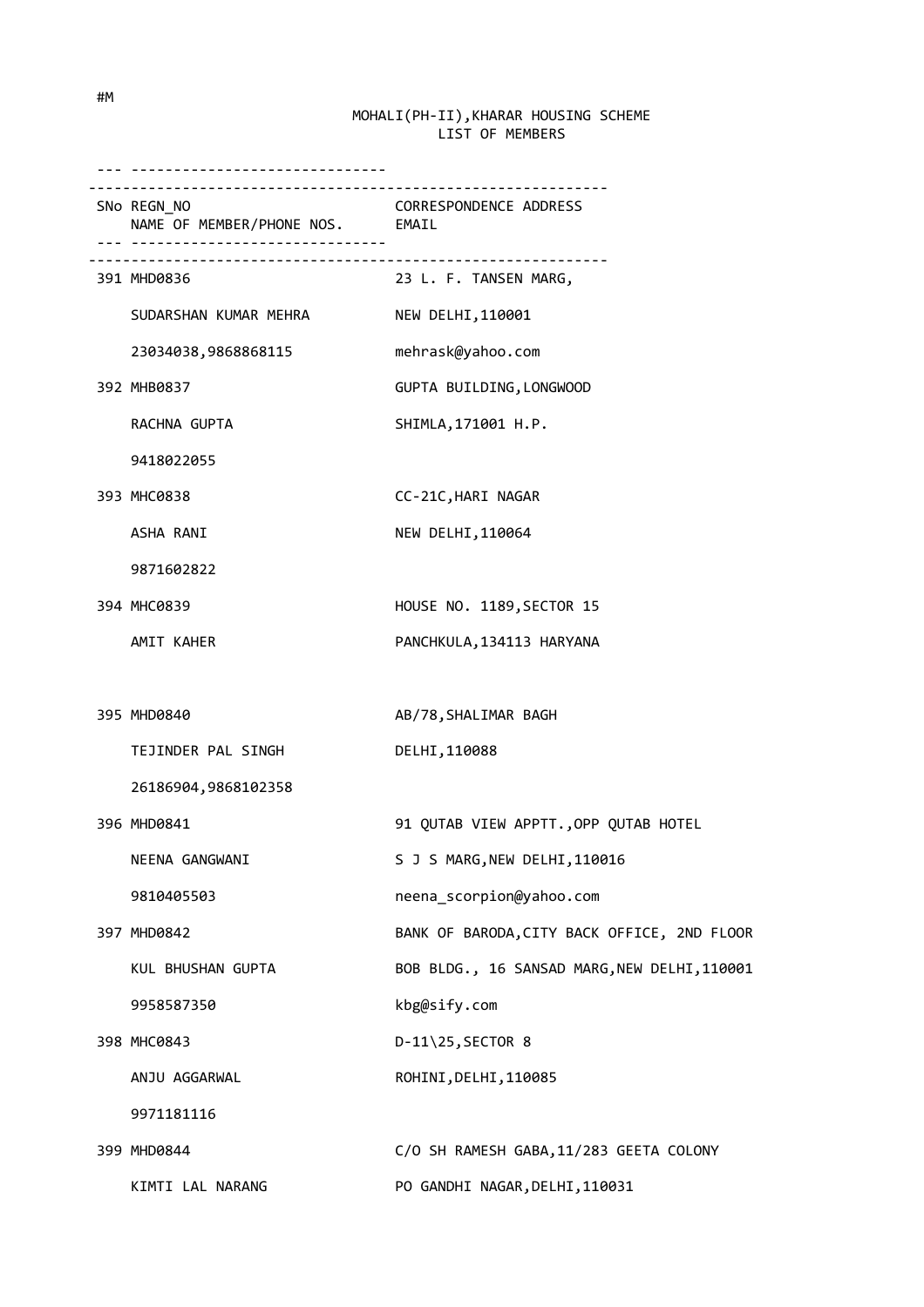| .                                              |                                              |
|------------------------------------------------|----------------------------------------------|
| SNo REGN_NO<br>NAME OF MEMBER/PHONE NOS. EMAIL | CORRESPONDENCE ADDRESS                       |
| 391 MHD0836                                    | 23 L. F. TANSEN MARG,                        |
| SUDARSHAN KUMAR MEHRA                          | NEW DELHI, 110001                            |
| 23034038,9868868115                            | mehrask@yahoo.com                            |
| 392 MHB0837                                    | GUPTA BUILDING, LONGWOOD                     |
| RACHNA GUPTA                                   | SHIMLA, 171001 H.P.                          |
| 9418022055                                     |                                              |
| 393 MHC0838                                    | CC-21C, HARI NAGAR                           |
| ASHA RANI                                      | NEW DELHI, 110064                            |
| 9871602822                                     |                                              |
| 394 MHC0839                                    | HOUSE NO. 1189, SECTOR 15                    |
| AMIT KAHER                                     | PANCHKULA, 134113 HARYANA                    |
|                                                |                                              |
| 395 MHD0840                                    | AB/78, SHALIMAR BAGH                         |
| TEJINDER PAL SINGH                             | DELHI, 110088                                |
| 26186904,9868102358                            |                                              |
| 396 MHD0841                                    | 91 QUTAB VIEW APPTT., OPP QUTAB HOTEL        |
| NEENA GANGWANI                                 | S J S MARG, NEW DELHI, 110016                |
| 9810405503                                     | neena_scorpion@yahoo.com                     |
| 397 MHD0842                                    | BANK OF BARODA, CITY BACK OFFICE, 2ND FLOOR  |
| KUL BHUSHAN GUPTA                              | BOB BLDG., 16 SANSAD MARG, NEW DELHI, 110001 |
| 9958587350                                     | kbg@sify.com                                 |
| 398 MHC0843                                    | D-11\25, SECTOR 8                            |
| ANJU AGGARWAL                                  | ROHINI, DELHI, 110085                        |
| 9971181116                                     |                                              |
| 399 MHD0844                                    | C/O SH RAMESH GABA, 11/283 GEETA COLONY      |
| KIMTI LAL NARANG                               | PO GANDHI NAGAR, DELHI, 110031               |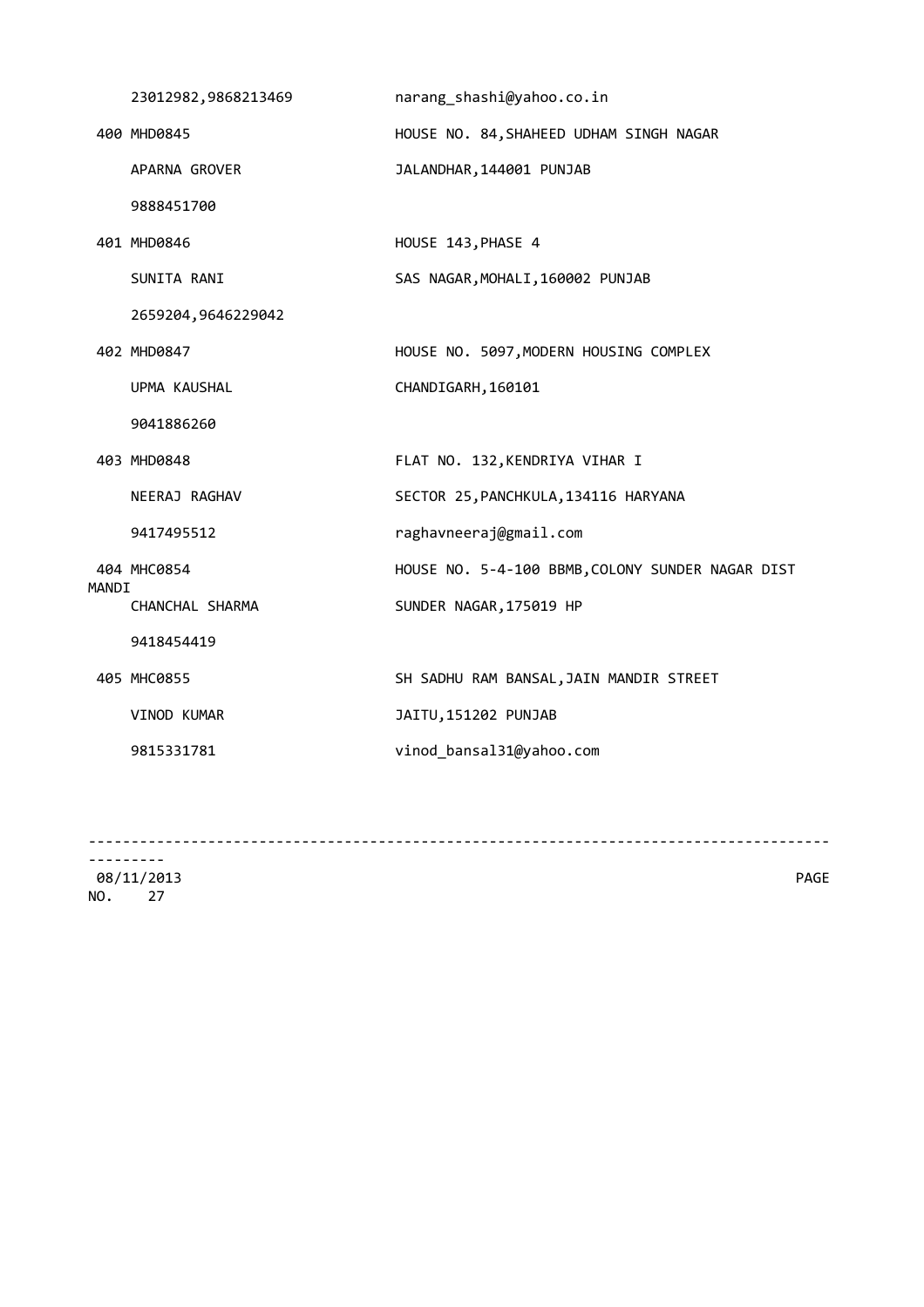|       | 23012982,9868213469 | narang_shashi@yahoo.co.in                        |
|-------|---------------------|--------------------------------------------------|
|       | 400 MHD0845         | HOUSE NO. 84, SHAHEED UDHAM SINGH NAGAR          |
|       | APARNA GROVER       | JALANDHAR, 144001 PUNJAB                         |
|       | 9888451700          |                                                  |
|       | 401 MHD0846         | HOUSE 143, PHASE 4                               |
|       | SUNITA RANI         | SAS NAGAR, MOHALI, 160002 PUNJAB                 |
|       | 2659204,9646229042  |                                                  |
|       | 402 MHD0847         | HOUSE NO. 5097, MODERN HOUSING COMPLEX           |
|       | UPMA KAUSHAL        | CHANDIGARH, 160101                               |
|       | 9041886260          |                                                  |
|       | 403 MHD0848         | FLAT NO. 132, KENDRIYA VIHAR I                   |
|       | NEERAJ RAGHAV       | SECTOR 25, PANCHKULA, 134116 HARYANA             |
|       | 9417495512          | raghavneeraj@gmail.com                           |
| MANDI | 404 MHC0854         | HOUSE NO. 5-4-100 BBMB, COLONY SUNDER NAGAR DIST |
|       | CHANCHAL SHARMA     | SUNDER NAGAR, 175019 HP                          |
|       | 9418454419          |                                                  |
|       | 405 MHC0855         | SH SADHU RAM BANSAL, JAIN MANDIR STREET          |
|       | VINOD KUMAR         | JAITU, 151202 PUNJAB                             |
|       | 9815331781          | vinod_bansal31@yahoo.com                         |
|       |                     |                                                  |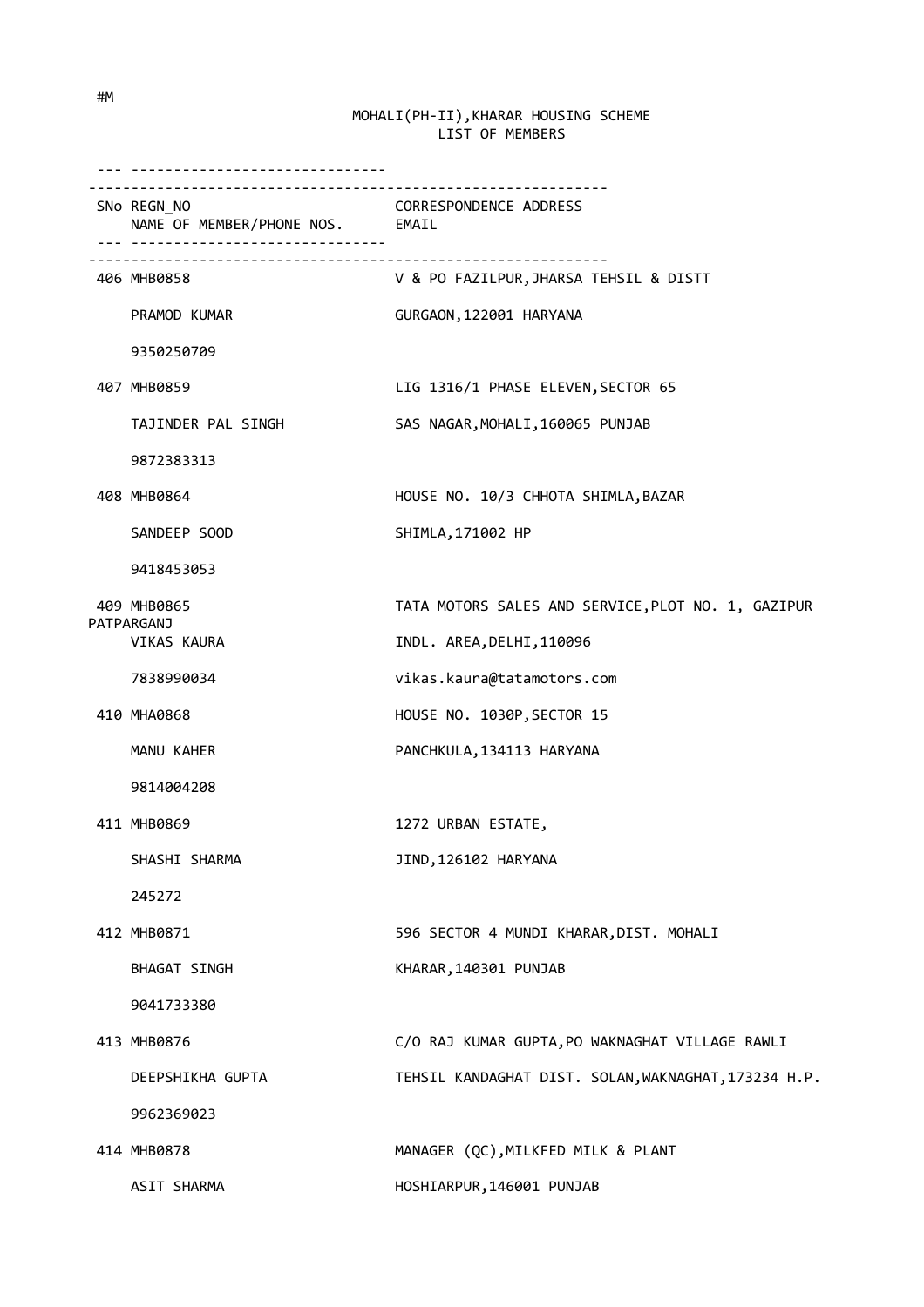| __________________________________             |                                                      |
|------------------------------------------------|------------------------------------------------------|
| SNo REGN_NO<br>NAME OF MEMBER/PHONE NOS. EMAIL | <b>CORRESPONDENCE ADDRESS</b>                        |
| 406 MHB0858                                    | V & PO FAZILPUR, JHARSA TEHSIL & DISTT               |
| PRAMOD KUMAR                                   | GURGAON, 122001 HARYANA                              |
| 9350250709                                     |                                                      |
| 407 MHB0859                                    | LIG 1316/1 PHASE ELEVEN, SECTOR 65                   |
| TAJINDER PAL SINGH                             | SAS NAGAR, MOHALI, 160065 PUNJAB                     |
| 9872383313                                     |                                                      |
| 408 MHB0864                                    | HOUSE NO. 10/3 CHHOTA SHIMLA, BAZAR                  |
| SANDEEP SOOD                                   | SHIMLA, 171002 HP                                    |
| 9418453053                                     |                                                      |
| 409 MHB0865                                    | TATA MOTORS SALES AND SERVICE, PLOT NO. 1, GAZIPUR   |
| PATPARGANJ<br>VIKAS KAURA                      | INDL. AREA, DELHI, 110096                            |
| 7838990034                                     | vikas.kaura@tatamotors.com                           |
| 410 MHA0868                                    | HOUSE NO. 1030P, SECTOR 15                           |
| MANU KAHER                                     | PANCHKULA, 134113 HARYANA                            |
| 9814004208                                     |                                                      |
| 411 MHB0869                                    | 1272 URBAN ESTATE,                                   |
| SHASHI SHARMA                                  | JIND, 126102 HARYANA                                 |
| 245272                                         |                                                      |
| 412 MHB0871                                    | 596 SECTOR 4 MUNDI KHARAR, DIST. MOHALI              |
| BHAGAT SINGH                                   | KHARAR, 140301 PUNJAB                                |
| 9041733380                                     |                                                      |
| 413 MHB0876                                    | C/O RAJ KUMAR GUPTA, PO WAKNAGHAT VILLAGE RAWLI      |
| DEEPSHIKHA GUPTA                               | TEHSIL KANDAGHAT DIST. SOLAN, WAKNAGHAT, 173234 H.P. |
| 9962369023                                     |                                                      |
| 414 MHB0878                                    | MANAGER (QC), MILKFED MILK & PLANT                   |
| ASIT SHARMA                                    | HOSHIARPUR, 146001 PUNJAB                            |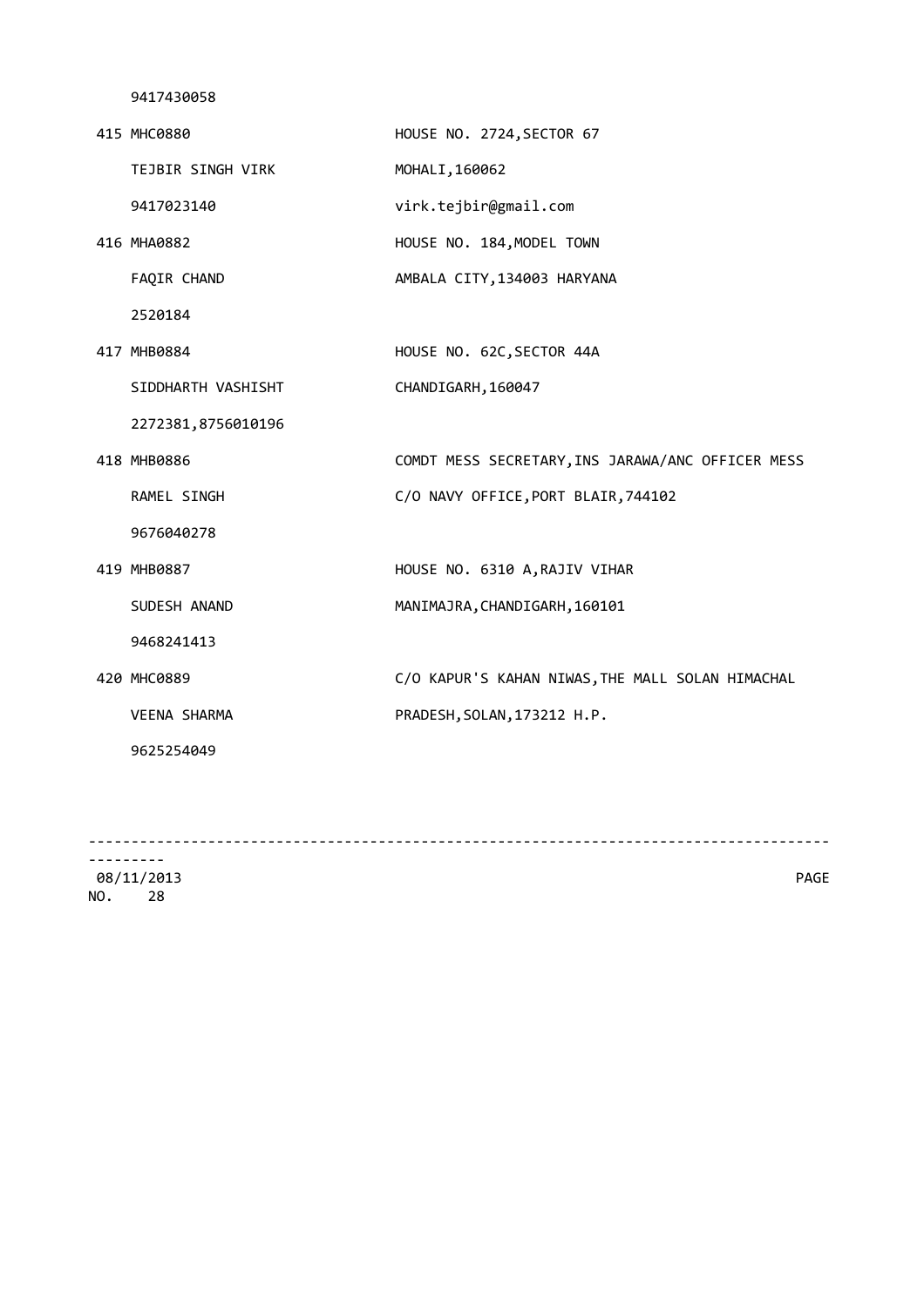| 415 MHC0880         | HOUSE NO. 2724, SECTOR 67                         |
|---------------------|---------------------------------------------------|
| TEJBIR SINGH VIRK   | MOHALI, 160062                                    |
| 9417023140          | virk.tejbir@gmail.com                             |
| 416 MHA0882         | HOUSE NO. 184, MODEL TOWN                         |
| FAQIR CHAND         | AMBALA CITY, 134003 HARYANA                       |
| 2520184             |                                                   |
| 417 MHB0884         | HOUSE NO. 62C, SECTOR 44A                         |
| SIDDHARTH VASHISHT  | CHANDIGARH, 160047                                |
| 2272381,8756010196  |                                                   |
| 418 MHB0886         | COMDT MESS SECRETARY, INS JARAWA/ANC OFFICER MESS |
| RAMEL SINGH         | C/O NAVY OFFICE, PORT BLAIR, 744102               |
| 9676040278          |                                                   |
| 419 MHB0887         | HOUSE NO. 6310 A, RAJIV VIHAR                     |
| SUDESH ANAND        | MANIMAJRA, CHANDIGARH, 160101                     |
| 9468241413          |                                                   |
| 420 MHC0889         | C/O KAPUR'S KAHAN NIWAS, THE MALL SOLAN HIMACHAL  |
| <b>VEENA SHARMA</b> | PRADESH, SOLAN, 173212 H.P.                       |
| 9625254049          |                                                   |
|                     |                                                   |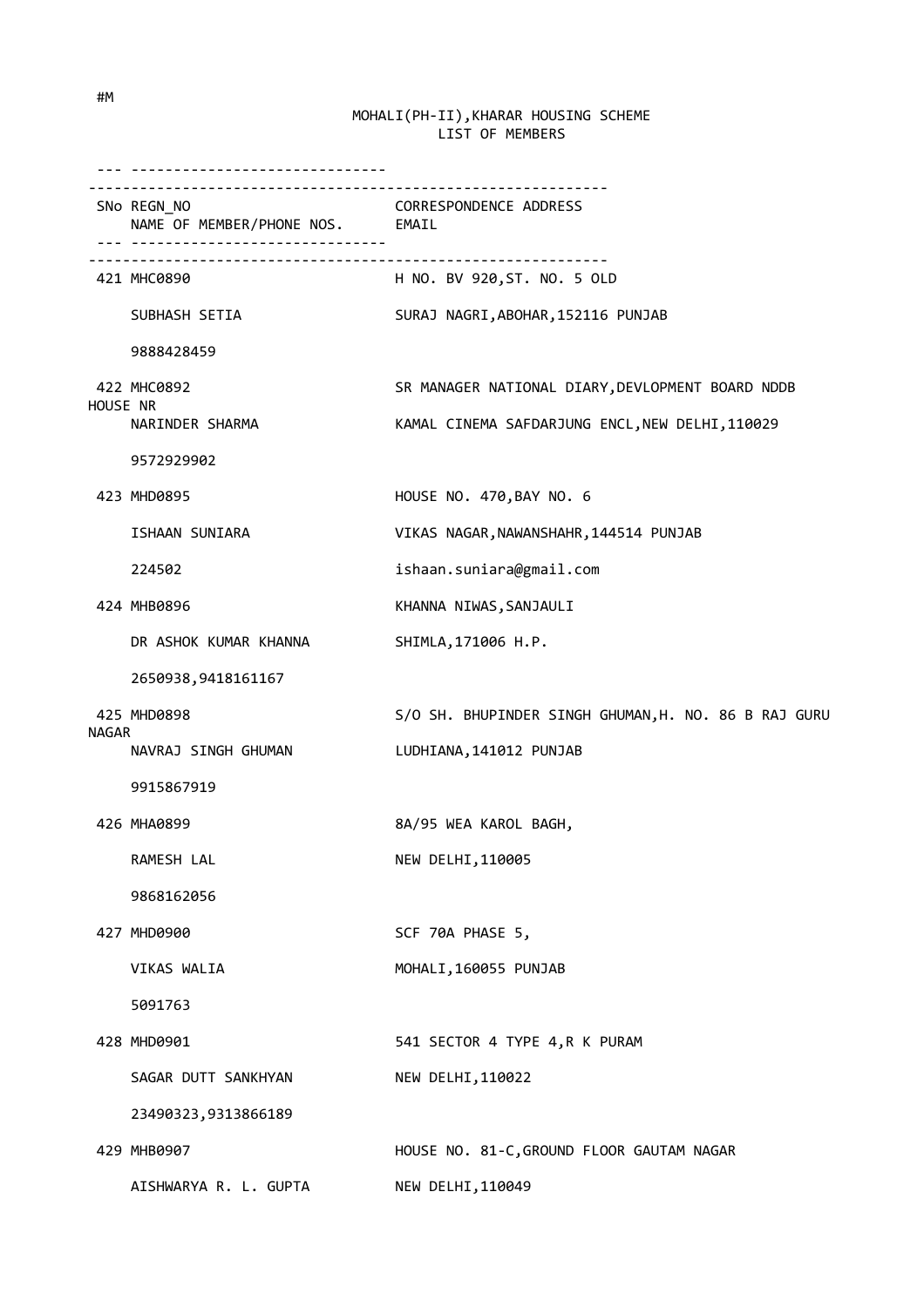--- ------------------------------ ------------------------------------------------------------- SNo REGN\_NO CORRESPONDENCE ADDRESS NAME OF MEMBER/PHONE NOS. EMAIL --- ------------------------------  $-$  421 MHC0890 H NO. BV 920,ST. NO. 5 OLD SUBHASH SETIA SURAJ NAGRI, ABOHAR, 152116 PUNJAB 9888428459 422 MHC0892 SR MANAGER NATIONAL DIARY,DEVLOPMENT BOARD NDDB HOUSE NR NARINDER SHARMA KAMAL CINEMA SAFDARJUNG ENCL, NEW DELHI, 110029 9572929902 423 MHD0895 HOUSE NO. 470,BAY NO. 6 ISHAAN SUNIARA VIKAS NAGAR,NAWANSHAHR,144514 PUNJAB 224502 ishaan.suniara@gmail.com 424 MHB0896 KHANNA NIWAS, SANJAULI DR ASHOK KUMAR KHANNA SHIMLA, 171006 H.P. 2650938,9418161167 425 MHD0898 S/O SH. BHUPINDER SINGH GHUMAN,H. NO. 86 B RAJ GURU NAGAR NAVRAJ SINGH GHUMAN LUDHIANA,141012 PUNJAB 9915867919 426 MHA0899 8A/95 WEA KAROL BAGH, RAMESH LAL NEW DELHI, 110005 9868162056 427 MHD0900 SCF 70A PHASE 5, VIKAS WALIA MOHALI,160055 PUNJAB 5091763 428 MHD0901 541 SECTOR 4 TYPE 4,R K PURAM SAGAR DUTT SANKHYAN NEW DELHI, 110022 23490323,9313866189 429 MHB0907 HOUSE NO. 81-C,GROUND FLOOR GAUTAM NAGAR AISHWARYA R. L. GUPTA NEW DELHI,110049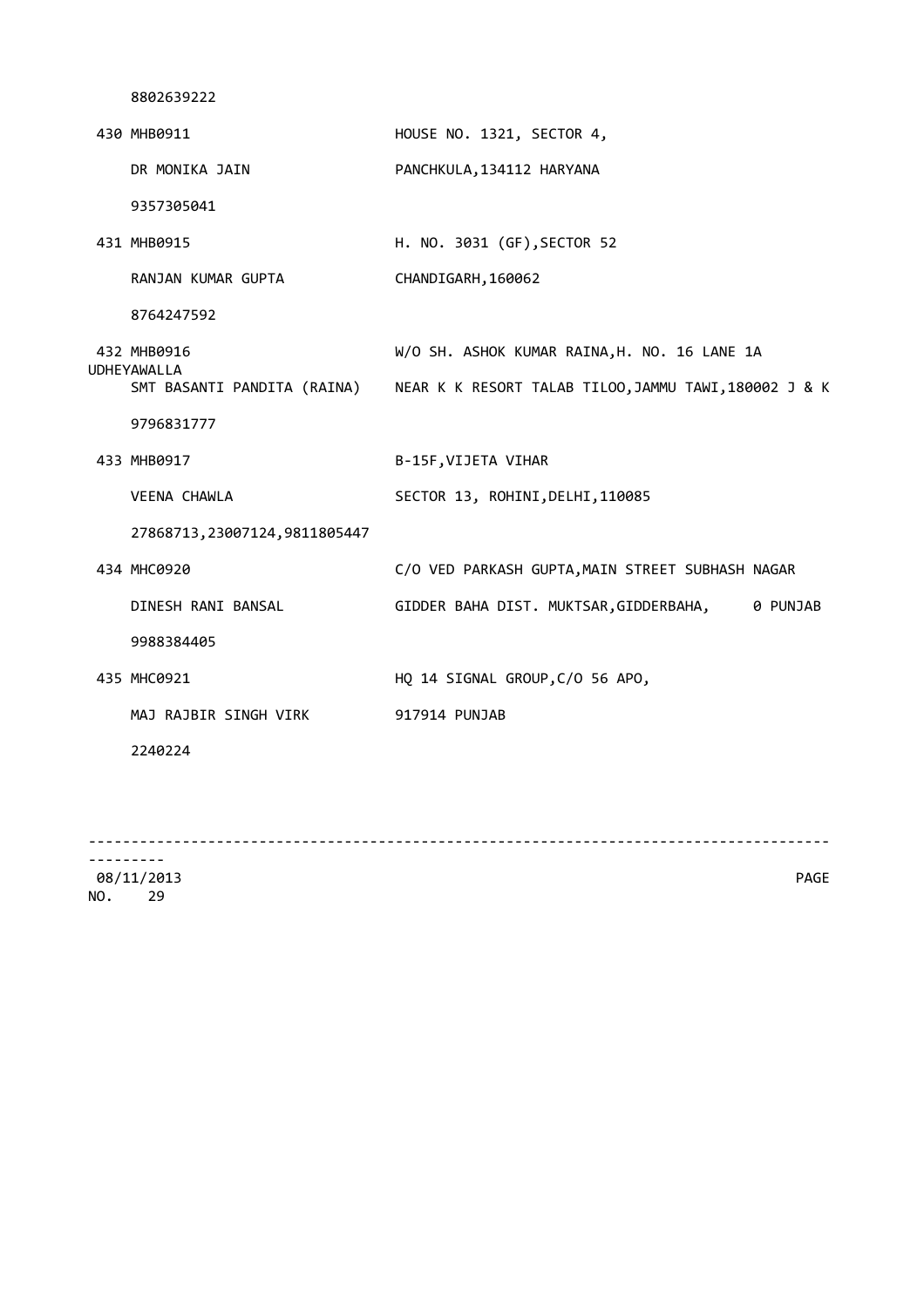| 430 MHB0911                         | HOUSE NO. 1321, SECTOR 4,                                                         |
|-------------------------------------|-----------------------------------------------------------------------------------|
| DR MONIKA JAIN                      | PANCHKULA, 134112 HARYANA                                                         |
| 9357305041                          |                                                                                   |
| 431 MHB0915                         | H. NO. 3031 (GF), SECTOR 52                                                       |
| RANJAN KUMAR GUPTA                  | CHANDIGARH, 160062                                                                |
| 8764247592                          |                                                                                   |
| 432 MHB0916<br>UDHEYAWALLA          | W/O SH. ASHOK KUMAR RAINA, H. NO. 16 LANE 1A                                      |
|                                     | SMT BASANTI PANDITA (RAINA) NEAR K K RESORT TALAB TILOO, JAMMU TAWI, 180002 J & K |
| 9796831777                          |                                                                                   |
| 433 MHB0917                         | B-15F, VIJETA VIHAR                                                               |
| VEENA CHAWLA                        | SECTOR 13, ROHINI, DELHI, 110085                                                  |
| 27868713, 23007124, 9811805447      |                                                                                   |
| 434 MHC0920                         | C/O VED PARKASH GUPTA, MAIN STREET SUBHASH NAGAR                                  |
| DINESH RANI BANSAL                  | GIDDER BAHA DIST. MUKTSAR, GIDDERBAHA, 0 PUNJAB                                   |
| 9988384405                          |                                                                                   |
| 435 MHC0921                         | HQ 14 SIGNAL GROUP, C/O 56 APO,                                                   |
| MAJ RAJBIR SINGH VIRK 917914 PUNJAB |                                                                                   |
| 2240224                             |                                                                                   |
|                                     |                                                                                   |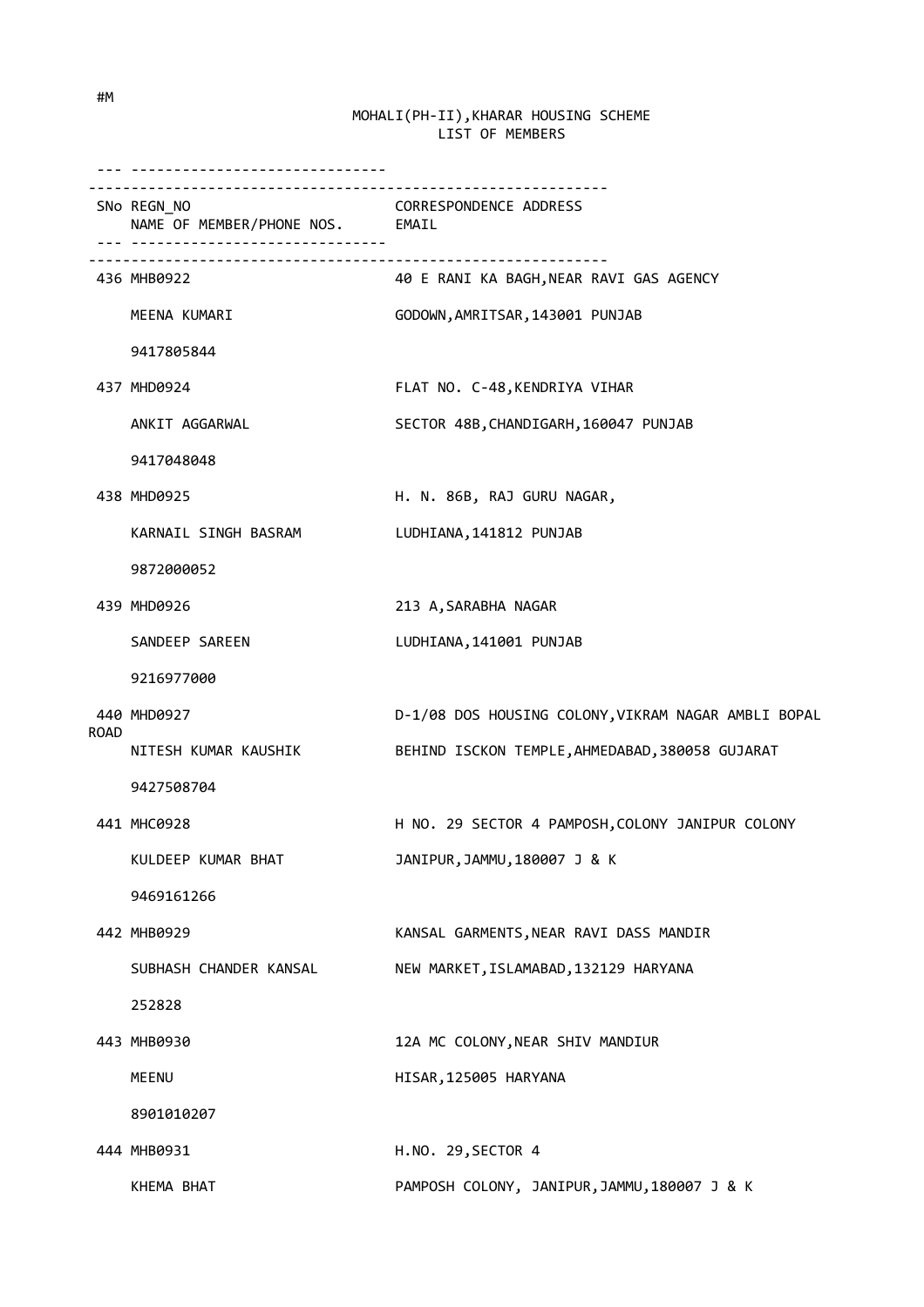|             | SNo REGN_NO<br>NAME OF MEMBER/PHONE NOS. EMAIL | CORRESPONDENCE ADDRESS                              |
|-------------|------------------------------------------------|-----------------------------------------------------|
|             | 436 MHB0922                                    | 40 E RANI KA BAGH,NEAR RAVI GAS AGENCY              |
|             | MEENA KUMARI                                   | GODOWN, AMRITSAR, 143001 PUNJAB                     |
|             | 9417805844                                     |                                                     |
|             | 437 MHD0924                                    | FLAT NO. C-48, KENDRIYA VIHAR                       |
|             | ANKIT AGGARWAL                                 | SECTOR 48B, CHANDIGARH, 160047 PUNJAB               |
|             | 9417048048                                     |                                                     |
|             | 438 MHD0925                                    | H. N. 86B, RAJ GURU NAGAR,                          |
|             | KARNAIL SINGH BASRAM                           | LUDHIANA, 141812 PUNJAB                             |
|             | 9872000052                                     |                                                     |
|             | 439 MHD0926                                    | 213 A, SARABHA NAGAR                                |
|             | SANDEEP SAREEN                                 | LUDHIANA, 141001 PUNJAB                             |
|             | 9216977000                                     |                                                     |
| <b>ROAD</b> | 440 MHD0927                                    | D-1/08 DOS HOUSING COLONY, VIKRAM NAGAR AMBLI BOPAL |
|             | NITESH KUMAR KAUSHIK                           | BEHIND ISCKON TEMPLE, AHMEDABAD, 380058 GUJARAT     |
|             | 9427508704                                     |                                                     |
|             | 441 MHC0928                                    | H NO. 29 SECTOR 4 PAMPOSH, COLONY JANIPUR COLONY    |
|             | KULDEEP KUMAR BHAT                             | JANIPUR, JAMMU, 180007 J & K                        |
|             | 9469161266                                     |                                                     |
|             | 442 MHB0929                                    | KANSAL GARMENTS, NEAR RAVI DASS MANDIR              |
|             | SUBHASH CHANDER KANSAL                         | NEW MARKET, ISLAMABAD, 132129 HARYANA               |
|             | 252828                                         |                                                     |
|             | 443 MHB0930                                    | 12A MC COLONY, NEAR SHIV MANDIUR                    |
|             | MEENU                                          | HISAR, 125005 HARYANA                               |
|             | 8901010207                                     |                                                     |
|             | 444 MHB0931                                    | H.NO. 29, SECTOR 4                                  |
|             | KHEMA BHAT                                     | PAMPOSH COLONY, JANIPUR, JAMMU, 180007 J & K        |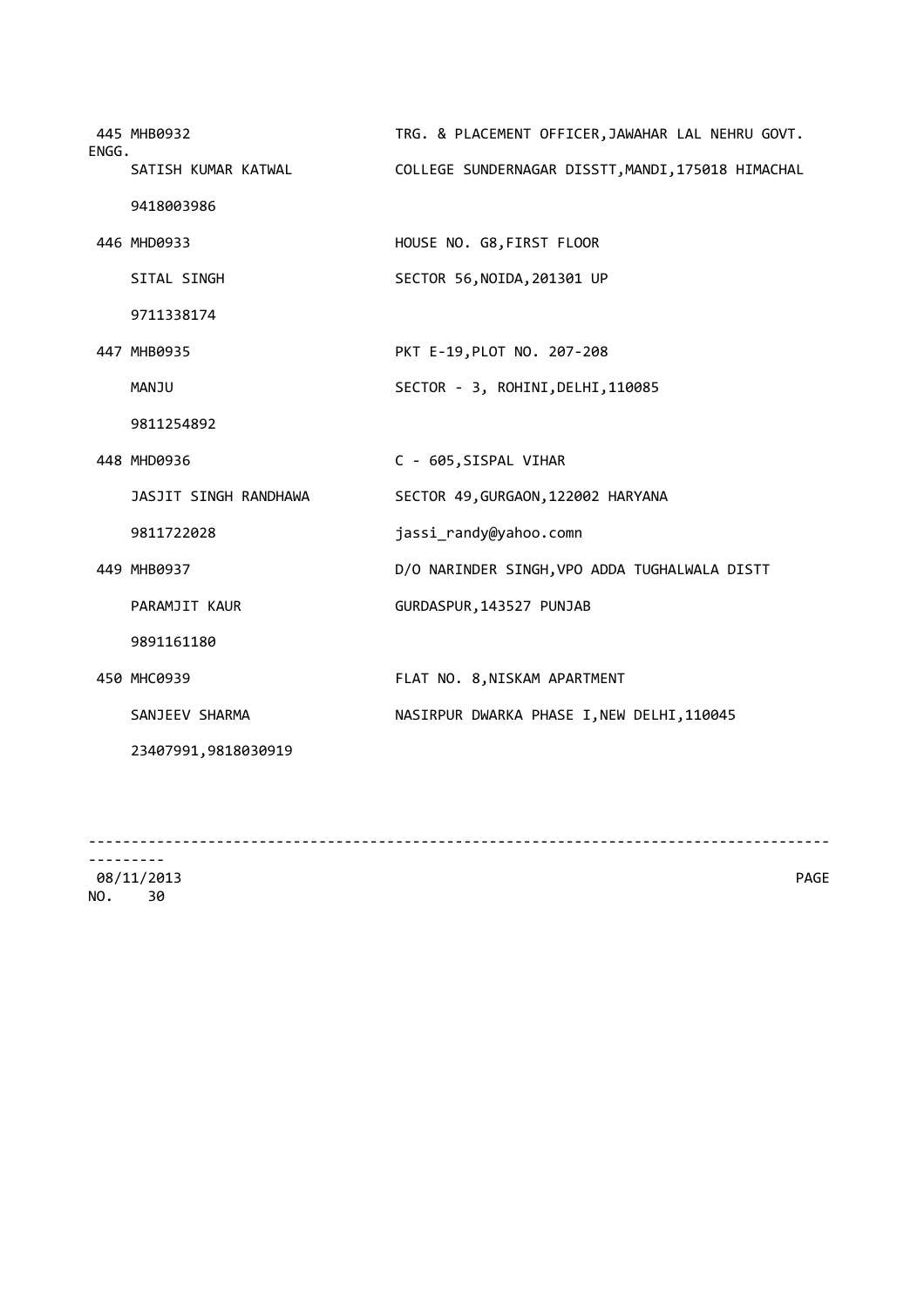| ENGG. | 445 MHB0932           | TRG. & PLACEMENT OFFICER, JAWAHAR LAL NEHRU GOVT.  |
|-------|-----------------------|----------------------------------------------------|
|       | SATISH KUMAR KATWAL   | COLLEGE SUNDERNAGAR DISSTT, MANDI, 175018 HIMACHAL |
|       | 9418003986            |                                                    |
|       | 446 MHD0933           | HOUSE NO. G8, FIRST FLOOR                          |
|       | SITAL SINGH           | SECTOR 56, NOIDA, 201301 UP                        |
|       | 9711338174            |                                                    |
|       | 447 MHB0935           | PKT E-19, PLOT NO. 207-208                         |
|       | MANJU                 | SECTOR - 3, ROHINI, DELHI, 110085                  |
|       | 9811254892            |                                                    |
|       | 448 MHD0936           | C - 605, SISPAL VIHAR                              |
|       | JASJIT SINGH RANDHAWA | SECTOR 49, GURGAON, 122002 HARYANA                 |
|       | 9811722028            | jassi_randy@yahoo.comn                             |
|       | 449 MHB0937           | D/O NARINDER SINGH, VPO ADDA TUGHALWALA DISTT      |
|       | <b>PARAMJIT KAUR</b>  | GURDASPUR, 143527 PUNJAB                           |
|       | 9891161180            |                                                    |
|       | 450 MHC0939           | FLAT NO. 8, NISKAM APARTMENT                       |
|       | SANJEEV SHARMA        | NASIRPUR DWARKA PHASE I, NEW DELHI, 110045         |
|       | 23407991,9818030919   |                                                    |
|       |                       |                                                    |

--------------------------------------------------------------------------------------- --------- 08/11/2013 PAGE

NO. 30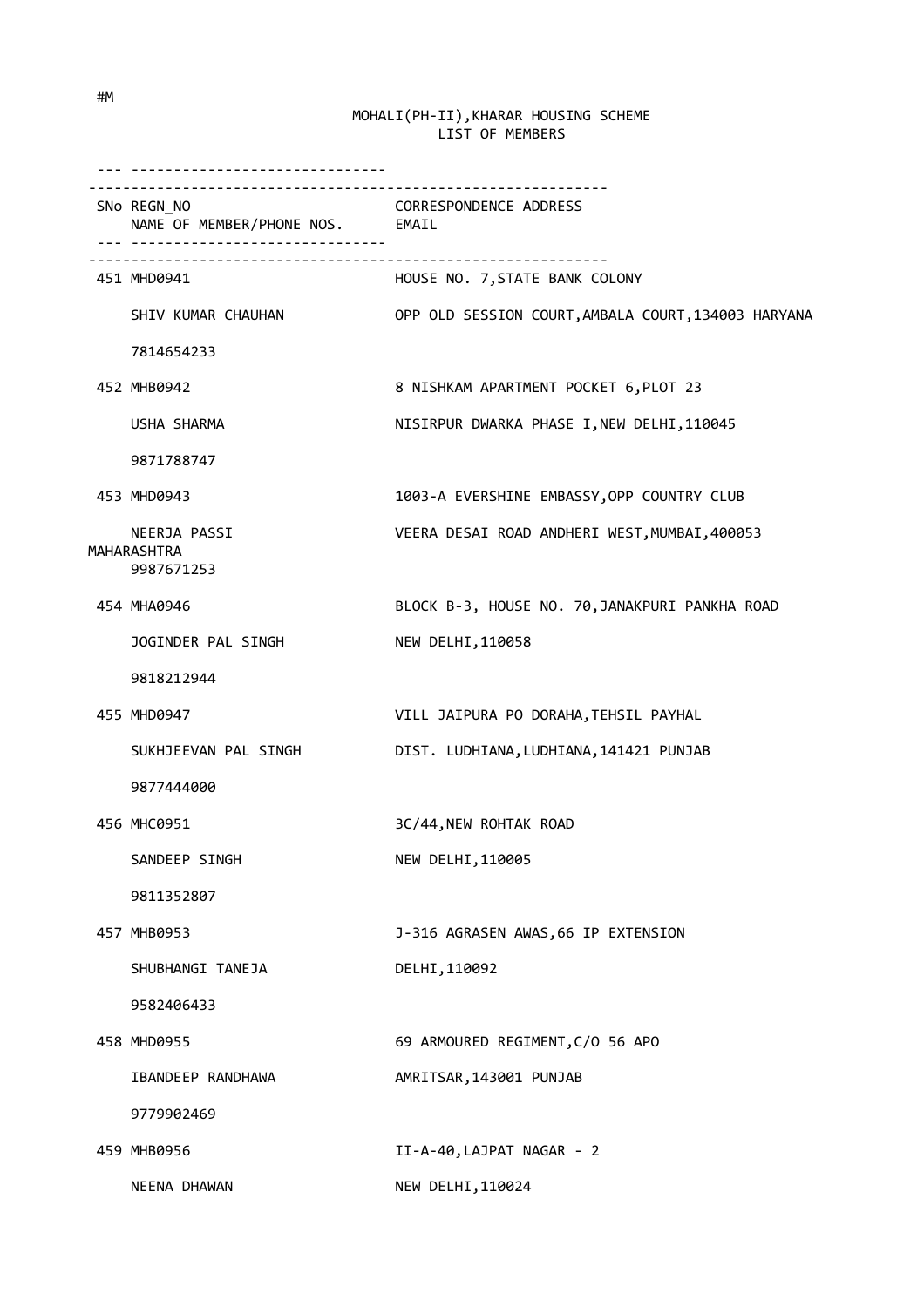| ___________________________________                                              |                                                     |
|----------------------------------------------------------------------------------|-----------------------------------------------------|
| ------------------------------<br>SNo REGN_NO<br>NAME OF MEMBER/PHONE NOS. EMAIL | <b>CORRESPONDENCE ADDRESS</b>                       |
| 451 MHD0941                                                                      | HOUSE NO. 7, STATE BANK COLONY                      |
| SHIV KUMAR CHAUHAN                                                               | OPP OLD SESSION COURT, AMBALA COURT, 134003 HARYANA |
| 7814654233                                                                       |                                                     |
| 452 MHB0942                                                                      | 8 NISHKAM APARTMENT POCKET 6, PLOT 23               |
| USHA SHARMA                                                                      | NISIRPUR DWARKA PHASE I, NEW DELHI, 110045          |
| 9871788747                                                                       |                                                     |
| 453 MHD0943                                                                      | 1003-A EVERSHINE EMBASSY, OPP COUNTRY CLUB          |
| NEERJA PASSI<br>MAHARASHTRA<br>9987671253                                        | VEERA DESAI ROAD ANDHERI WEST, MUMBAI, 400053       |
| 454 MHA0946                                                                      | BLOCK B-3, HOUSE NO. 70, JANAKPURI PANKHA ROAD      |
| JOGINDER PAL SINGH                                                               | NEW DELHI, 110058                                   |
| 9818212944                                                                       |                                                     |
| 455 MHD0947                                                                      | VILL JAIPURA PO DORAHA, TEHSIL PAYHAL               |
| SUKHJEEVAN PAL SINGH                                                             | DIST. LUDHIANA, LUDHIANA, 141421 PUNJAB             |
| 9877444000                                                                       |                                                     |
| 456 MHC0951                                                                      | 3C/44, NEW ROHTAK ROAD                              |
| SANDEEP SINGH                                                                    | NEW DELHI, 110005                                   |
| 9811352807                                                                       |                                                     |
| 457 MHB0953                                                                      | J-316 AGRASEN AWAS, 66 IP EXTENSION                 |
| SHUBHANGI TANEJA                                                                 | DELHI, 110092                                       |
| 9582406433                                                                       |                                                     |
| 458 MHD0955                                                                      | 69 ARMOURED REGIMENT, C/O 56 APO                    |
| IBANDEEP RANDHAWA                                                                | AMRITSAR, 143001 PUNJAB                             |
| 9779902469                                                                       |                                                     |
| 459 MHB0956                                                                      | II-A-40, LAJPAT NAGAR - 2                           |
| NEENA DHAWAN                                                                     | NEW DELHI, 110024                                   |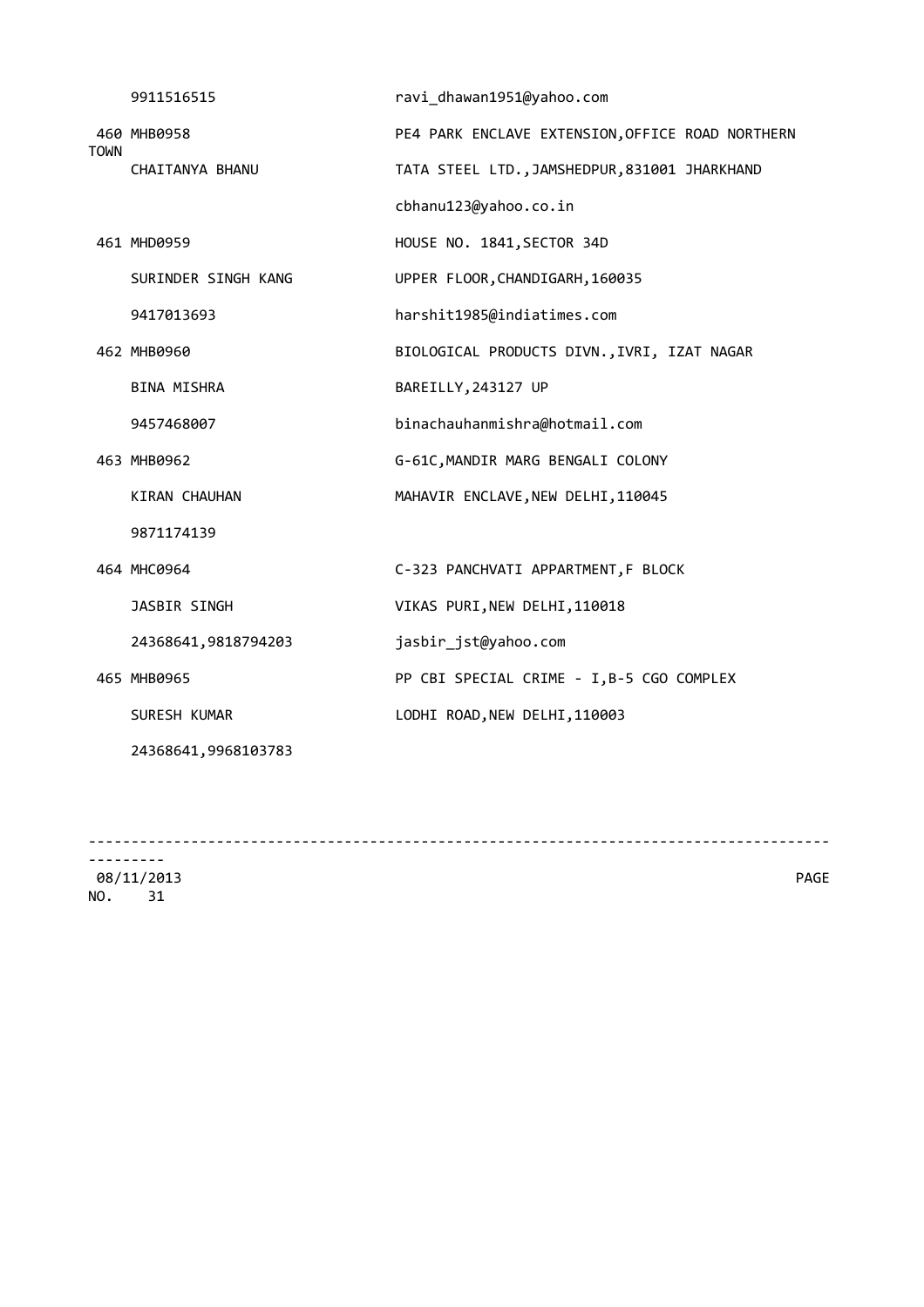|             | 9911516515           | ravi_dhawan1951@yahoo.com                        |
|-------------|----------------------|--------------------------------------------------|
| <b>TOWN</b> | 460 MHB0958          | PE4 PARK ENCLAVE EXTENSION, OFFICE ROAD NORTHERN |
|             | CHAITANYA BHANU      | TATA STEEL LTD., JAMSHEDPUR, 831001 JHARKHAND    |
|             |                      | cbhanu123@yahoo.co.in                            |
|             | 461 MHD0959          | HOUSE NO. 1841, SECTOR 34D                       |
|             | SURINDER SINGH KANG  | UPPER FLOOR, CHANDIGARH, 160035                  |
|             | 9417013693           | harshit1985@indiatimes.com                       |
|             | 462 MHB0960          | BIOLOGICAL PRODUCTS DIVN., IVRI, IZAT NAGAR      |
|             | <b>BINA MISHRA</b>   | BAREILLY, 243127 UP                              |
|             | 9457468007           | binachauhanmishra@hotmail.com                    |
|             | 463 MHB0962          | G-61C, MANDIR MARG BENGALI COLONY                |
|             | <b>KIRAN CHAUHAN</b> | MAHAVIR ENCLAVE, NEW DELHI, 110045               |
|             | 9871174139           |                                                  |
|             | 464 MHC0964          | C-323 PANCHVATI APPARTMENT, F BLOCK              |
|             | JASBIR SINGH         | VIKAS PURI, NEW DELHI, 110018                    |
|             | 24368641,9818794203  | jasbir_jst@yahoo.com                             |
|             | 465 MHB0965          | PP CBI SPECIAL CRIME - I, B-5 CGO COMPLEX        |
|             | SURESH KUMAR         | LODHI ROAD, NEW DELHI, 110003                    |
|             | 24368641,9968103783  |                                                  |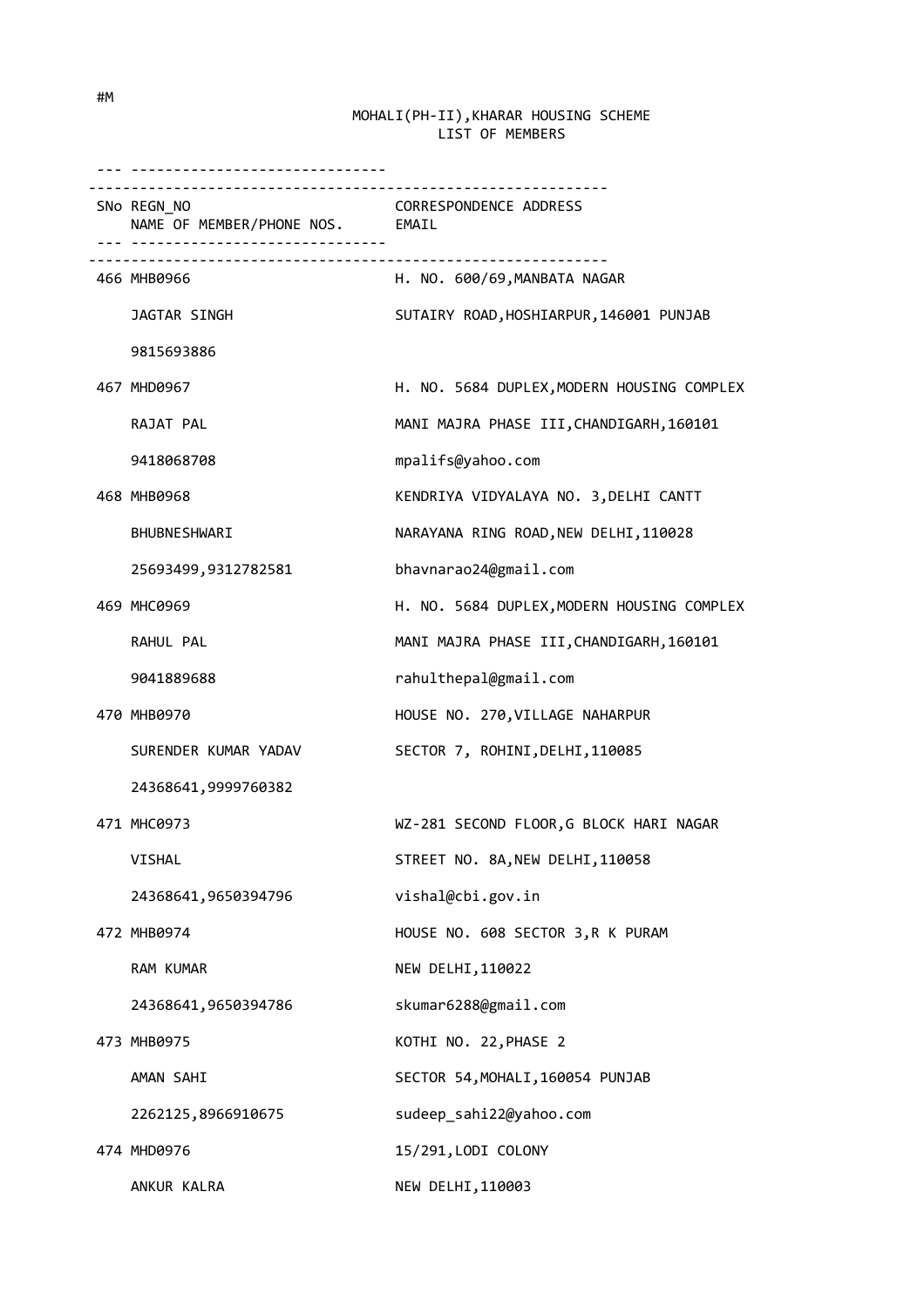| .                                                                              |                                            |
|--------------------------------------------------------------------------------|--------------------------------------------|
| SNo REGN NO<br>NAME OF MEMBER/PHONE NOS. EMAIL<br>---------------------------- | CORRESPONDENCE ADDRESS                     |
| 466 MHB0966                                                                    | H. NO. 600/69, MANBATA NAGAR               |
| JAGTAR SINGH                                                                   | SUTAIRY ROAD, HOSHIARPUR, 146001 PUNJAB    |
| 9815693886                                                                     |                                            |
| 467 MHD0967                                                                    | H. NO. 5684 DUPLEX, MODERN HOUSING COMPLEX |
| RAJAT PAL                                                                      | MANI MAJRA PHASE III, CHANDIGARH, 160101   |
| 9418068708                                                                     | mpalifs@yahoo.com                          |
| 468 MHB0968                                                                    | KENDRIYA VIDYALAYA NO. 3, DELHI CANTT      |
| BHUBNESHWARI                                                                   | NARAYANA RING ROAD, NEW DELHI, 110028      |
| 25693499,9312782581                                                            | bhavnarao24@gmail.com                      |
| 469 MHC0969                                                                    | H. NO. 5684 DUPLEX, MODERN HOUSING COMPLEX |
| RAHUL PAL                                                                      | MANI MAJRA PHASE III, CHANDIGARH, 160101   |
| 9041889688                                                                     | rahulthepal@gmail.com                      |
| 470 MHB0970                                                                    | HOUSE NO. 270, VILLAGE NAHARPUR            |
| SURENDER KUMAR YADAV                                                           | SECTOR 7, ROHINI, DELHI, 110085            |
| 24368641,9999760382                                                            |                                            |
| 471 MHC0973                                                                    | WZ-281 SECOND FLOOR, G BLOCK HARI NAGAR    |
| VISHAL                                                                         | STREET NO. 8A, NEW DELHI, 110058           |
| 24368641,9650394796                                                            | vishal@cbi.gov.in                          |
| 472 MHB0974                                                                    | HOUSE NO. 608 SECTOR 3, R K PURAM          |
| RAM KUMAR                                                                      | NEW DELHI, 110022                          |
| 24368641,9650394786                                                            | skumar6288@gmail.com                       |
| 473 MHB0975                                                                    | KOTHI NO. 22, PHASE 2                      |
| AMAN SAHI                                                                      | SECTOR 54, MOHALI, 160054 PUNJAB           |
| 2262125,8966910675                                                             | sudeep_sahi22@yahoo.com                    |
| 474 MHD0976                                                                    | 15/291, LODI COLONY                        |
| ANKUR KALRA                                                                    | NEW DELHI, 110003                          |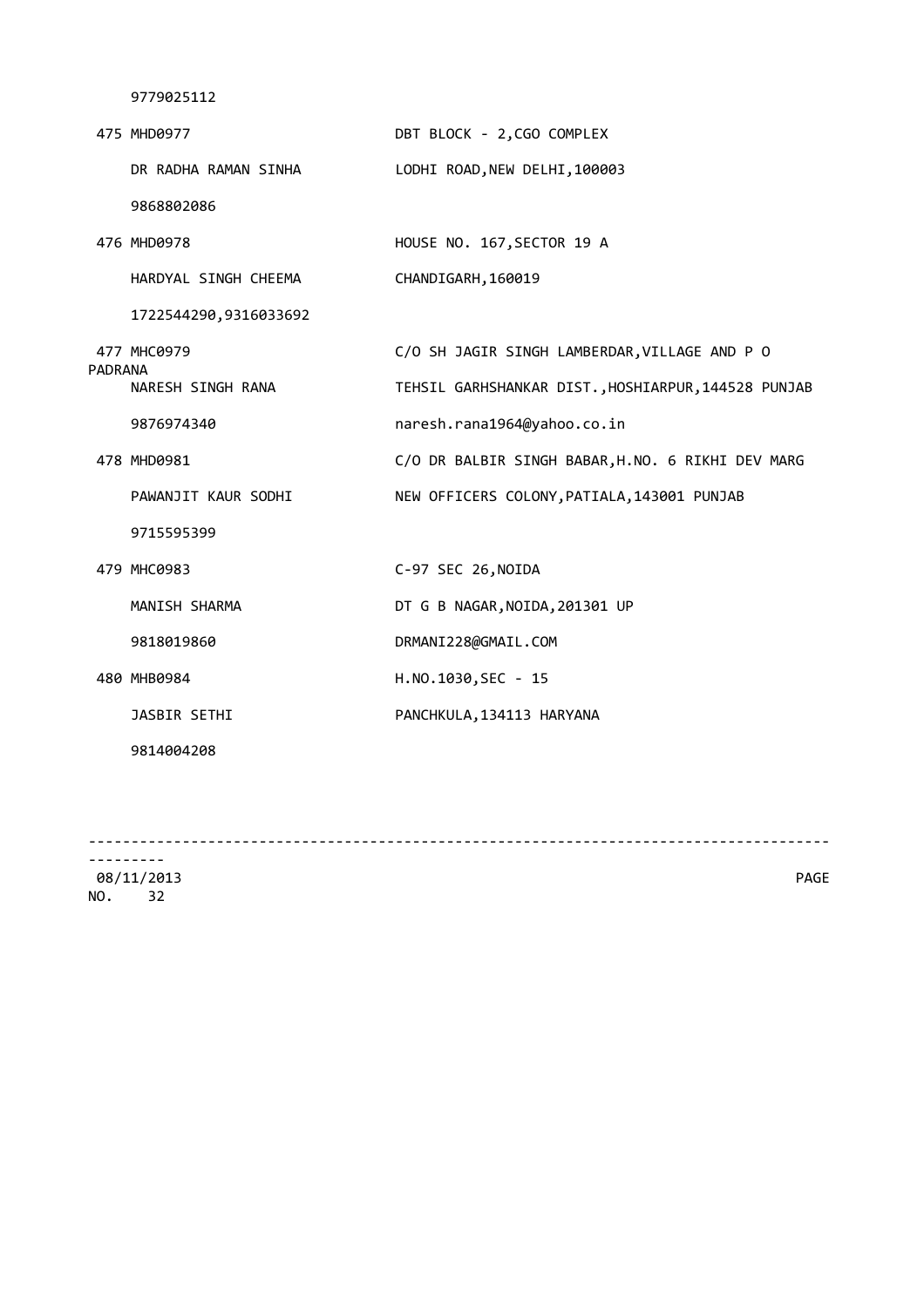|                | 475 MHD0977           | DBT BLOCK - 2, CGO COMPLEX                          |
|----------------|-----------------------|-----------------------------------------------------|
|                | DR RADHA RAMAN SINHA  | LODHI ROAD, NEW DELHI, 100003                       |
|                | 9868802086            |                                                     |
|                | 476 MHD0978           | HOUSE NO. 167, SECTOR 19 A                          |
|                | HARDYAL SINGH CHEEMA  | CHANDIGARH, 160019                                  |
|                | 1722544290,9316033692 |                                                     |
| <b>PADRANA</b> | 477 MHC0979           | C/O SH JAGIR SINGH LAMBERDAR, VILLAGE AND P O       |
|                | NARESH SINGH RANA     | TEHSIL GARHSHANKAR DIST., HOSHIARPUR, 144528 PUNJAB |
|                | 9876974340            | naresh.rana1964@yahoo.co.in                         |
|                | 478 MHD0981           | C/O DR BALBIR SINGH BABAR, H.NO. 6 RIKHI DEV MARG   |
|                | PAWANJIT KAUR SODHI   | NEW OFFICERS COLONY, PATIALA, 143001 PUNJAB         |
|                | 9715595399            |                                                     |
|                | 479 MHC0983           | C-97 SEC 26, NOIDA                                  |
|                | MANISH SHARMA         | DT G B NAGAR, NOIDA, 201301 UP                      |
|                | 9818019860            | DRMANI228@GMAIL.COM                                 |
|                | 480 MHB0984           | H.NO.1030, SEC - 15                                 |
|                | JASBIR SETHI          | PANCHKULA, 134113 HARYANA                           |
|                | 9814004208            |                                                     |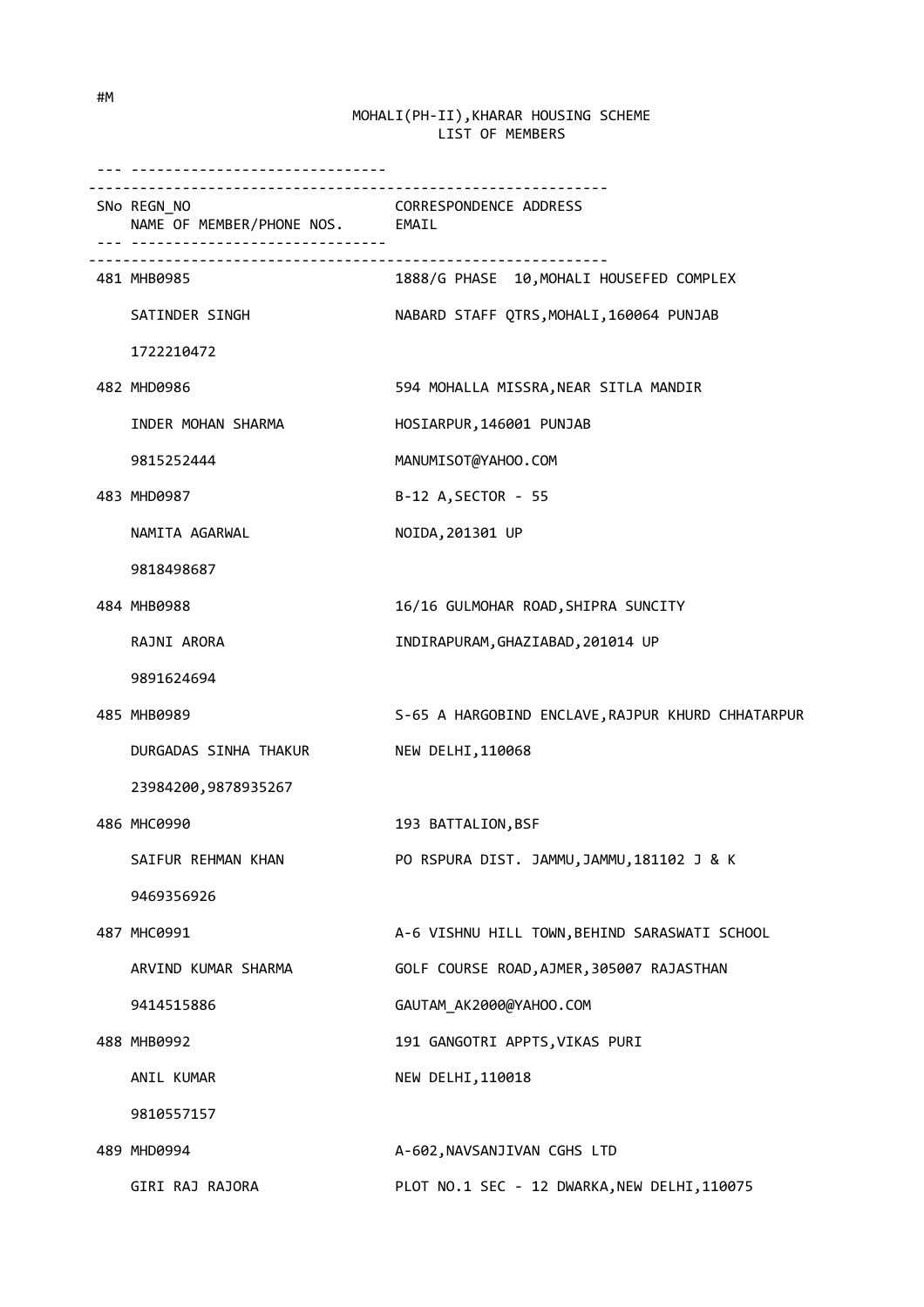| __________________________________                                               |                                                   |
|----------------------------------------------------------------------------------|---------------------------------------------------|
| ------------------------------<br>SNo REGN_NO<br>NAME OF MEMBER/PHONE NOS. EMAIL | <b>CORRESPONDENCE ADDRESS</b>                     |
| 481 MHB0985                                                                      | 1888/G PHASE 10, MOHALI HOUSEFED COMPLEX          |
| SATINDER SINGH                                                                   | NABARD STAFF QTRS, MOHALI, 160064 PUNJAB          |
| 1722210472                                                                       |                                                   |
| 482 MHD0986                                                                      | 594 MOHALLA MISSRA, NEAR SITLA MANDIR             |
| INDER MOHAN SHARMA                                                               | HOSIARPUR, 146001 PUNJAB                          |
| 9815252444                                                                       | MANUMISOT@YAHOO.COM                               |
| 483 MHD0987                                                                      | B-12 A, SECTOR - 55                               |
| NAMITA AGARWAL                                                                   | NOIDA, 201301 UP                                  |
| 9818498687                                                                       |                                                   |
| 484 MHB0988                                                                      | 16/16 GULMOHAR ROAD, SHIPRA SUNCITY               |
| RAJNI ARORA                                                                      | INDIRAPURAM, GHAZIABAD, 201014 UP                 |
| 9891624694                                                                       |                                                   |
| 485 MHB0989                                                                      | S-65 A HARGOBIND ENCLAVE, RAJPUR KHURD CHHATARPUR |
| DURGADAS SINHA THAKUR                                                            | NEW DELHI, 110068                                 |
| 23984200,9878935267                                                              |                                                   |
| 486 MHC0990                                                                      | 193 BATTALION, BSF                                |
| SAIFUR REHMAN KHAN                                                               | PO RSPURA DIST. JAMMU, JAMMU, 181102 J & K        |
| 9469356926                                                                       |                                                   |
| 487 MHC0991                                                                      | A-6 VISHNU HILL TOWN, BEHIND SARASWATI SCHOOL     |
| ARVIND KUMAR SHARMA                                                              | GOLF COURSE ROAD, AJMER, 305007 RAJASTHAN         |
| 9414515886                                                                       | GAUTAM AK2000@YAHOO.COM                           |
| 488 MHB0992                                                                      | 191 GANGOTRI APPTS, VIKAS PURI                    |
| ANIL KUMAR                                                                       | NEW DELHI, 110018                                 |
| 9810557157                                                                       |                                                   |
| 489 MHD0994                                                                      | A-602, NAVSANJIVAN CGHS LTD                       |
| GIRI RAJ RAJORA                                                                  | PLOT NO.1 SEC - 12 DWARKA, NEW DELHI, 110075      |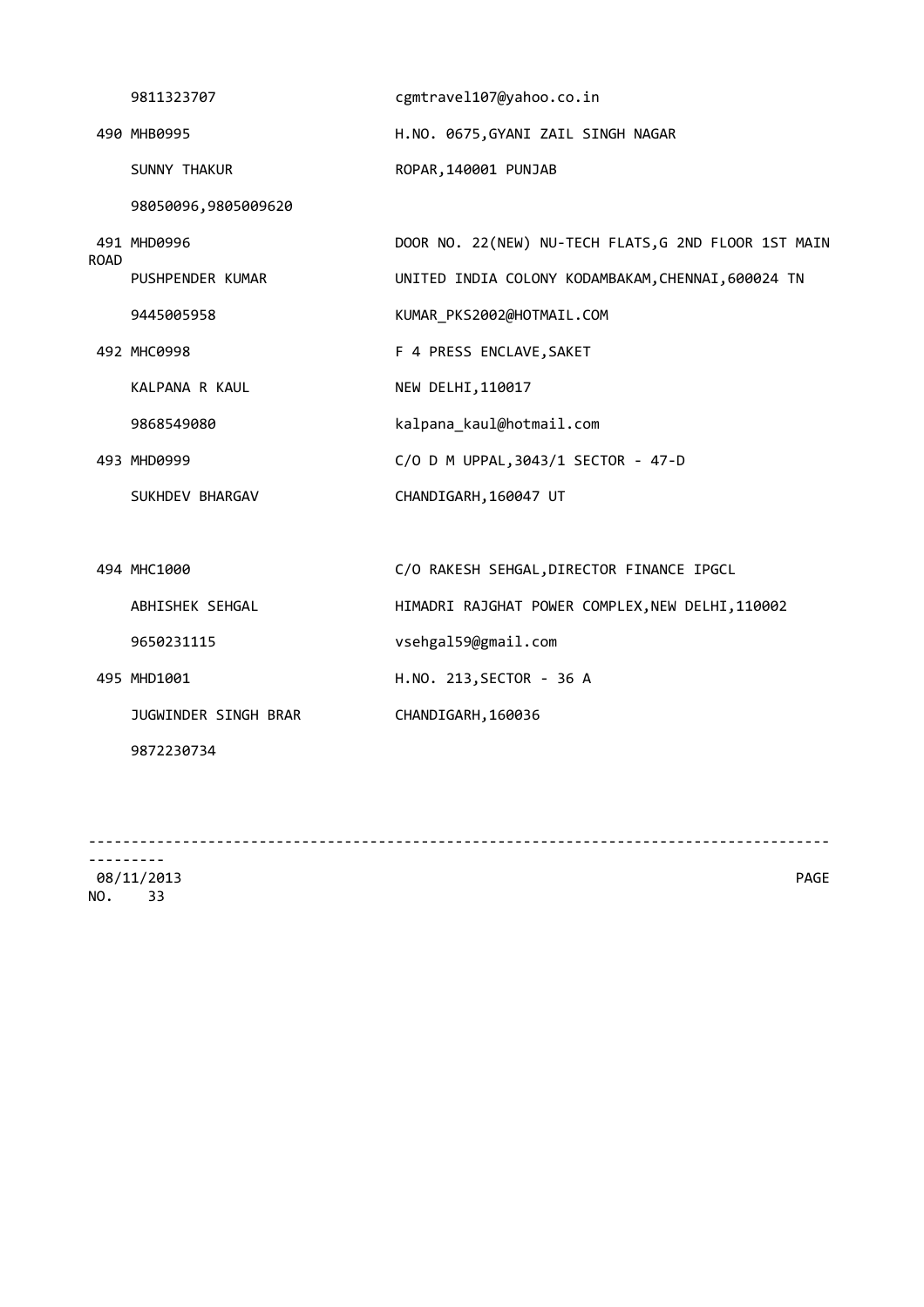|             | 9811323707           | cgmtravel107@yahoo.co.in                             |
|-------------|----------------------|------------------------------------------------------|
|             | 490 MHB0995          | H.NO. 0675, GYANI ZAIL SINGH NAGAR                   |
|             | SUNNY THAKUR         | ROPAR, 140001 PUNJAB                                 |
| <b>ROAD</b> | 98050096,9805009620  |                                                      |
|             | 491 MHD0996          | DOOR NO. 22(NEW) NU-TECH FLATS, G 2ND FLOOR 1ST MAIN |
|             | PUSHPENDER KUMAR     | UNITED INDIA COLONY KODAMBAKAM, CHENNAI, 600024 TN   |
|             | 9445005958           | KUMAR_PKS2002@HOTMAIL.COM                            |
|             | 492 MHC0998          | F 4 PRESS ENCLAVE, SAKET                             |
|             | KALPANA R KAUL       | NEW DELHI, 110017                                    |
|             | 9868549080           | kalpana kaul@hotmail.com                             |
|             | 493 MHD0999          | C/O D M UPPAL, 3043/1 SECTOR - 47-D                  |
|             | SUKHDEV BHARGAV      | CHANDIGARH, 160047 UT                                |
|             |                      |                                                      |
|             | 494 MHC1000          | C/O RAKESH SEHGAL, DIRECTOR FINANCE IPGCL            |
|             | ABHISHEK SEHGAL      | HIMADRI RAJGHAT POWER COMPLEX, NEW DELHI, 110002     |
|             | 9650231115           | vsehgal59@gmail.com                                  |
|             | 495 MHD1001          | H.NO. 213, SECTOR - 36 A                             |
|             | JUGWINDER SINGH BRAR | CHANDIGARH, 160036                                   |
|             | 9872230734           |                                                      |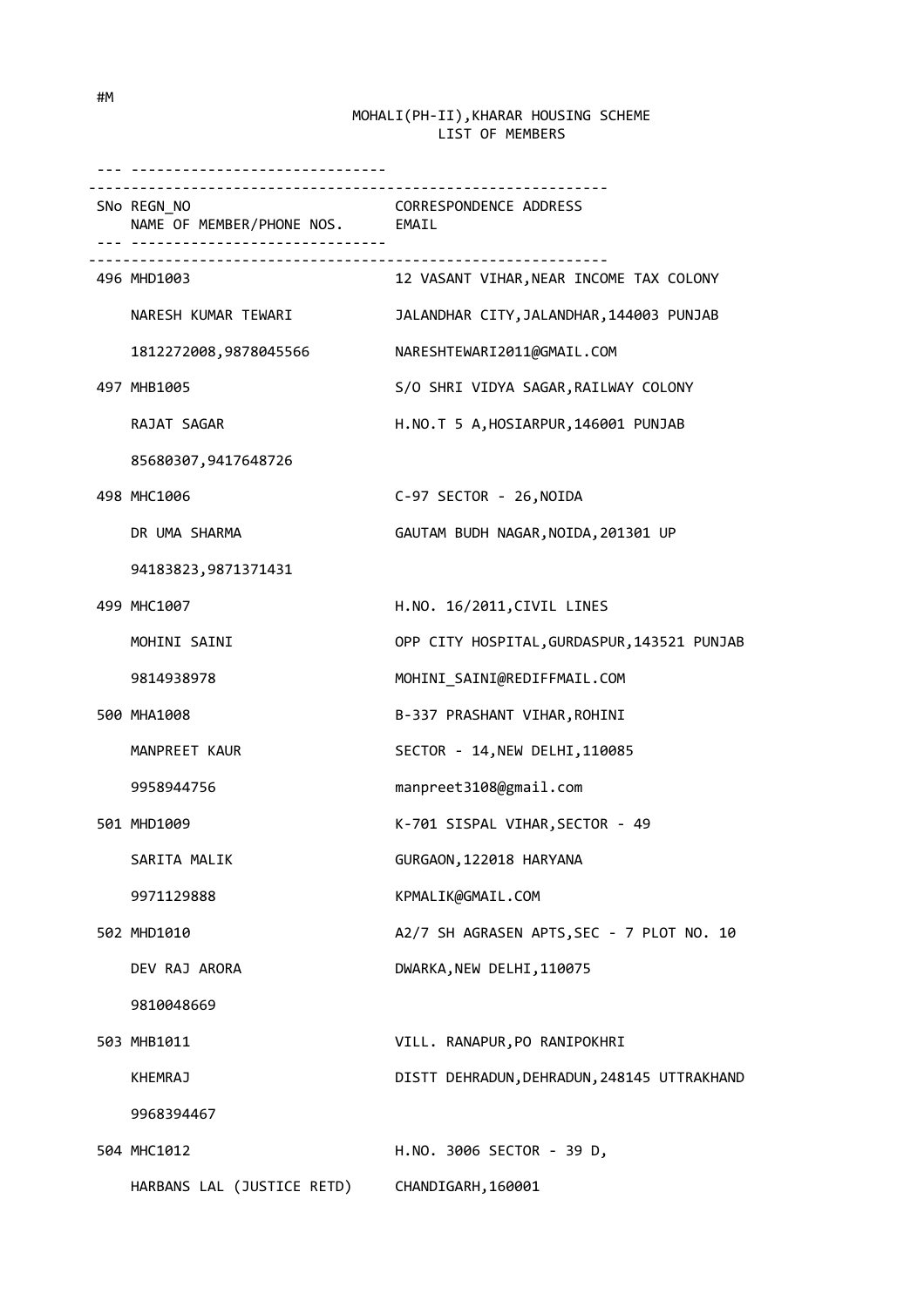| <u>. </u>                                      |                                             |
|------------------------------------------------|---------------------------------------------|
| SNo REGN NO<br>NAME OF MEMBER/PHONE NOS. EMAIL | CORRESPONDENCE ADDRESS                      |
| 496 MHD1003                                    | 12 VASANT VIHAR, NEAR INCOME TAX COLONY     |
| NARESH KUMAR TEWARI                            | JALANDHAR CITY, JALANDHAR, 144003 PUNJAB    |
| 1812272008,9878045566                          | NARESHTEWARI2011@GMAIL.COM                  |
| 497 MHB1005                                    | S/O SHRI VIDYA SAGAR, RAILWAY COLONY        |
| RAJAT SAGAR                                    | H.NO.T 5 A, HOSIARPUR, 146001 PUNJAB        |
| 85680307,9417648726                            |                                             |
| 498 MHC1006                                    | C-97 SECTOR - 26, NOIDA                     |
| DR UMA SHARMA                                  | GAUTAM BUDH NAGAR, NOIDA, 201301 UP         |
| 94183823, 9871371431                           |                                             |
| 499 MHC1007                                    | H.NO. 16/2011, CIVIL LINES                  |
| MOHINI SAINI                                   | OPP CITY HOSPITAL, GURDASPUR, 143521 PUNJAB |
| 9814938978                                     | MOHINI_SAINI@REDIFFMAIL.COM                 |
| 500 MHA1008                                    | B-337 PRASHANT VIHAR, ROHINI                |
| MANPREET KAUR                                  | SECTOR - 14, NEW DELHI, 110085              |
| 9958944756                                     | manpreet3108@gmail.com                      |
| 501 MHD1009                                    | K-701 SISPAL VIHAR, SECTOR - 49             |
| SARITA MALIK                                   | GURGAON, 122018 HARYANA                     |
| 9971129888                                     | KPMALIK@GMAIL.COM                           |
| 502 MHD1010                                    | A2/7 SH AGRASEN APTS, SEC - 7 PLOT NO. 10   |
| DEV RAJ ARORA                                  | DWARKA, NEW DELHI, 110075                   |
| 9810048669                                     |                                             |
| 503 MHB1011                                    | VILL. RANAPUR, PO RANIPOKHRI                |
| KHEMRAJ                                        | DISTT DEHRADUN, DEHRADUN, 248145 UTTRAKHAND |
| 9968394467                                     |                                             |
| 504 MHC1012                                    | H.NO. 3006 SECTOR - 39 D,                   |
| HARBANS LAL (JUSTICE RETD)                     | CHANDIGARH, 160001                          |

#M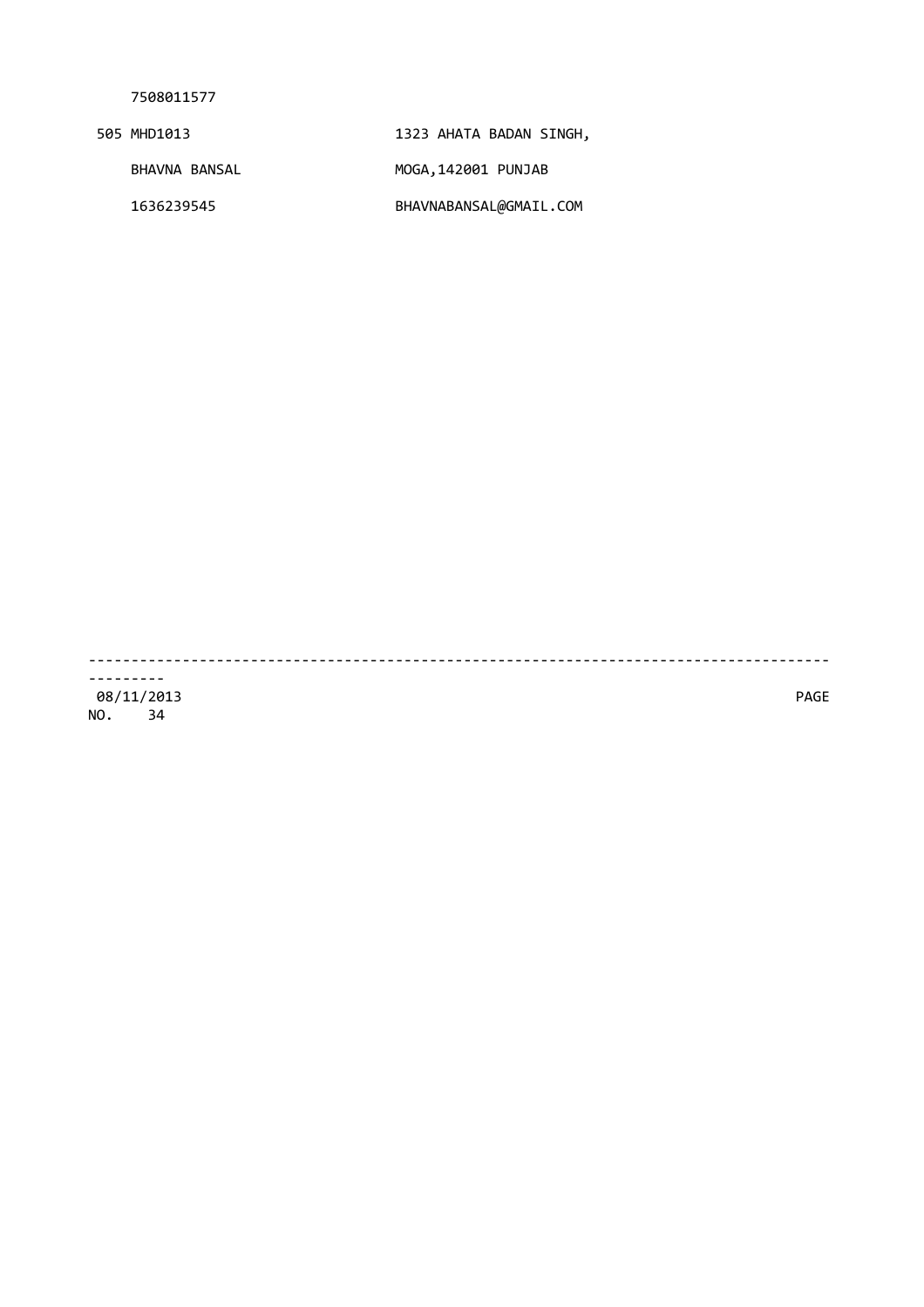| 505 MHD1013   | 1323 AHATA BADAN SINGH, |
|---------------|-------------------------|
| BHAVNA BANSAL | MOGA,142001 PUNJAB      |
| 1636239545    | BHAVNABANSAL@GMAIL.COM  |